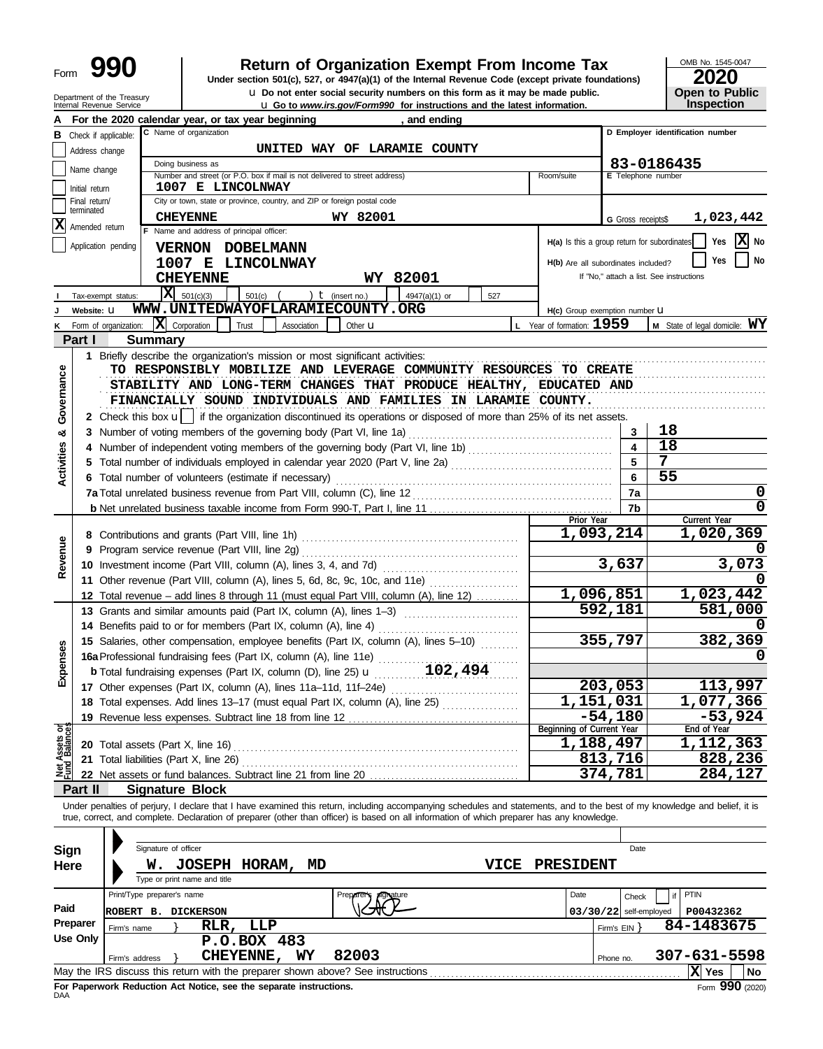| Form | $\mathbf \Omega$<br>Y. |
|------|------------------------|
|------|------------------------|

# **990 200 2010 2020 2010 2020 2020 2020 2020 2020 2020 2020 2020 2020 2020 2020**

**u** Do not enter social security numbers on this form as it may be made public. **Open to Public** 

OMB No. 1545-0047 **Open to Public**<br>Inspection

|                   | Department of the Treasury<br>Internal Revenue Service | <b>u</b> Do not enter social security numbers on this form as it may be made public.<br><b>u</b> Go to <i>www.irs.gov/Form990</i> for instructions and the latest information. |                          | <b>Open to Public</b><br>Inspection      |
|-------------------|--------------------------------------------------------|--------------------------------------------------------------------------------------------------------------------------------------------------------------------------------|--------------------------|------------------------------------------|
|                   |                                                        | For the 2020 calendar year, or tax year beginning<br>, and ending                                                                                                              |                          |                                          |
|                   | <b>B</b> Check if applicable:                          | C Name of organization                                                                                                                                                         |                          | D Employer identification number         |
|                   | Address change                                         | UNITED WAY OF LARAMIE COUNTY                                                                                                                                                   |                          |                                          |
|                   | Name change                                            | Doing business as                                                                                                                                                              |                          | 83-0186435                               |
|                   |                                                        | E Telephone number                                                                                                                                                             |                          |                                          |
|                   | Initial return<br>Final return/                        | 1007 E LINCOLNWAY<br>City or town, state or province, country, and ZIP or foreign postal code                                                                                  |                          |                                          |
|                   | terminated                                             | <b>CHEYENNE</b><br>WY 82001                                                                                                                                                    |                          | 1,023,442                                |
|                   | X Amended return                                       | F Name and address of principal officer:                                                                                                                                       | G Gross receipts\$       |                                          |
|                   | Application pending                                    | H(a) Is this a group return for subordinates<br>VERNON DOBELMANN                                                                                                               |                          | X No<br>Yes                              |
|                   |                                                        | 1007 E LINCOLNWAY<br>H(b) Are all subordinates included?                                                                                                                       |                          | No<br>Yes                                |
|                   |                                                        | <b>CHEYENNE</b><br>WY 82001                                                                                                                                                    |                          | If "No," attach a list. See instructions |
|                   | Tax-exempt status:                                     | $ \mathbf{X} $ 501(c)(3)<br>) $t$ (insert no.)<br>501(c)<br>4947(a)(1) or<br>527                                                                                               |                          |                                          |
|                   | Website: U                                             | WWW.UNITEDWAYOFLARAMIECOUNTY.ORG<br>H(c) Group exemption number LI                                                                                                             |                          |                                          |
| κ                 | Form of organization:                                  | $\mathbf{X}$ Corporation<br>$L$ Year of formation: $1959$<br>Trust<br>Other <b>u</b><br>Association                                                                            |                          | M State of legal domicile: WY            |
|                   | Part I                                                 | <b>Summary</b>                                                                                                                                                                 |                          |                                          |
|                   |                                                        | 1 Briefly describe the organization's mission or most significant activities:                                                                                                  |                          |                                          |
|                   |                                                        | TO RESPONSIBLY MOBILIZE AND LEVERAGE COMMUNITY RESOURCES TO CREATE                                                                                                             |                          |                                          |
| Governance        |                                                        | STABILITY AND LONG-TERM CHANGES THAT PRODUCE HEALTHY, EDUCATED AND                                                                                                             |                          |                                          |
|                   |                                                        | FINANCIALLY SOUND INDIVIDUALS AND FAMILIES IN LARAMIE COUNTY.                                                                                                                  |                          |                                          |
|                   |                                                        | 2 Check this box $\mathbf{u}$   if the organization discontinued its operations or disposed of more than 25% of its net assets.                                                |                          |                                          |
| ಯ                 | 3                                                      | Number of voting members of the governing body (Part VI, line 1a)                                                                                                              | 3                        | 18                                       |
|                   |                                                        |                                                                                                                                                                                |                          | 18                                       |
| <b>Activities</b> |                                                        | 5 Total number of individuals employed in calendar year 2020 (Part V, line 2a) [[[[[[[[[[[[[[[[[[[[[[[[[[[[[[[                                                                 | 5                        | $\overline{7}$                           |
|                   |                                                        | 6 Total number of volunteers (estimate if necessary)                                                                                                                           | 6                        | 55                                       |
|                   |                                                        |                                                                                                                                                                                | 7a                       | 0                                        |
|                   |                                                        | Prior Year                                                                                                                                                                     | 7b                       | 0<br>Current Year                        |
|                   |                                                        | 1,093,214                                                                                                                                                                      |                          | 1,020,369                                |
| Revenue           | 9                                                      |                                                                                                                                                                                |                          |                                          |
|                   |                                                        |                                                                                                                                                                                | 3,637                    | 3,073                                    |
|                   |                                                        | 11 Other revenue (Part VIII, column (A), lines 5, 6d, 8c, 9c, 10c, and 11e)                                                                                                    |                          |                                          |
|                   |                                                        | 1,096,851<br>12 Total revenue - add lines 8 through 11 (must equal Part VIII, column (A), line 12)                                                                             |                          | 1,023,442                                |
|                   |                                                        | 13 Grants and similar amounts paid (Part IX, column (A), lines 1-3)                                                                                                            | 592,181                  | 581,000                                  |
|                   |                                                        |                                                                                                                                                                                |                          |                                          |
|                   |                                                        | 15 Salaries, other compensation, employee benefits (Part IX, column (A), lines 5-10)                                                                                           | 355,797                  | 382,369                                  |
| nses              |                                                        | 16a Professional fundraising fees (Part IX, column (A), line 11e)                                                                                                              |                          |                                          |
| Exper             |                                                        | <b>b</b> Total fundraising expenses (Part IX, column (D), line 25) $\mathbf{u}$ 102, 494                                                                                       |                          |                                          |
|                   |                                                        |                                                                                                                                                                                | 203,053                  | 113,997                                  |
|                   |                                                        | 1,151,031<br>18 Total expenses. Add lines 13-17 (must equal Part IX, column (A), line 25) [[[[[[[[[[[[[[[[[[[[[[[[[[[[[[[                                                      |                          | 1,077,366                                |
|                   |                                                        | Beginning of Current Year                                                                                                                                                      | $-54,180$                | $-53,924$<br>End of Year                 |
| Net Assets or     |                                                        | 1,188,497                                                                                                                                                                      |                          | 1,112,363                                |
|                   |                                                        | 21 Total liabilities (Part X, line 26)                                                                                                                                         | 813,716                  | 828,236                                  |
|                   |                                                        |                                                                                                                                                                                | 374,781                  | 284,127                                  |
|                   | Part II                                                | <b>Signature Block</b>                                                                                                                                                         |                          |                                          |
|                   |                                                        | Under penalties of perjury, I declare that I have examined this return, including accompanying schedules and statements, and to the best of my knowledge and belief, it is     |                          |                                          |
|                   |                                                        | true, correct, and complete. Declaration of preparer (other than officer) is based on all information of which preparer has any knowledge.                                     |                          |                                          |
|                   |                                                        |                                                                                                                                                                                |                          |                                          |
| Sign              |                                                        | Signature of officer                                                                                                                                                           | Date                     |                                          |
| <b>Here</b>       |                                                        | VICE<br>W. JOSEPH HORAM, MD<br><b>PRESIDENT</b>                                                                                                                                |                          |                                          |
|                   |                                                        | Type or print name and title                                                                                                                                                   |                          |                                          |
|                   |                                                        | Print/Type preparer's name<br>Date<br>Preparer's                                                                                                                               | Check                    | <b>PTIN</b><br>if                        |
| Paid              |                                                        | ROBERT B. DICKERSON                                                                                                                                                            | $03/30/22$ self-employed | P00432362                                |
|                   | Preparer<br>Firm's name                                | LLP<br>RLR,                                                                                                                                                                    | Firm's $EIN$ }           | 84-1483675                               |
|                   | Use Only                                               | P.O.BOX 483                                                                                                                                                                    |                          |                                          |
|                   | Firm's address                                         | 82003<br><b>CHEYENNE,</b><br>WY                                                                                                                                                | Phone no.                | 307-631-5598                             |
|                   |                                                        |                                                                                                                                                                                |                          | X Yes<br>No                              |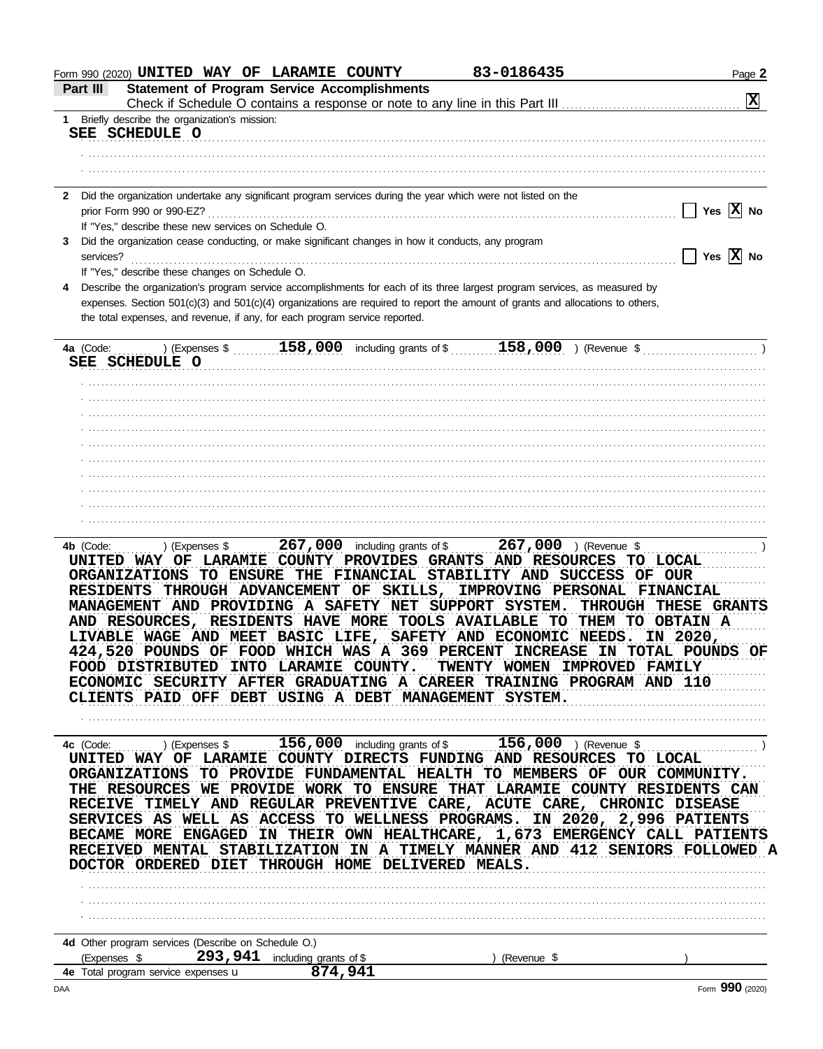| 1 Briefly describe the organization's mission:                                                                                                                                                                                                                                                                                                                                                                                                                                                                                                                                                                                                      |                                         |
|-----------------------------------------------------------------------------------------------------------------------------------------------------------------------------------------------------------------------------------------------------------------------------------------------------------------------------------------------------------------------------------------------------------------------------------------------------------------------------------------------------------------------------------------------------------------------------------------------------------------------------------------------------|-----------------------------------------|
| SEE SCHEDULE O                                                                                                                                                                                                                                                                                                                                                                                                                                                                                                                                                                                                                                      |                                         |
|                                                                                                                                                                                                                                                                                                                                                                                                                                                                                                                                                                                                                                                     |                                         |
|                                                                                                                                                                                                                                                                                                                                                                                                                                                                                                                                                                                                                                                     |                                         |
|                                                                                                                                                                                                                                                                                                                                                                                                                                                                                                                                                                                                                                                     |                                         |
| 2 Did the organization undertake any significant program services during the year which were not listed on the                                                                                                                                                                                                                                                                                                                                                                                                                                                                                                                                      |                                         |
| prior Form 990 or 990-EZ?                                                                                                                                                                                                                                                                                                                                                                                                                                                                                                                                                                                                                           | Yes $ X $ No                            |
| If "Yes," describe these new services on Schedule O.                                                                                                                                                                                                                                                                                                                                                                                                                                                                                                                                                                                                |                                         |
| Did the organization cease conducting, or make significant changes in how it conducts, any program                                                                                                                                                                                                                                                                                                                                                                                                                                                                                                                                                  | Yes $\overline{X}$ No                   |
| services?<br>If "Yes," describe these changes on Schedule O.                                                                                                                                                                                                                                                                                                                                                                                                                                                                                                                                                                                        |                                         |
| Describe the organization's program service accomplishments for each of its three largest program services, as measured by                                                                                                                                                                                                                                                                                                                                                                                                                                                                                                                          |                                         |
| expenses. Section 501(c)(3) and 501(c)(4) organizations are required to report the amount of grants and allocations to others,                                                                                                                                                                                                                                                                                                                                                                                                                                                                                                                      |                                         |
| the total expenses, and revenue, if any, for each program service reported.                                                                                                                                                                                                                                                                                                                                                                                                                                                                                                                                                                         |                                         |
|                                                                                                                                                                                                                                                                                                                                                                                                                                                                                                                                                                                                                                                     |                                         |
| 158,000 including grants of \$158,000 ) (Revenue \$<br>4a (Code:<br>) (Expenses \$                                                                                                                                                                                                                                                                                                                                                                                                                                                                                                                                                                  |                                         |
| SEE SCHEDULE O                                                                                                                                                                                                                                                                                                                                                                                                                                                                                                                                                                                                                                      |                                         |
|                                                                                                                                                                                                                                                                                                                                                                                                                                                                                                                                                                                                                                                     |                                         |
|                                                                                                                                                                                                                                                                                                                                                                                                                                                                                                                                                                                                                                                     |                                         |
|                                                                                                                                                                                                                                                                                                                                                                                                                                                                                                                                                                                                                                                     |                                         |
|                                                                                                                                                                                                                                                                                                                                                                                                                                                                                                                                                                                                                                                     |                                         |
|                                                                                                                                                                                                                                                                                                                                                                                                                                                                                                                                                                                                                                                     |                                         |
|                                                                                                                                                                                                                                                                                                                                                                                                                                                                                                                                                                                                                                                     |                                         |
|                                                                                                                                                                                                                                                                                                                                                                                                                                                                                                                                                                                                                                                     |                                         |
|                                                                                                                                                                                                                                                                                                                                                                                                                                                                                                                                                                                                                                                     |                                         |
|                                                                                                                                                                                                                                                                                                                                                                                                                                                                                                                                                                                                                                                     |                                         |
|                                                                                                                                                                                                                                                                                                                                                                                                                                                                                                                                                                                                                                                     |                                         |
|                                                                                                                                                                                                                                                                                                                                                                                                                                                                                                                                                                                                                                                     |                                         |
|                                                                                                                                                                                                                                                                                                                                                                                                                                                                                                                                                                                                                                                     |                                         |
|                                                                                                                                                                                                                                                                                                                                                                                                                                                                                                                                                                                                                                                     |                                         |
|                                                                                                                                                                                                                                                                                                                                                                                                                                                                                                                                                                                                                                                     |                                         |
| 267,000 including grants of \$<br>$267,000$ ) (Revenue \$<br>4b (Code:<br>) (Expenses \$<br>UNITED WAY OF LARAMIE COUNTY PROVIDES GRANTS AND RESOURCES TO LOCAL                                                                                                                                                                                                                                                                                                                                                                                                                                                                                     |                                         |
| ORGANIZATIONS TO ENSURE THE FINANCIAL STABILITY AND SUCCESS OF OUR<br>THROUGH ADVANCEMENT OF SKILLS, IMPROVING PERSONAL FINANCIAL<br><b>RESIDENTS</b><br>MANAGEMENT AND PROVIDING A SAFETY NET SUPPORT SYSTEM.<br>AND RESOURCES, RESIDENTS HAVE MORE TOOLS AVAILABLE TO THEM TO OBTAIN A<br>LIVABLE WAGE AND MEET BASIC LIFE, SAFETY AND ECONOMIC NEEDS.<br>424,520 POUNDS OF FOOD WHICH WAS A 369 PERCENT INCREASE IN TOTAL POUNDS OF<br>INTO LARAMIE COUNTY.<br>FOOD DISTRIBUTED<br>TWENTY WOMEN IMPROVED FAMILY<br>ECONOMIC SECURITY AFTER GRADUATING A CAREER TRAINING PROGRAM AND 110<br>CLIENTS PAID OFF DEBT USING A DEBT MANAGEMENT SYSTEM. | <b>THROUGH THESE GRANTS</b><br>IN 2020, |
| 156,000 including grants of \$ 156,000 ) (Revenue \$<br>$\ldots$ ) (Expenses \$<br>4c (Code:<br>UNITED WAY OF LARAMIE COUNTY DIRECTS FUNDING AND RESOURCES TO LOCAL<br>ORGANIZATIONS TO PROVIDE FUNDAMENTAL HEALTH TO MEMBERS OF OUR COMMUNITY.<br>THE RESOURCES WE PROVIDE WORK TO ENSURE THAT LARAMIE COUNTY RESIDENTS CAN<br>RECEIVE TIMELY AND REGULAR PREVENTIVE CARE, ACUTE CARE, CHRONIC DISEASE<br>SERVICES AS WELL AS ACCESS TO WELLNESS PROGRAMS. IN 2020, 2,996 PATIENTS                                                                                                                                                                 |                                         |
| BECAME MORE ENGAGED<br>IN THEIR OWN HEALTHCARE, 1,673 EMERGENCY CALL PATIENTS<br>RECEIVED MENTAL STABILIZATION IN A TIMELY MANNER AND 412 SENIORS FOLLOWED A<br>DOCTOR ORDERED DIET THROUGH HOME DELIVERED MEALS.                                                                                                                                                                                                                                                                                                                                                                                                                                   |                                         |
| 4d Other program services (Describe on Schedule O.)<br>293, 941 including grants of \$<br>(Expenses \$<br>(Revenue \$                                                                                                                                                                                                                                                                                                                                                                                                                                                                                                                               |                                         |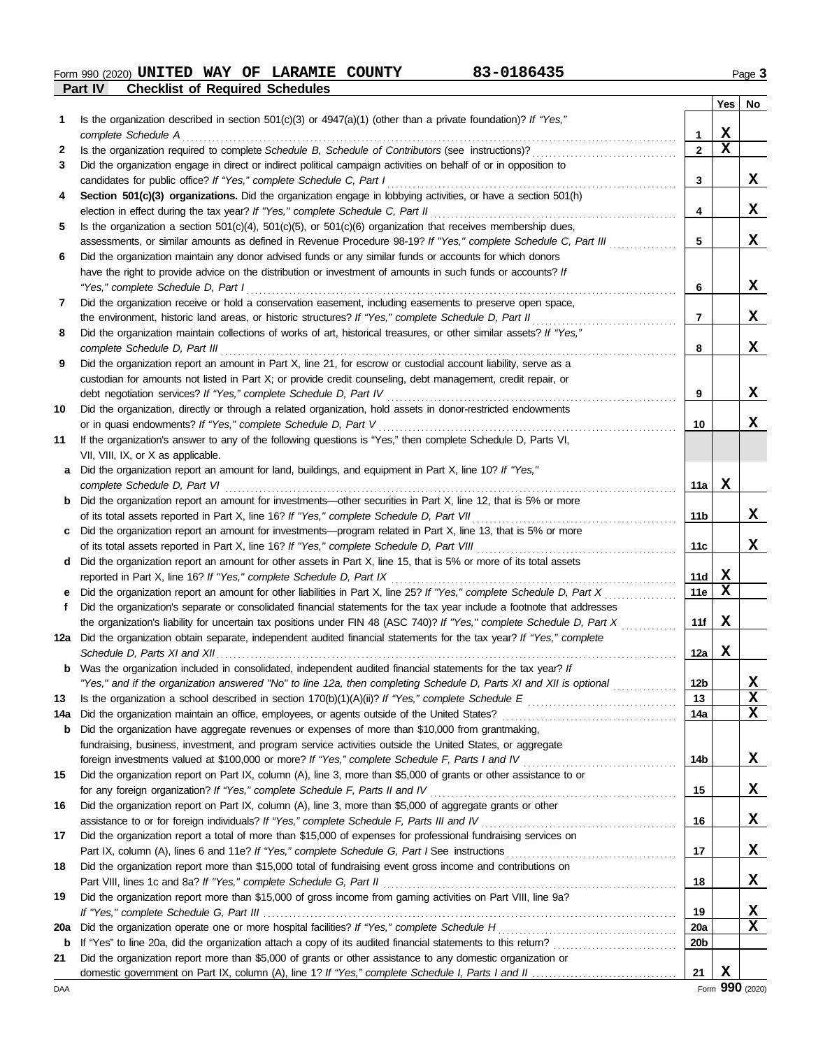**Part IV Checklist of Required Schedules Form 990 (2020) UNITED WAY OF LARAMIE COUNTY 63-0186435** Page 3

|             |                                                                                                                                                                                                           |                 | Yes         | No |
|-------------|-----------------------------------------------------------------------------------------------------------------------------------------------------------------------------------------------------------|-----------------|-------------|----|
| 1           | Is the organization described in section $501(c)(3)$ or $4947(a)(1)$ (other than a private foundation)? If "Yes,"                                                                                         |                 |             |    |
|             | complete Schedule A                                                                                                                                                                                       | 1               | X           |    |
| 2           | Is the organization required to complete Schedule B, Schedule of Contributors (see instructions)?                                                                                                         | $\overline{2}$  | $\mathbf x$ |    |
| 3           | Did the organization engage in direct or indirect political campaign activities on behalf of or in opposition to                                                                                          |                 |             |    |
|             | candidates for public office? If "Yes," complete Schedule C, Part I                                                                                                                                       | 3               |             | x  |
| 4           | Section 501(c)(3) organizations. Did the organization engage in lobbying activities, or have a section 501(h)                                                                                             |                 |             |    |
|             | election in effect during the tax year? If "Yes," complete Schedule C, Part II                                                                                                                            | 4               |             | X  |
| 5           | Is the organization a section $501(c)(4)$ , $501(c)(5)$ , or $501(c)(6)$ organization that receives membership dues,                                                                                      |                 |             |    |
|             | assessments, or similar amounts as defined in Revenue Procedure 98-19? If "Yes," complete Schedule C, Part III                                                                                            | 5               |             | X  |
| 6           | Did the organization maintain any donor advised funds or any similar funds or accounts for which donors                                                                                                   |                 |             |    |
|             | have the right to provide advice on the distribution or investment of amounts in such funds or accounts? If                                                                                               |                 |             |    |
|             | "Yes," complete Schedule D, Part I                                                                                                                                                                        | 6               |             | X  |
| 7           | Did the organization receive or hold a conservation easement, including easements to preserve open space,                                                                                                 |                 |             |    |
|             | the environment, historic land areas, or historic structures? If "Yes," complete Schedule D, Part II                                                                                                      | 7               |             | X  |
| 8           | Did the organization maintain collections of works of art, historical treasures, or other similar assets? If "Yes,"                                                                                       |                 |             |    |
|             | complete Schedule D, Part III                                                                                                                                                                             | 8               |             | X  |
| 9           | Did the organization report an amount in Part X, line 21, for escrow or custodial account liability, serve as a                                                                                           |                 |             |    |
|             | custodian for amounts not listed in Part X; or provide credit counseling, debt management, credit repair, or                                                                                              |                 |             |    |
|             | debt negotiation services? If "Yes," complete Schedule D, Part IV                                                                                                                                         | 9               |             | X  |
| 10          | Did the organization, directly or through a related organization, hold assets in donor-restricted endowments                                                                                              |                 |             |    |
|             | or in quasi endowments? If "Yes," complete Schedule D, Part V                                                                                                                                             | 10              |             | x  |
| 11          | If the organization's answer to any of the following questions is "Yes," then complete Schedule D, Parts VI,                                                                                              |                 |             |    |
|             | VII, VIII, IX, or X as applicable.                                                                                                                                                                        |                 |             |    |
| a           | Did the organization report an amount for land, buildings, and equipment in Part X, line 10? If "Yes,"                                                                                                    |                 | X           |    |
|             | complete Schedule D, Part VI                                                                                                                                                                              | 11a             |             |    |
| b           | Did the organization report an amount for investments—other securities in Part X, line 12, that is 5% or more                                                                                             | 11b             |             | x  |
|             | of its total assets reported in Part X, line 16? If "Yes," complete Schedule D, Part VII                                                                                                                  |                 |             |    |
| c           | Did the organization report an amount for investments—program related in Part X, line 13, that is 5% or more<br>of its total assets reported in Part X, line 16? If "Yes," complete Schedule D, Part VIII | 11c             |             | x  |
| d           | Did the organization report an amount for other assets in Part X, line 15, that is 5% or more of its total assets                                                                                         |                 |             |    |
|             | reported in Part X, line 16? If "Yes," complete Schedule D, Part IX                                                                                                                                       | 11d             | X           |    |
|             | Did the organization report an amount for other liabilities in Part X, line 25? If "Yes," complete Schedule D, Part X                                                                                     | 11e             | $\mathbf x$ |    |
| Ť.          | Did the organization's separate or consolidated financial statements for the tax year include a footnote that addresses                                                                                   |                 |             |    |
|             | the organization's liability for uncertain tax positions under FIN 48 (ASC 740)? If "Yes," complete Schedule D, Part X                                                                                    | 11f             | X           |    |
|             | 12a Did the organization obtain separate, independent audited financial statements for the tax year? If "Yes," complete                                                                                   |                 |             |    |
|             |                                                                                                                                                                                                           | 12a             | X           |    |
|             | Was the organization included in consolidated, independent audited financial statements for the tax year? If                                                                                              |                 |             |    |
|             | "Yes," and if the organization answered "No" to line 12a, then completing Schedule D, Parts XI and XII is optional                                                                                        | 12 <sub>b</sub> |             | X  |
| 13          |                                                                                                                                                                                                           | 13              |             | x  |
| 14a         | Did the organization maintain an office, employees, or agents outside of the United States?                                                                                                               | 14a             |             | X  |
| b           | Did the organization have aggregate revenues or expenses of more than \$10,000 from grantmaking,                                                                                                          |                 |             |    |
|             | fundraising, business, investment, and program service activities outside the United States, or aggregate                                                                                                 |                 |             |    |
|             |                                                                                                                                                                                                           | 14b             |             | x  |
| 15          | Did the organization report on Part IX, column (A), line 3, more than \$5,000 of grants or other assistance to or                                                                                         |                 |             |    |
|             | for any foreign organization? If "Yes," complete Schedule F, Parts II and IV                                                                                                                              | 15              |             | х  |
| 16          | Did the organization report on Part IX, column (A), line 3, more than \$5,000 of aggregate grants or other                                                                                                |                 |             |    |
|             | assistance to or for foreign individuals? If "Yes," complete Schedule F, Parts III and IV [[[[[[[[[[[[[[[[[[[                                                                                             | 16              |             | х  |
| 17          | Did the organization report a total of more than \$15,000 of expenses for professional fundraising services on                                                                                            |                 |             |    |
|             |                                                                                                                                                                                                           | 17              |             | х  |
| 18          | Did the organization report more than \$15,000 total of fundraising event gross income and contributions on                                                                                               |                 |             |    |
|             | Part VIII, lines 1c and 8a? If "Yes," complete Schedule G, Part II                                                                                                                                        | 18              |             | х  |
| 19          | Did the organization report more than \$15,000 of gross income from gaming activities on Part VIII, line 9a?                                                                                              |                 |             |    |
|             |                                                                                                                                                                                                           | 19              |             | X  |
| 20a         | Did the organization operate one or more hospital facilities? If "Yes," complete Schedule H                                                                                                               | <b>20a</b>      |             | х  |
| $\mathbf b$ | If "Yes" to line 20a, did the organization attach a copy of its audited financial statements to this return?                                                                                              | 20 <sub>b</sub> |             |    |
| 21          | Did the organization report more than \$5,000 of grants or other assistance to any domestic organization or                                                                                               |                 |             |    |
|             |                                                                                                                                                                                                           | 21              | X           |    |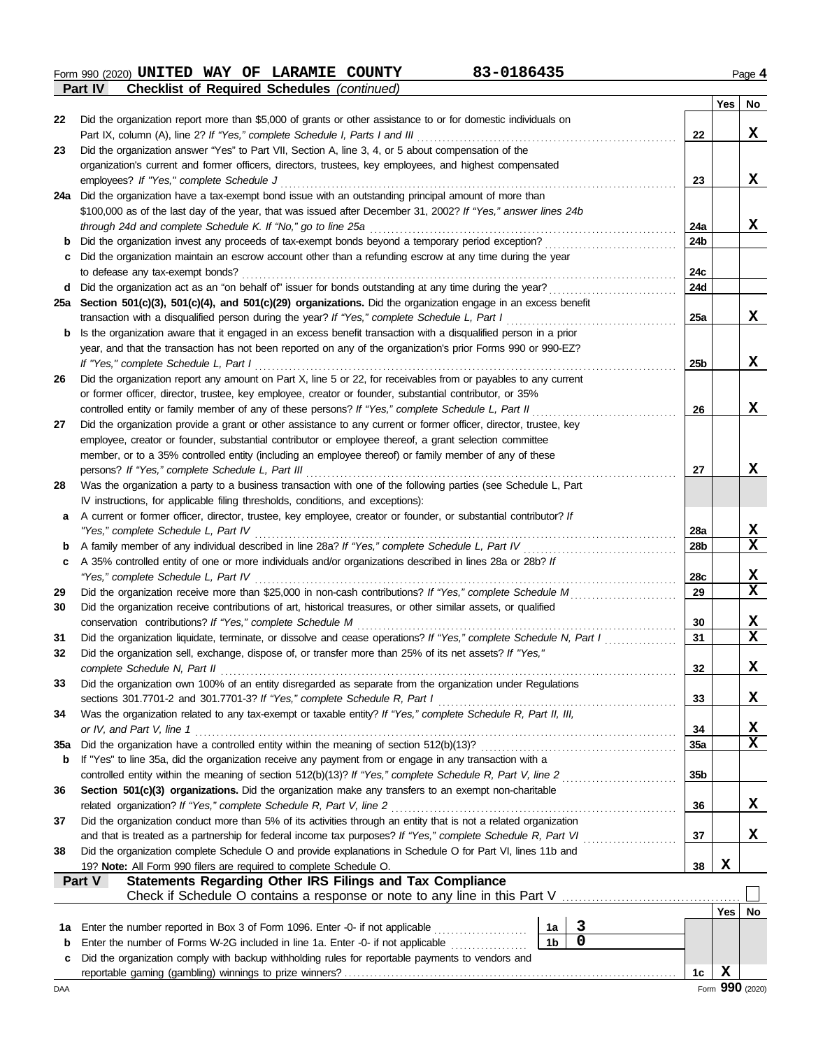**Form 990 (2020) UNITED WAY OF LARAMIE COUNTY 63-0186435** Page 4 **Part IV Checklist of Required Schedules** *(continued)*

|            |                                                                                                                                               |                 | Yes | No                              |
|------------|-----------------------------------------------------------------------------------------------------------------------------------------------|-----------------|-----|---------------------------------|
| 22         | Did the organization report more than \$5,000 of grants or other assistance to or for domestic individuals on                                 |                 |     |                                 |
|            | Part IX, column (A), line 2? If "Yes," complete Schedule I, Parts I and III                                                                   | 22              |     | X                               |
| 23         | Did the organization answer "Yes" to Part VII, Section A, line 3, 4, or 5 about compensation of the                                           |                 |     |                                 |
|            | organization's current and former officers, directors, trustees, key employees, and highest compensated                                       |                 |     |                                 |
|            | employees? If "Yes," complete Schedule J                                                                                                      | 23              |     | X                               |
|            | 24a Did the organization have a tax-exempt bond issue with an outstanding principal amount of more than                                       |                 |     |                                 |
|            | \$100,000 as of the last day of the year, that was issued after December 31, 2002? If "Yes," answer lines 24b                                 |                 |     |                                 |
|            | through 24d and complete Schedule K. If "No," go to line 25a                                                                                  | 24a<br>24b      |     | X                               |
|            | Did the organization invest any proceeds of tax-exempt bonds beyond a temporary period exception?                                             |                 |     |                                 |
|            | Did the organization maintain an escrow account other than a refunding escrow at any time during the year<br>to defease any tax-exempt bonds? | 24c             |     |                                 |
| d          | Did the organization act as an "on behalf of" issuer for bonds outstanding at any time during the year?                                       | 24d             |     |                                 |
| 25a        | Section 501(c)(3), 501(c)(4), and 501(c)(29) organizations. Did the organization engage in an excess benefit                                  |                 |     |                                 |
|            | transaction with a disqualified person during the year? If "Yes," complete Schedule L, Part I                                                 | 25a             |     | X                               |
| b          | Is the organization aware that it engaged in an excess benefit transaction with a disqualified person in a prior                              |                 |     |                                 |
|            | year, and that the transaction has not been reported on any of the organization's prior Forms 990 or 990-EZ?                                  |                 |     |                                 |
|            | If "Yes," complete Schedule L, Part I                                                                                                         | 25 <sub>b</sub> |     | X                               |
| 26         | Did the organization report any amount on Part X, line 5 or 22, for receivables from or payables to any current                               |                 |     |                                 |
|            | or former officer, director, trustee, key employee, creator or founder, substantial contributor, or 35%                                       |                 |     |                                 |
|            | controlled entity or family member of any of these persons? If "Yes," complete Schedule L, Part II                                            | 26              |     | X                               |
| 27         | Did the organization provide a grant or other assistance to any current or former officer, director, trustee, key                             |                 |     |                                 |
|            | employee, creator or founder, substantial contributor or employee thereof, a grant selection committee                                        |                 |     |                                 |
|            | member, or to a 35% controlled entity (including an employee thereof) or family member of any of these                                        |                 |     |                                 |
|            | persons? If "Yes," complete Schedule L, Part III                                                                                              | 27              |     | x                               |
| 28         | Was the organization a party to a business transaction with one of the following parties (see Schedule L, Part                                |                 |     |                                 |
|            | IV instructions, for applicable filing thresholds, conditions, and exceptions):                                                               |                 |     |                                 |
| a          | A current or former officer, director, trustee, key employee, creator or founder, or substantial contributor? If                              |                 |     |                                 |
|            | "Yes," complete Schedule L, Part IV                                                                                                           | <b>28a</b>      |     | X                               |
| b          |                                                                                                                                               | 28 <sub>b</sub> |     | $\overline{\mathbf{x}}$         |
| c          | A 35% controlled entity of one or more individuals and/or organizations described in lines 28a or 28b? If                                     |                 |     |                                 |
|            | "Yes," complete Schedule L, Part IV                                                                                                           | 28c             |     | X                               |
| 29         | Did the organization receive more than \$25,000 in non-cash contributions? If "Yes," complete Schedule M                                      | 29              |     | $\overline{\mathbf{x}}$         |
| 30         | Did the organization receive contributions of art, historical treasures, or other similar assets, or qualified                                |                 |     |                                 |
|            | conservation contributions? If "Yes," complete Schedule M                                                                                     | 30              |     | X                               |
| 31         | Did the organization liquidate, terminate, or dissolve and cease operations? If "Yes," complete Schedule N, Part I                            | 31              |     | $\overline{\mathbf{x}}$         |
| 32         | Did the organization sell, exchange, dispose of, or transfer more than 25% of its net assets? If "Yes,"                                       |                 |     |                                 |
|            | complete Schedule N, Part II                                                                                                                  | 32              |     | x                               |
| 33         | Did the organization own 100% of an entity disregarded as separate from the organization under Regulations                                    |                 |     |                                 |
|            |                                                                                                                                               | 33              |     | X                               |
| 34         | Was the organization related to any tax-exempt or taxable entity? If "Yes," complete Schedule R, Part II, III,                                |                 |     |                                 |
|            | or IV, and Part V, line 1                                                                                                                     | 34              |     | $\frac{\mathbf{x}}{\mathbf{x}}$ |
| <b>35a</b> |                                                                                                                                               | 35a             |     |                                 |
| b          | If "Yes" to line 35a, did the organization receive any payment from or engage in any transaction with a                                       |                 |     |                                 |
|            |                                                                                                                                               | 35 <sub>b</sub> |     |                                 |
| 36         | Section 501(c)(3) organizations. Did the organization make any transfers to an exempt non-charitable                                          |                 |     |                                 |
|            | related organization? If "Yes," complete Schedule R, Part V, line 2                                                                           | 36              |     | X                               |
| 37         | Did the organization conduct more than 5% of its activities through an entity that is not a related organization                              |                 |     |                                 |
|            |                                                                                                                                               | 37              |     | X                               |
| 38         | Did the organization complete Schedule O and provide explanations in Schedule O for Part VI, lines 11b and                                    |                 |     |                                 |
|            | 19? Note: All Form 990 filers are required to complete Schedule O.                                                                            | 38              | X   |                                 |
|            | Statements Regarding Other IRS Filings and Tax Compliance<br>Part V                                                                           |                 |     |                                 |
|            |                                                                                                                                               |                 | Yes |                                 |
|            | $\mathbf{3}$<br>Enter the number reported in Box 3 of Form 1096. Enter -0- if not applicable<br>1a                                            |                 |     | No                              |
| 1a<br>b    | $\overline{\mathbf{0}}$<br>1 <sub>b</sub><br>Enter the number of Forms W-2G included in line 1a. Enter -0- if not applicable                  |                 |     |                                 |
| c          | Did the organization comply with backup withholding rules for reportable payments to vendors and                                              |                 |     |                                 |
|            |                                                                                                                                               | 1c              | X   |                                 |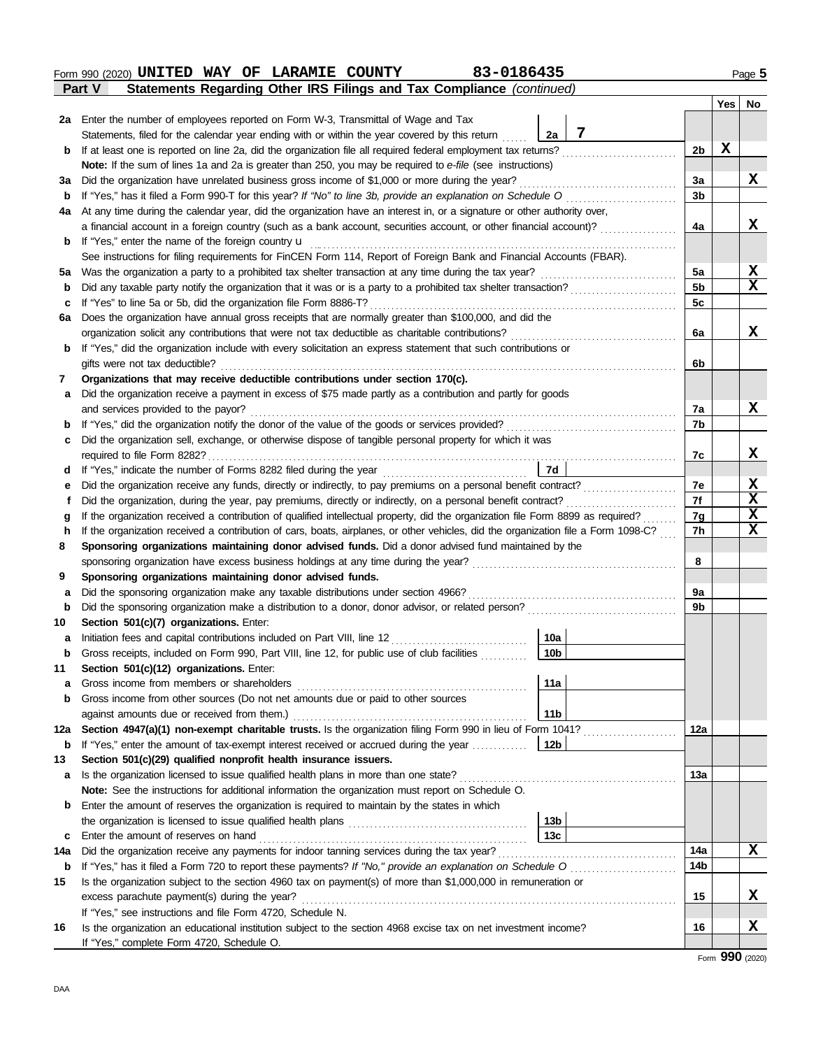| 2a     | Enter the number of employees reported on Form W-3, Transmittal of Wage and Tax                                                                                                                                                                                        |                 |   |                        |   |        |  |  |  |  |  |
|--------|------------------------------------------------------------------------------------------------------------------------------------------------------------------------------------------------------------------------------------------------------------------------|-----------------|---|------------------------|---|--------|--|--|--|--|--|
|        | Statements, filed for the calendar year ending with or within the year covered by this return                                                                                                                                                                          | 2a              | 7 |                        |   |        |  |  |  |  |  |
| b      | If at least one is reported on line 2a, did the organization file all required federal employment tax returns?                                                                                                                                                         |                 |   | 2b                     | Х |        |  |  |  |  |  |
|        | Note: If the sum of lines 1a and 2a is greater than 250, you may be required to e-file (see instructions)                                                                                                                                                              |                 |   |                        |   |        |  |  |  |  |  |
| За     | Did the organization have unrelated business gross income of \$1,000 or more during the year?                                                                                                                                                                          |                 |   | За                     |   | x      |  |  |  |  |  |
| b      | If "Yes," has it filed a Form 990-T for this year? If "No" to line 3b, provide an explanation on Schedule O                                                                                                                                                            |                 |   | 3b                     |   |        |  |  |  |  |  |
| 4a     | At any time during the calendar year, did the organization have an interest in, or a signature or other authority over,                                                                                                                                                |                 |   |                        |   |        |  |  |  |  |  |
|        | a financial account in a foreign country (such as a bank account, securities account, or other financial account)?                                                                                                                                                     |                 |   | 4a                     |   | x      |  |  |  |  |  |
| b      | If "Yes," enter the name of the foreign country u                                                                                                                                                                                                                      |                 |   |                        |   |        |  |  |  |  |  |
|        | See instructions for filing requirements for FinCEN Form 114, Report of Foreign Bank and Financial Accounts (FBAR).                                                                                                                                                    |                 |   |                        |   |        |  |  |  |  |  |
| 5a     | Was the organization a party to a prohibited tax shelter transaction at any time during the tax year?                                                                                                                                                                  |                 |   | 5a                     |   | X<br>X |  |  |  |  |  |
| b      | Did any taxable party notify the organization that it was or is a party to a prohibited tax shelter transaction?                                                                                                                                                       |                 |   |                        |   |        |  |  |  |  |  |
| c      | If "Yes" to line 5a or 5b, did the organization file Form 8886-T?                                                                                                                                                                                                      |                 |   | 5c                     |   |        |  |  |  |  |  |
| 6a     | Does the organization have annual gross receipts that are normally greater than \$100,000, and did the                                                                                                                                                                 |                 |   |                        |   |        |  |  |  |  |  |
|        | organization solicit any contributions that were not tax deductible as charitable contributions?                                                                                                                                                                       |                 |   | 6а                     |   | X      |  |  |  |  |  |
| b      | If "Yes," did the organization include with every solicitation an express statement that such contributions or                                                                                                                                                         |                 |   |                        |   |        |  |  |  |  |  |
|        | gifts were not tax deductible?                                                                                                                                                                                                                                         |                 |   | 6b                     |   |        |  |  |  |  |  |
| 7      | Organizations that may receive deductible contributions under section 170(c).                                                                                                                                                                                          |                 |   |                        |   |        |  |  |  |  |  |
| a      | Did the organization receive a payment in excess of \$75 made partly as a contribution and partly for goods                                                                                                                                                            |                 |   |                        |   |        |  |  |  |  |  |
|        | and services provided to the payor?                                                                                                                                                                                                                                    |                 |   | 7a                     |   | X      |  |  |  |  |  |
| b      |                                                                                                                                                                                                                                                                        |                 |   | 7b                     |   |        |  |  |  |  |  |
| c      | Did the organization sell, exchange, or otherwise dispose of tangible personal property for which it was                                                                                                                                                               |                 |   |                        |   |        |  |  |  |  |  |
|        | required to file Form 8282?                                                                                                                                                                                                                                            |                 |   | 7c                     |   | X      |  |  |  |  |  |
| d      | If "Yes," indicate the number of Forms 8282 filed during the year<br>[[20] The year                                                                                                                                                                                    | 7d              |   | 7е                     |   | х      |  |  |  |  |  |
| е      | Did the organization receive any funds, directly or indirectly, to pay premiums on a personal benefit contract?                                                                                                                                                        |                 |   |                        |   |        |  |  |  |  |  |
|        | Did the organization, during the year, pay premiums, directly or indirectly, on a personal benefit contract?<br>Ť                                                                                                                                                      |                 |   |                        |   |        |  |  |  |  |  |
| g<br>h | If the organization received a contribution of qualified intellectual property, did the organization file Form 8899 as required?<br>If the organization received a contribution of cars, boats, airplanes, or other vehicles, did the organization file a Form 1098-C? |                 |   |                        |   |        |  |  |  |  |  |
| 8      | Sponsoring organizations maintaining donor advised funds. Did a donor advised fund maintained by the                                                                                                                                                                   |                 |   | 7h                     |   | X      |  |  |  |  |  |
|        | sponsoring organization have excess business holdings at any time during the year?                                                                                                                                                                                     |                 |   | 8                      |   |        |  |  |  |  |  |
| 9      | Sponsoring organizations maintaining donor advised funds.                                                                                                                                                                                                              |                 |   |                        |   |        |  |  |  |  |  |
| а      | Did the sponsoring organization make any taxable distributions under section 4966?                                                                                                                                                                                     |                 |   | 9a                     |   |        |  |  |  |  |  |
| b      | Did the sponsoring organization make a distribution to a donor, donor advisor, or related person?                                                                                                                                                                      |                 |   | 9b                     |   |        |  |  |  |  |  |
| 10     | Section 501(c)(7) organizations. Enter:                                                                                                                                                                                                                                |                 |   |                        |   |        |  |  |  |  |  |
| а      | Initiation fees and capital contributions included on Part VIII, line 12                                                                                                                                                                                               | 10a             |   |                        |   |        |  |  |  |  |  |
| b      | Gross receipts, included on Form 990, Part VIII, line 12, for public use of club facilities                                                                                                                                                                            | 10 <sub>b</sub> |   |                        |   |        |  |  |  |  |  |
| 11     | Section 501(c)(12) organizations. Enter:                                                                                                                                                                                                                               |                 |   |                        |   |        |  |  |  |  |  |
|        | Gross income from members or shareholders                                                                                                                                                                                                                              | 11a             |   |                        |   |        |  |  |  |  |  |
| b      | Gross income from other sources (Do not net amounts due or paid to other sources                                                                                                                                                                                       |                 |   |                        |   |        |  |  |  |  |  |
|        | against amounts due or received from them.)                                                                                                                                                                                                                            | 11b             |   |                        |   |        |  |  |  |  |  |
| 12a    | Section 4947(a)(1) non-exempt charitable trusts. Is the organization filing Form 990 in lieu of Form 1041?                                                                                                                                                             |                 |   | 12a                    |   |        |  |  |  |  |  |
| b      | If "Yes," enter the amount of tax-exempt interest received or accrued during the year                                                                                                                                                                                  | 12b             |   |                        |   |        |  |  |  |  |  |
| 13     | Section 501(c)(29) qualified nonprofit health insurance issuers.                                                                                                                                                                                                       |                 |   |                        |   |        |  |  |  |  |  |
| а      |                                                                                                                                                                                                                                                                        |                 |   | 13а                    |   |        |  |  |  |  |  |
|        | Note: See the instructions for additional information the organization must report on Schedule O.                                                                                                                                                                      |                 |   |                        |   |        |  |  |  |  |  |
| b      | Enter the amount of reserves the organization is required to maintain by the states in which                                                                                                                                                                           |                 |   |                        |   |        |  |  |  |  |  |
|        |                                                                                                                                                                                                                                                                        | 13b             |   |                        |   |        |  |  |  |  |  |
| c      |                                                                                                                                                                                                                                                                        | 13с             |   |                        |   |        |  |  |  |  |  |
| 14a    |                                                                                                                                                                                                                                                                        |                 |   | 14a<br>14 <sub>b</sub> |   | X      |  |  |  |  |  |
| b      |                                                                                                                                                                                                                                                                        |                 |   |                        |   |        |  |  |  |  |  |
| 15     | Is the organization subject to the section 4960 tax on payment(s) of more than \$1,000,000 in remuneration or                                                                                                                                                          |                 |   |                        |   | X      |  |  |  |  |  |
|        | If "Yes," see instructions and file Form 4720, Schedule N.                                                                                                                                                                                                             |                 |   | 15                     |   |        |  |  |  |  |  |
| 16     | Is the organization an educational institution subject to the section 4968 excise tax on net investment income?                                                                                                                                                        |                 |   | 16                     |   | X      |  |  |  |  |  |
|        | If "Yes," complete Form 4720, Schedule O.                                                                                                                                                                                                                              |                 |   |                        |   |        |  |  |  |  |  |
|        |                                                                                                                                                                                                                                                                        |                 |   |                        |   |        |  |  |  |  |  |

**Part V Statements Regarding Other IRS Filings and Tax Compliance** *(continued)*

**Form 990 (2020) UNITED WAY OF LARAMIE COUNTY 63-0186435** Page 5

 $\Box$ 

**Yes No**

# Form **990** (2020)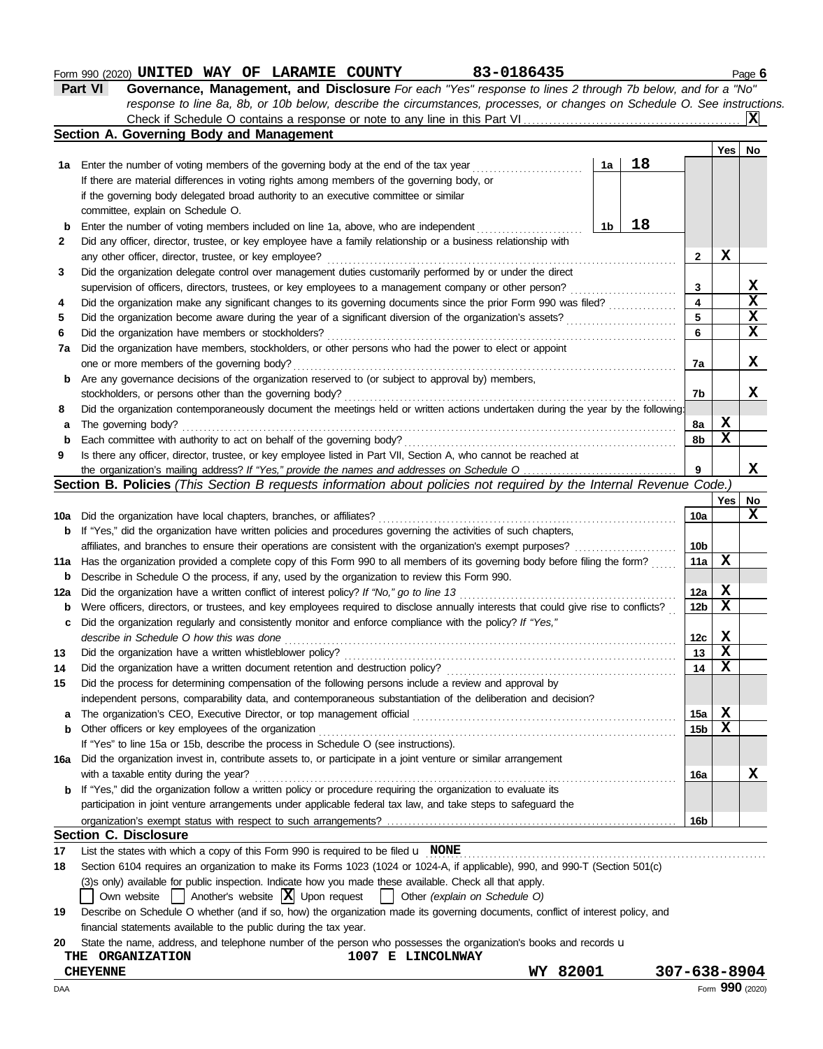# **Form 990 (2020) UNITED WAY OF LARAMIE COUNTY 63-0186435** Page 6

| Part VI | <b>Governance, Management, and Disclosure</b> For each "Yes" response to lines 2 through 7b below, and for a "No"         |                         |
|---------|---------------------------------------------------------------------------------------------------------------------------|-------------------------|
|         | response to line 8a, 8b, or 10b below, describe the circumstances, processes, or changes on Schedule O. See instructions. |                         |
|         |                                                                                                                           | $\overline{\mathbf{x}}$ |

|     | Section A. Governing Body and Management                                                                                                                                                                                       |                        |             |             |
|-----|--------------------------------------------------------------------------------------------------------------------------------------------------------------------------------------------------------------------------------|------------------------|-------------|-------------|
|     |                                                                                                                                                                                                                                |                        | Yes         | No          |
|     | 18<br>1a Enter the number of voting members of the governing body at the end of the tax year<br>1a                                                                                                                             |                        |             |             |
|     | If there are material differences in voting rights among members of the governing body, or                                                                                                                                     |                        |             |             |
|     | if the governing body delegated broad authority to an executive committee or similar                                                                                                                                           |                        |             |             |
|     | committee, explain on Schedule O.                                                                                                                                                                                              |                        |             |             |
| b   | 18<br>Enter the number of voting members included on line 1a, above, who are independent<br>1b                                                                                                                                 |                        |             |             |
| 2   | Did any officer, director, trustee, or key employee have a family relationship or a business relationship with                                                                                                                 |                        |             |             |
|     | any other officer, director, trustee, or key employee?                                                                                                                                                                         | 2                      | X           |             |
| 3   | Did the organization delegate control over management duties customarily performed by or under the direct                                                                                                                      |                        |             |             |
|     | supervision of officers, directors, trustees, or key employees to a management company or other person?                                                                                                                        | 3                      |             | х           |
| 4   | Did the organization make any significant changes to its governing documents since the prior Form 990 was filed?                                                                                                               | 4                      |             | $\mathbf x$ |
| 5   | Did the organization become aware during the year of a significant diversion of the organization's assets?                                                                                                                     | 5                      |             | $\mathbf x$ |
| 6   | Did the organization have members or stockholders?                                                                                                                                                                             | 6                      |             | X           |
| 7a  | Did the organization have members, stockholders, or other persons who had the power to elect or appoint                                                                                                                        |                        |             |             |
|     | one or more members of the governing body?                                                                                                                                                                                     | 7a                     |             | X           |
| b   | Are any governance decisions of the organization reserved to (or subject to approval by) members,                                                                                                                              |                        |             |             |
|     | stockholders, or persons other than the governing body?                                                                                                                                                                        | 7b                     |             | x           |
| 8   | Did the organization contemporaneously document the meetings held or written actions undertaken during the year by the following:                                                                                              |                        |             |             |
| а   | The governing body?                                                                                                                                                                                                            | 8a                     | X           |             |
| b   | Each committee with authority to act on behalf of the governing body?                                                                                                                                                          | 8b                     | $\mathbf x$ |             |
| 9   | Is there any officer, director, trustee, or key employee listed in Part VII, Section A, who cannot be reached at                                                                                                               |                        |             |             |
|     |                                                                                                                                                                                                                                | 9                      |             | X           |
|     | Section B. Policies (This Section B requests information about policies not required by the Internal Revenue Code.)                                                                                                            |                        |             |             |
|     |                                                                                                                                                                                                                                |                        | Yes         | No          |
| 10a | Did the organization have local chapters, branches, or affiliates?                                                                                                                                                             | 10a                    |             | X           |
| b   | If "Yes," did the organization have written policies and procedures governing the activities of such chapters,                                                                                                                 |                        |             |             |
|     | affiliates, and branches to ensure their operations are consistent with the organization's exempt purposes?                                                                                                                    | 10 <sub>b</sub>        | $\mathbf x$ |             |
| 11a | Has the organization provided a complete copy of this Form 990 to all members of its governing body before filing the form?                                                                                                    | 11a                    |             |             |
| b   | Describe in Schedule O the process, if any, used by the organization to review this Form 990.                                                                                                                                  |                        | X           |             |
| 12a | Did the organization have a written conflict of interest policy? If "No," go to line 13<br>Were officers, directors, or trustees, and key employees required to disclose annually interests that could give rise to conflicts? | 12a<br>12 <sub>b</sub> | X           |             |
| b   | Did the organization regularly and consistently monitor and enforce compliance with the policy? If "Yes,"                                                                                                                      |                        |             |             |
| с   | describe in Schedule O how this was done                                                                                                                                                                                       | 12c                    | X           |             |
| 13  | Did the organization have a written whistleblower policy?                                                                                                                                                                      | 13                     | $\mathbf x$ |             |
| 14  | Did the organization have a written document retention and destruction policy?                                                                                                                                                 | 14                     | $\mathbf x$ |             |
| 15  | Did the process for determining compensation of the following persons include a review and approval by                                                                                                                         |                        |             |             |
|     | independent persons, comparability data, and contemporaneous substantiation of the deliberation and decision?                                                                                                                  |                        |             |             |
| a   | The organization's CEO, Executive Director, or top management official                                                                                                                                                         | 15a                    | X           |             |
| b   | Other officers or key employees of the organization                                                                                                                                                                            | 15b                    | X           |             |
|     | If "Yes" to line 15a or 15b, describe the process in Schedule O (see instructions).                                                                                                                                            |                        |             |             |
| 16a | Did the organization invest in, contribute assets to, or participate in a joint venture or similar arrangement                                                                                                                 |                        |             |             |
|     | with a taxable entity during the year?                                                                                                                                                                                         | 16a                    |             | X           |
| b   | If "Yes," did the organization follow a written policy or procedure requiring the organization to evaluate its                                                                                                                 |                        |             |             |
|     | participation in joint venture arrangements under applicable federal tax law, and take steps to safeguard the                                                                                                                  |                        |             |             |
|     |                                                                                                                                                                                                                                | 16b                    |             |             |
|     | <b>Section C. Disclosure</b>                                                                                                                                                                                                   |                        |             |             |
| 17  | List the states with which a copy of this Form 990 is required to be filed $\mathbf u$ NONE                                                                                                                                    |                        |             |             |
| 18  | Section 6104 requires an organization to make its Forms 1023 (1024 or 1024-A, if applicable), 990, and 990-T (Section 501(c)                                                                                                   |                        |             |             |
|     | (3)s only) available for public inspection. Indicate how you made these available. Check all that apply.                                                                                                                       |                        |             |             |
|     | Another's website $ \mathbf{X} $ Upon request<br>Own website<br>Other (explain on Schedule O)                                                                                                                                  |                        |             |             |
| 19  | Describe on Schedule O whether (and if so, how) the organization made its governing documents, conflict of interest policy, and                                                                                                |                        |             |             |

financial statements available to the public during the tax year.

|                         |  |                             | 20 State the name, address, and telephone number of the person who possesses the organization's books and records u |
|-------------------------|--|-----------------------------|---------------------------------------------------------------------------------------------------------------------|
| <b>TUD ODCANTTATTON</b> |  | 1007 $\sigma$ T TNMOT NEV V |                                                                                                                     |

| AAC                        |                         |              | Form 990 (2020)    |
|----------------------------|-------------------------|--------------|--------------------|
| <b>CHEYENNE</b>            |                         | 82001<br>WY. | $307 - 638 - 8904$ |
| <b>ORGANIZATION</b><br>THE | 1007<br>LINCOLNWAY<br>Е |              |                    |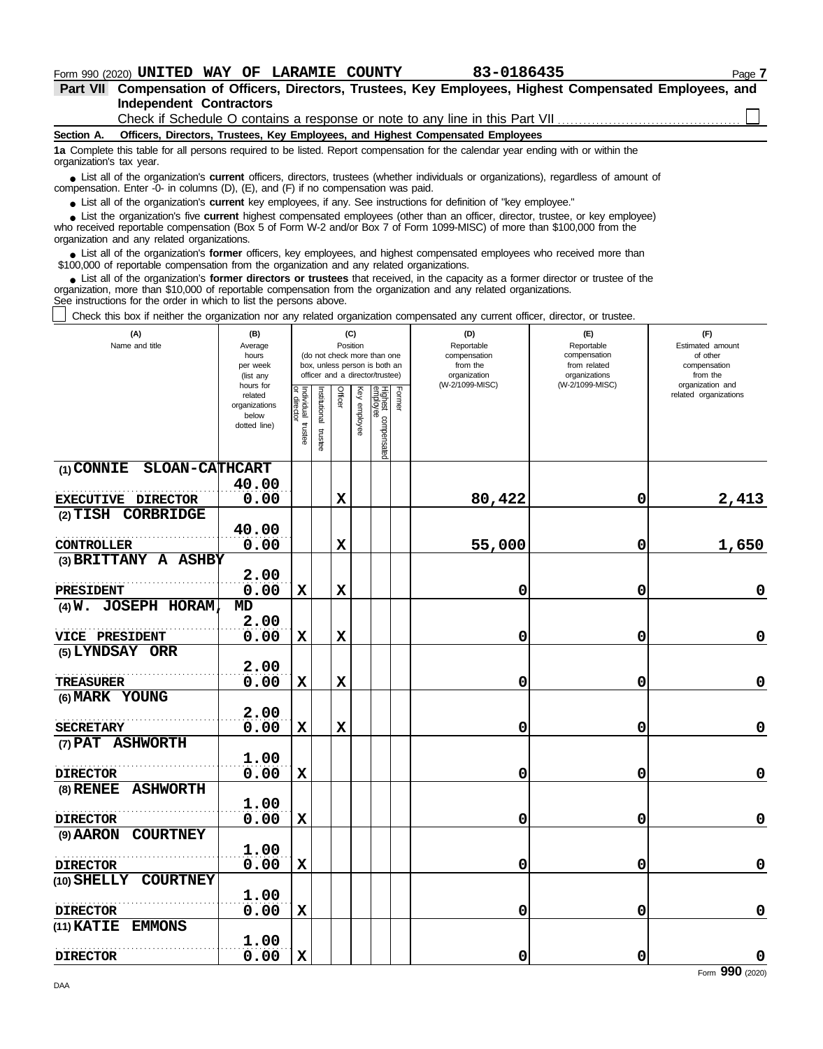# **Form 990 (2020) UNITED WAY OF LARAMIE COUNTY 63-0186435** Page 7

**Independent Contractors Part VII Compensation of Officers, Directors, Trustees, Key Employees, Highest Compensated Employees, and**

Check if Schedule O contains a response or note to any line in this Part VII ............

**Section A. Officers, Directors, Trustees, Key Employees, and Highest Compensated Employees**

**1a** Complete this table for all persons required to be listed. Report compensation for the calendar year ending with or within the organization's tax year.

■ List all of the organization's **current** officers, directors, trustees (whether individuals or organizations), regardless of amount of the organization and the organization was paid compensation. Enter -0- in columns (D), (E), and (F) if no compensation was paid.

● List all of the organization's **current** key employees, if any. See instructions for definition of "key employee."

who received reportable compensation (Box 5 of Form W-2 and/or Box 7 of Form 1099-MISC) of more than \$100,000 from the organization and any related organizations. ■ List the organization's five **current** highest compensated employees (other than an officer, director, trustee, or key employee)<br> **•** Peceived reportable compensation (Box 5 of Form W-2 and/or Box 7 of Form 1000-MISC) o

■ List all of the organization's **former** officers, key employees, and highest compensated employees who received more than<br>00,000 of reportable compensation from the organization and any related organizations \$100,000 of reportable compensation from the organization and any related organizations.

■ List all of the organization's **former directors or trustees** that received, in the capacity as a former director or trustee of the prization more than \$10,000 of reportable compensation from the organization and any re organization, more than \$10,000 of reportable compensation from the organization and any related organizations. See instructions for the order in which to list the persons above.

Check this box if neither the organization nor any related organization compensated any current officer, director, or trustee.

| Check this box if heither the organization hor any related organization compensated any current officer, director, or trustee. |                                                                |                                      |                                                                                                                    |                |                 |                                 |        |                                                               |                                                                    |                                                                 |
|--------------------------------------------------------------------------------------------------------------------------------|----------------------------------------------------------------|--------------------------------------|--------------------------------------------------------------------------------------------------------------------|----------------|-----------------|---------------------------------|--------|---------------------------------------------------------------|--------------------------------------------------------------------|-----------------------------------------------------------------|
| (A)<br>Name and title                                                                                                          | (B)<br>Average<br>hours<br>per week<br>(list any               |                                      | (C)<br>Position<br>(do not check more than one<br>box, unless person is both an<br>officer and a director/trustee) |                |                 |                                 |        | (D)<br>Reportable<br>compensation<br>from the<br>organization | (F)<br>Reportable<br>compensation<br>from related<br>organizations | (F)<br>Estimated amount<br>of other<br>compensation<br>from the |
|                                                                                                                                | hours for<br>related<br>organizations<br>below<br>dotted line) | Individual<br>or director<br>trustee | Institutional<br>trustee                                                                                           | <b>Officer</b> | Key<br>employee | Highest compensated<br>employee | Former | (W-2/1099-MISC)                                               | (W-2/1099-MISC)                                                    | organization and<br>related organizations                       |
| (1) CONNIE SLOAN-CATHCART                                                                                                      | 40.00                                                          |                                      |                                                                                                                    |                |                 |                                 |        |                                                               |                                                                    |                                                                 |
| <b>EXECUTIVE DIRECTOR</b>                                                                                                      | 0.00                                                           |                                      |                                                                                                                    | $\mathbf x$    |                 |                                 |        | 80,422                                                        | 0                                                                  | 2,413                                                           |
| CORBRIDGE<br>$(2)$ $TISH$                                                                                                      |                                                                |                                      |                                                                                                                    |                |                 |                                 |        |                                                               |                                                                    |                                                                 |
| <b>CONTROLLER</b>                                                                                                              | 40.00<br>0.00                                                  |                                      |                                                                                                                    | $\mathbf x$    |                 |                                 |        | 55,000                                                        | 0                                                                  | 1,650                                                           |
| (3) BRITTANY A ASHBY                                                                                                           |                                                                |                                      |                                                                                                                    |                |                 |                                 |        |                                                               |                                                                    |                                                                 |
| <b>PRESIDENT</b>                                                                                                               | 2.00<br>0.00                                                   | X                                    |                                                                                                                    | $\mathbf x$    |                 |                                 |        | 0                                                             | 0                                                                  | $\mathbf 0$                                                     |
| $(4)$ W. JOSEPH HORAM                                                                                                          | MD                                                             |                                      |                                                                                                                    |                |                 |                                 |        |                                                               |                                                                    |                                                                 |
| <b>VICE PRESIDENT</b>                                                                                                          | 2.00<br>0.00                                                   | $\mathbf x$                          |                                                                                                                    | $\mathbf x$    |                 |                                 |        | 0                                                             | 0                                                                  | $\mathbf 0$                                                     |
| (5) LYNDSAY ORR                                                                                                                |                                                                |                                      |                                                                                                                    |                |                 |                                 |        |                                                               |                                                                    |                                                                 |
|                                                                                                                                | 2.00                                                           |                                      |                                                                                                                    |                |                 |                                 |        |                                                               |                                                                    |                                                                 |
| <b>TREASURER</b>                                                                                                               | 0.00                                                           | X                                    |                                                                                                                    | $\mathbf x$    |                 |                                 |        | 0                                                             | 0                                                                  | $\pmb{0}$                                                       |
| (6) MARK YOUNG                                                                                                                 | 2.00                                                           |                                      |                                                                                                                    |                |                 |                                 |        |                                                               |                                                                    |                                                                 |
| <b>SECRETARY</b>                                                                                                               | 0.00                                                           | X                                    |                                                                                                                    | $\mathbf x$    |                 |                                 |        | 0                                                             | 0                                                                  | $\mathbf 0$                                                     |
| (7) PAT ASHWORTH                                                                                                               |                                                                |                                      |                                                                                                                    |                |                 |                                 |        |                                                               |                                                                    |                                                                 |
| <b>DIRECTOR</b>                                                                                                                | 1.00<br>0.00                                                   | $\mathbf x$                          |                                                                                                                    |                |                 |                                 |        | 0                                                             | 0                                                                  | $\pmb{0}$                                                       |
| <b>ASHWORTH</b><br>$(8)$ RENEE                                                                                                 |                                                                |                                      |                                                                                                                    |                |                 |                                 |        |                                                               |                                                                    |                                                                 |
|                                                                                                                                | 1.00                                                           |                                      |                                                                                                                    |                |                 |                                 |        |                                                               |                                                                    |                                                                 |
| <b>DIRECTOR</b>                                                                                                                | 0.00                                                           | $\mathbf x$                          |                                                                                                                    |                |                 |                                 |        | 0                                                             | 0                                                                  | $\pmb{0}$                                                       |
| (9) AARON COURTNEY                                                                                                             | 1.00                                                           |                                      |                                                                                                                    |                |                 |                                 |        |                                                               |                                                                    |                                                                 |
| <b>DIRECTOR</b>                                                                                                                | 0.00                                                           | $\mathbf x$                          |                                                                                                                    |                |                 |                                 |        | 0                                                             | 0                                                                  | $\mathbf 0$                                                     |
| (10) SHELLY<br><b>COURTNEY</b>                                                                                                 |                                                                |                                      |                                                                                                                    |                |                 |                                 |        |                                                               |                                                                    |                                                                 |
| <b>DIRECTOR</b>                                                                                                                | 1.00<br>0.00                                                   | X                                    |                                                                                                                    |                |                 |                                 |        | 0                                                             | 0                                                                  | $\mathbf 0$                                                     |
| (11) KATIE<br><b>EMMONS</b>                                                                                                    |                                                                |                                      |                                                                                                                    |                |                 |                                 |        |                                                               |                                                                    |                                                                 |
|                                                                                                                                | 1.00                                                           | $\mathbf x$                          |                                                                                                                    |                |                 |                                 |        |                                                               | $\mathbf 0$                                                        |                                                                 |
| <b>DIRECTOR</b>                                                                                                                | 0.00                                                           |                                      |                                                                                                                    |                |                 |                                 |        | 0                                                             |                                                                    | $\boldsymbol{0}$<br>Form $990$ (2020)                           |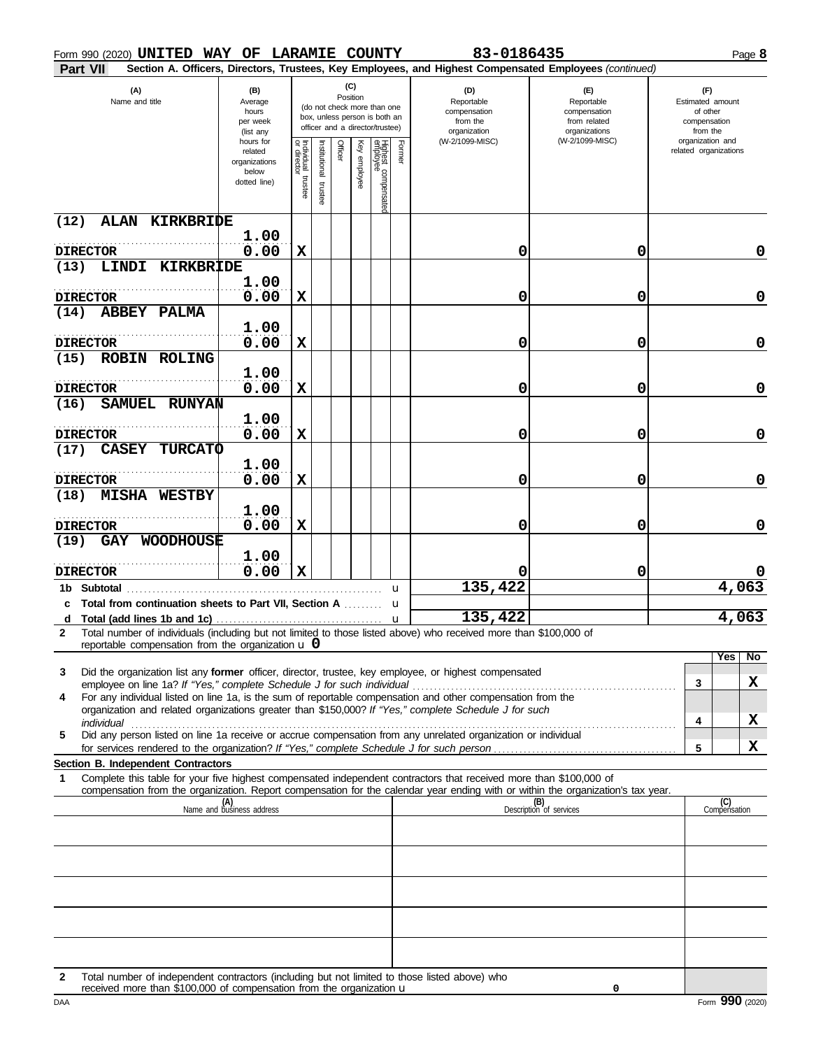| Form 990 (2020) UNITED WAY OF LARAMIE COUNTY                                                                                                                                                                                                                                                                                  |                                                                |                       |                         |          |                 |                                                                                                 |        | 83-0186435                                                                       |                                                                                                        |                                                                                     | Page 8              |
|-------------------------------------------------------------------------------------------------------------------------------------------------------------------------------------------------------------------------------------------------------------------------------------------------------------------------------|----------------------------------------------------------------|-----------------------|-------------------------|----------|-----------------|-------------------------------------------------------------------------------------------------|--------|----------------------------------------------------------------------------------|--------------------------------------------------------------------------------------------------------|-------------------------------------------------------------------------------------|---------------------|
| Part VII                                                                                                                                                                                                                                                                                                                      |                                                                |                       |                         |          |                 |                                                                                                 |        |                                                                                  | Section A. Officers, Directors, Trustees, Key Employees, and Highest Compensated Employees (continued) |                                                                                     |                     |
| (A)<br>Name and title                                                                                                                                                                                                                                                                                                         | (B)<br>Average<br>hours<br>per week<br>(list any               |                       |                         | Position | (C)             | (do not check more than one<br>box, unless person is both an<br>officer and a director/trustee) |        | (D)<br>Reportable<br>compensation<br>from the<br>organization<br>(W-2/1099-MISC) | (E)<br>Reportable<br>compensation<br>from related<br>organizations<br>(W-2/1099-MISC)                  | (F)<br>Estimated amount<br>of other<br>compensation<br>from the<br>organization and |                     |
|                                                                                                                                                                                                                                                                                                                               | hours for<br>related<br>organizations<br>below<br>dotted line) | Individual<br>trustee | nstitutional<br>trustee | Officer  | Ķey<br>enployee | Highest compensatec<br>employee                                                                 | Former |                                                                                  |                                                                                                        | related organizations                                                               |                     |
| KIRKBRIDE<br>(12)<br><b>ALAN</b>                                                                                                                                                                                                                                                                                              | 1.00                                                           |                       |                         |          |                 |                                                                                                 |        |                                                                                  |                                                                                                        |                                                                                     |                     |
| <b>DIRECTOR</b>                                                                                                                                                                                                                                                                                                               | 0.00                                                           | X                     |                         |          |                 |                                                                                                 |        | 0                                                                                | 0                                                                                                      |                                                                                     | 0                   |
| (13)<br>LINDI<br><b>KIRKBRIDE</b>                                                                                                                                                                                                                                                                                             |                                                                |                       |                         |          |                 |                                                                                                 |        |                                                                                  |                                                                                                        |                                                                                     |                     |
|                                                                                                                                                                                                                                                                                                                               | 1.00                                                           |                       |                         |          |                 |                                                                                                 |        |                                                                                  |                                                                                                        |                                                                                     |                     |
| <b>DIRECTOR</b><br><b>ABBEY</b><br><b>PALMA</b><br>(14)                                                                                                                                                                                                                                                                       | 0.00                                                           | X                     |                         |          |                 |                                                                                                 |        | 0                                                                                | 0                                                                                                      |                                                                                     | 0                   |
|                                                                                                                                                                                                                                                                                                                               | 1.00                                                           |                       |                         |          |                 |                                                                                                 |        |                                                                                  |                                                                                                        |                                                                                     |                     |
| <b>DIRECTOR</b>                                                                                                                                                                                                                                                                                                               | 0.00                                                           | X                     |                         |          |                 |                                                                                                 |        | 0                                                                                | 0                                                                                                      |                                                                                     | 0                   |
| <b>ROBIN</b><br><b>ROLING</b><br>(15)                                                                                                                                                                                                                                                                                         | 1.00                                                           |                       |                         |          |                 |                                                                                                 |        |                                                                                  |                                                                                                        |                                                                                     |                     |
| <b>DIRECTOR</b>                                                                                                                                                                                                                                                                                                               | 0.00                                                           | X                     |                         |          |                 |                                                                                                 |        | 0                                                                                | 0                                                                                                      |                                                                                     | 0                   |
| <b>SAMUEL</b><br><b>RUNYAN</b><br>(16)                                                                                                                                                                                                                                                                                        |                                                                |                       |                         |          |                 |                                                                                                 |        |                                                                                  |                                                                                                        |                                                                                     |                     |
|                                                                                                                                                                                                                                                                                                                               | 1.00                                                           |                       |                         |          |                 |                                                                                                 |        |                                                                                  |                                                                                                        |                                                                                     |                     |
| <b>DIRECTOR</b><br><b>CASEY</b><br><b>TURCATO</b><br>(17)                                                                                                                                                                                                                                                                     | 0.00                                                           | X                     |                         |          |                 |                                                                                                 |        | 0                                                                                | 0                                                                                                      |                                                                                     | 0                   |
|                                                                                                                                                                                                                                                                                                                               | 1.00                                                           |                       |                         |          |                 |                                                                                                 |        |                                                                                  |                                                                                                        |                                                                                     |                     |
| <b>DIRECTOR</b>                                                                                                                                                                                                                                                                                                               | 0.00                                                           | X                     |                         |          |                 |                                                                                                 |        | 0                                                                                | 0                                                                                                      |                                                                                     | 0                   |
| (18)<br><b>MISHA</b><br><b>WESTBY</b>                                                                                                                                                                                                                                                                                         |                                                                |                       |                         |          |                 |                                                                                                 |        |                                                                                  |                                                                                                        |                                                                                     |                     |
| <b>DIRECTOR</b>                                                                                                                                                                                                                                                                                                               | 1.00<br>0.00                                                   | X                     |                         |          |                 |                                                                                                 |        | 0                                                                                | 0                                                                                                      |                                                                                     | 0                   |
| WOODHOUSE<br>(19)<br><b>GAY</b>                                                                                                                                                                                                                                                                                               |                                                                |                       |                         |          |                 |                                                                                                 |        |                                                                                  |                                                                                                        |                                                                                     |                     |
|                                                                                                                                                                                                                                                                                                                               | 1.00                                                           |                       |                         |          |                 |                                                                                                 |        |                                                                                  |                                                                                                        |                                                                                     |                     |
| <b>DIRECTOR</b>                                                                                                                                                                                                                                                                                                               | 0.00                                                           | $\mathbf x$           |                         |          |                 |                                                                                                 |        | 135, 422                                                                         | 0                                                                                                      |                                                                                     | 4,063               |
| 1b Subtotal<br>c Total from continuation sheets to Part VII, Section A                                                                                                                                                                                                                                                        |                                                                |                       |                         |          |                 | u<br>u                                                                                          |        |                                                                                  |                                                                                                        |                                                                                     |                     |
| d Total (add lines 1b and 1c) $\ldots$ $\ldots$ $\ldots$ $\ldots$ $\ldots$ $\ldots$ $\ldots$ $\ldots$ $\ldots$ $\ldots$ $\ldots$ $\ldots$ $\ldots$ $\ldots$ $\ldots$ $\ldots$ $\ldots$ $\ldots$ $\ldots$ $\ldots$ $\ldots$ $\ldots$ $\ldots$ $\ldots$ $\ldots$ $\ldots$ $\ldots$ $\ldots$ $\ldots$ $\ldots$ $\ldots$ $\ldots$ |                                                                |                       |                         |          |                 |                                                                                                 |        |                                                                                  |                                                                                                        |                                                                                     | 4,063               |
| Total number of individuals (including but not limited to those listed above) who received more than \$100,000 of<br>2<br>reportable compensation from the organization $\bf{u}$ 0                                                                                                                                            |                                                                |                       |                         |          |                 |                                                                                                 |        |                                                                                  |                                                                                                        |                                                                                     |                     |
|                                                                                                                                                                                                                                                                                                                               |                                                                |                       |                         |          |                 |                                                                                                 |        |                                                                                  |                                                                                                        |                                                                                     | No<br>Yes           |
| 3<br>Did the organization list any former officer, director, trustee, key employee, or highest compensated                                                                                                                                                                                                                    |                                                                |                       |                         |          |                 |                                                                                                 |        |                                                                                  |                                                                                                        | 3                                                                                   | X                   |
| For any individual listed on line 1a, is the sum of reportable compensation and other compensation from the<br>4                                                                                                                                                                                                              |                                                                |                       |                         |          |                 |                                                                                                 |        |                                                                                  |                                                                                                        |                                                                                     |                     |
| organization and related organizations greater than \$150,000? If "Yes," complete Schedule J for such                                                                                                                                                                                                                         |                                                                |                       |                         |          |                 |                                                                                                 |        |                                                                                  |                                                                                                        | 4                                                                                   | X                   |
| Did any person listed on line 1a receive or accrue compensation from any unrelated organization or individual<br>5                                                                                                                                                                                                            |                                                                |                       |                         |          |                 |                                                                                                 |        |                                                                                  |                                                                                                        |                                                                                     |                     |
|                                                                                                                                                                                                                                                                                                                               |                                                                |                       |                         |          |                 |                                                                                                 |        |                                                                                  |                                                                                                        | 5                                                                                   | X                   |
| Section B. Independent Contractors<br>Complete this table for your five highest compensated independent contractors that received more than \$100,000 of<br>1                                                                                                                                                                 |                                                                |                       |                         |          |                 |                                                                                                 |        |                                                                                  |                                                                                                        |                                                                                     |                     |
| compensation from the organization. Report compensation for the calendar year ending with or within the organization's tax year.                                                                                                                                                                                              |                                                                |                       |                         |          |                 |                                                                                                 |        |                                                                                  |                                                                                                        |                                                                                     |                     |
|                                                                                                                                                                                                                                                                                                                               | (A)<br>Name and business address                               |                       |                         |          |                 |                                                                                                 |        |                                                                                  | (B)<br>Description of services                                                                         |                                                                                     | (C)<br>Compensation |
|                                                                                                                                                                                                                                                                                                                               |                                                                |                       |                         |          |                 |                                                                                                 |        |                                                                                  |                                                                                                        |                                                                                     |                     |
|                                                                                                                                                                                                                                                                                                                               |                                                                |                       |                         |          |                 |                                                                                                 |        |                                                                                  |                                                                                                        |                                                                                     |                     |
|                                                                                                                                                                                                                                                                                                                               |                                                                |                       |                         |          |                 |                                                                                                 |        |                                                                                  |                                                                                                        |                                                                                     |                     |
|                                                                                                                                                                                                                                                                                                                               |                                                                |                       |                         |          |                 |                                                                                                 |        |                                                                                  |                                                                                                        |                                                                                     |                     |
|                                                                                                                                                                                                                                                                                                                               |                                                                |                       |                         |          |                 |                                                                                                 |        |                                                                                  |                                                                                                        |                                                                                     |                     |
|                                                                                                                                                                                                                                                                                                                               |                                                                |                       |                         |          |                 |                                                                                                 |        |                                                                                  |                                                                                                        |                                                                                     |                     |
|                                                                                                                                                                                                                                                                                                                               |                                                                |                       |                         |          |                 |                                                                                                 |        |                                                                                  |                                                                                                        |                                                                                     |                     |
|                                                                                                                                                                                                                                                                                                                               |                                                                |                       |                         |          |                 |                                                                                                 |        |                                                                                  |                                                                                                        |                                                                                     |                     |

| Total number of independent contractors (including but not limited to those listed above) who |
|-----------------------------------------------------------------------------------------------|
| received more than \$100,000 of compensation from the organization $\mathbf u$                |

**0**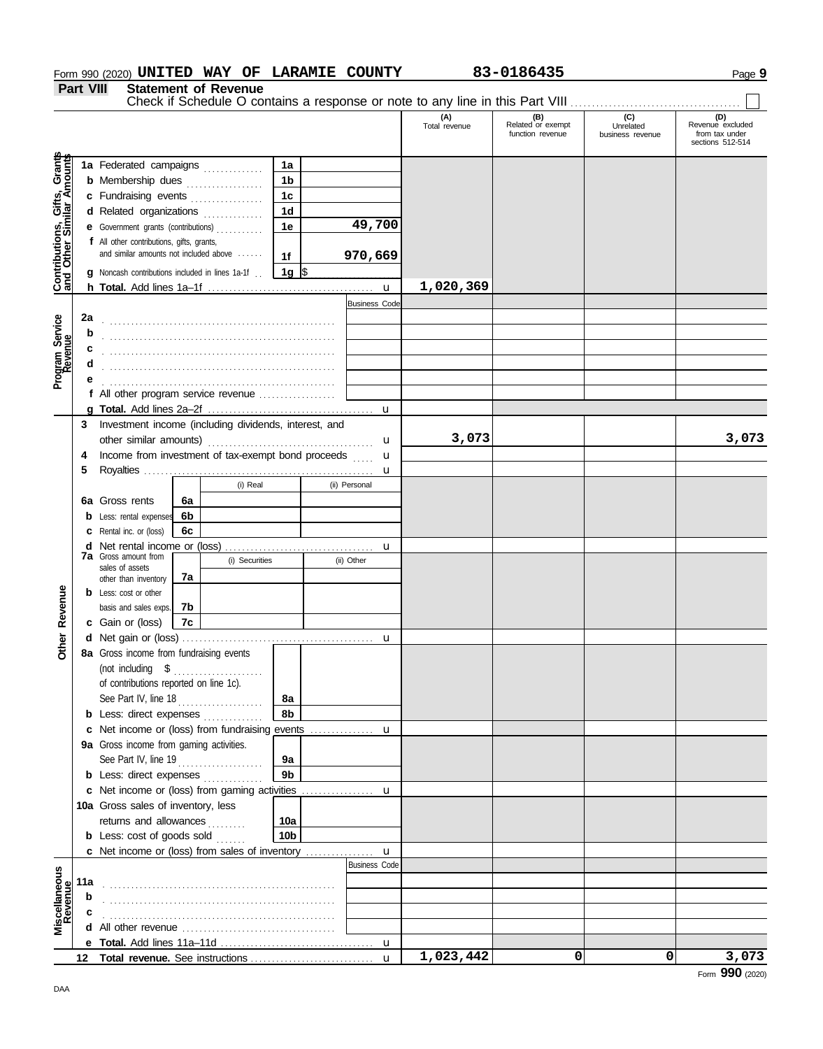# **Form 990 (2020) UNITED WAY OF LARAMIE COUNTY 83-0186435** Page 9

**Part VIII Statement of Revenue**

|                                                                  | <b>Fail VIII</b> |                                                                                  |    | Statement of Revenue |                      |                                  |                      |                                              |                                      |                                                               |
|------------------------------------------------------------------|------------------|----------------------------------------------------------------------------------|----|----------------------|----------------------|----------------------------------|----------------------|----------------------------------------------|--------------------------------------|---------------------------------------------------------------|
|                                                                  |                  |                                                                                  |    |                      |                      |                                  | (A)<br>Total revenue | (B)<br>Related or exempt<br>function revenue | (C)<br>Unrelated<br>business revenue | (D)<br>Revenue excluded<br>from tax under<br>sections 512-514 |
| <b>Contributions, Gifts, Grants</b><br>and Other Similar Amounts |                  | 1a Federated campaigns                                                           |    |                      | 1a                   |                                  |                      |                                              |                                      |                                                               |
|                                                                  |                  | <b>b</b> Membership dues                                                         |    |                      | 1b                   |                                  |                      |                                              |                                      |                                                               |
|                                                                  |                  | c Fundraising events                                                             |    |                      | 1 <sub>c</sub>       |                                  |                      |                                              |                                      |                                                               |
|                                                                  |                  | d Related organizations                                                          |    | .                    | 1 <sub>d</sub>       |                                  |                      |                                              |                                      |                                                               |
|                                                                  |                  | e Government grants (contributions)                                              |    |                      | 1e                   | 49,700                           |                      |                                              |                                      |                                                               |
|                                                                  |                  | f All other contributions, gifts, grants,                                        |    |                      |                      |                                  |                      |                                              |                                      |                                                               |
|                                                                  |                  | and similar amounts not included above                                           |    |                      | 1 <sub>f</sub>       | 970,669                          |                      |                                              |                                      |                                                               |
|                                                                  |                  | <b>q</b> Noncash contributions included in lines 1a-1f                           |    |                      | 1g $\sqrt{3}$        |                                  |                      |                                              |                                      |                                                               |
|                                                                  |                  |                                                                                  |    |                      |                      | $\mathbf{u}$                     | 1,020,369            |                                              |                                      |                                                               |
|                                                                  |                  |                                                                                  |    |                      |                      | <b>Business Code</b>             |                      |                                              |                                      |                                                               |
|                                                                  | 2a               |                                                                                  |    |                      |                      |                                  |                      |                                              |                                      |                                                               |
|                                                                  | b                |                                                                                  |    |                      |                      |                                  |                      |                                              |                                      |                                                               |
|                                                                  | с                |                                                                                  |    |                      |                      |                                  |                      |                                              |                                      |                                                               |
| Program Service<br>Revenue                                       |                  |                                                                                  |    |                      |                      |                                  |                      |                                              |                                      |                                                               |
|                                                                  |                  |                                                                                  |    |                      |                      |                                  |                      |                                              |                                      |                                                               |
|                                                                  |                  | f All other program service revenue                                              |    |                      |                      |                                  |                      |                                              |                                      |                                                               |
|                                                                  |                  |                                                                                  |    |                      |                      |                                  |                      |                                              |                                      |                                                               |
|                                                                  | 3                | Investment income (including dividends, interest, and                            |    |                      |                      |                                  |                      |                                              |                                      |                                                               |
|                                                                  |                  | other similar amounts)                                                           |    |                      |                      | u                                | 3,073                |                                              |                                      | 3,073                                                         |
|                                                                  | 4                | Income from investment of tax-exempt bond proceeds                               |    |                      |                      | $\mathbf u$<br><b>Collection</b> |                      |                                              |                                      |                                                               |
|                                                                  | 5                |                                                                                  |    |                      |                      | u                                |                      |                                              |                                      |                                                               |
|                                                                  |                  |                                                                                  |    | (i) Real             |                      | (ii) Personal                    |                      |                                              |                                      |                                                               |
|                                                                  | 6а               | Gross rents                                                                      | 6a |                      |                      |                                  |                      |                                              |                                      |                                                               |
|                                                                  | b                | Less: rental expenses                                                            | 6b |                      |                      |                                  |                      |                                              |                                      |                                                               |
|                                                                  |                  | Rental inc. or (loss)                                                            | 6c |                      |                      |                                  |                      |                                              |                                      |                                                               |
|                                                                  | d                | <b>7a</b> Gross amount from                                                      |    |                      |                      | u                                |                      |                                              |                                      |                                                               |
|                                                                  |                  | sales of assets                                                                  |    | (i) Securities       |                      | (ii) Other                       |                      |                                              |                                      |                                                               |
|                                                                  |                  | other than inventory                                                             | 7a |                      |                      |                                  |                      |                                              |                                      |                                                               |
|                                                                  |                  | <b>b</b> Less: cost or other                                                     |    |                      |                      |                                  |                      |                                              |                                      |                                                               |
|                                                                  |                  | basis and sales exps.                                                            | 7b |                      |                      |                                  |                      |                                              |                                      |                                                               |
| <b>Other Revenue</b>                                             |                  | c Gain or (loss)                                                                 | 7c |                      |                      |                                  |                      |                                              |                                      |                                                               |
|                                                                  |                  |                                                                                  |    |                      |                      | u                                |                      |                                              |                                      |                                                               |
|                                                                  |                  | 8a Gross income from fundraising events                                          |    |                      |                      |                                  |                      |                                              |                                      |                                                               |
|                                                                  |                  |                                                                                  |    |                      |                      |                                  |                      |                                              |                                      |                                                               |
|                                                                  |                  | of contributions reported on line 1c).                                           |    |                      |                      |                                  |                      |                                              |                                      |                                                               |
|                                                                  |                  |                                                                                  |    |                      | 8a<br>8b             |                                  |                      |                                              |                                      |                                                               |
|                                                                  |                  | <b>b</b> Less: direct expenses<br>c Net income or (loss) from fundraising events |    |                      |                      |                                  |                      |                                              |                                      |                                                               |
|                                                                  |                  | 9a Gross income from gaming activities.                                          |    |                      |                      | u                                |                      |                                              |                                      |                                                               |
|                                                                  |                  |                                                                                  |    |                      |                      |                                  |                      |                                              |                                      |                                                               |
|                                                                  |                  | See Part IV, line 19<br><b>b</b> Less: direct expenses                           |    |                      | 9a<br>9 <sub>b</sub> |                                  |                      |                                              |                                      |                                                               |
|                                                                  |                  | c Net income or (loss) from gaming activities                                    |    |                      |                      | u                                |                      |                                              |                                      |                                                               |
|                                                                  |                  | 10a Gross sales of inventory, less                                               |    |                      |                      |                                  |                      |                                              |                                      |                                                               |
|                                                                  |                  | returns and allowances                                                           |    |                      | 10a                  |                                  |                      |                                              |                                      |                                                               |
|                                                                  |                  | <b>b</b> Less: $cost$ of goods $sold$                                            |    |                      | 10 <sub>b</sub>      |                                  |                      |                                              |                                      |                                                               |
|                                                                  |                  | c Net income or (loss) from sales of inventory                                   |    |                      |                      | $\mathbf{u}$                     |                      |                                              |                                      |                                                               |
|                                                                  |                  |                                                                                  |    |                      |                      | <b>Business Code</b>             |                      |                                              |                                      |                                                               |
|                                                                  | 11a              |                                                                                  |    |                      |                      |                                  |                      |                                              |                                      |                                                               |
| Revenue                                                          | b                |                                                                                  |    |                      |                      |                                  |                      |                                              |                                      |                                                               |
|                                                                  |                  |                                                                                  |    |                      |                      |                                  |                      |                                              |                                      |                                                               |
| Miscellaneous                                                    | d                |                                                                                  |    |                      |                      |                                  |                      |                                              |                                      |                                                               |
|                                                                  |                  |                                                                                  |    |                      |                      |                                  |                      |                                              |                                      |                                                               |
|                                                                  |                  |                                                                                  |    |                      |                      | $\mathbf{u}$                     | 1,023,442            | 0                                            | 0                                    | 3,073                                                         |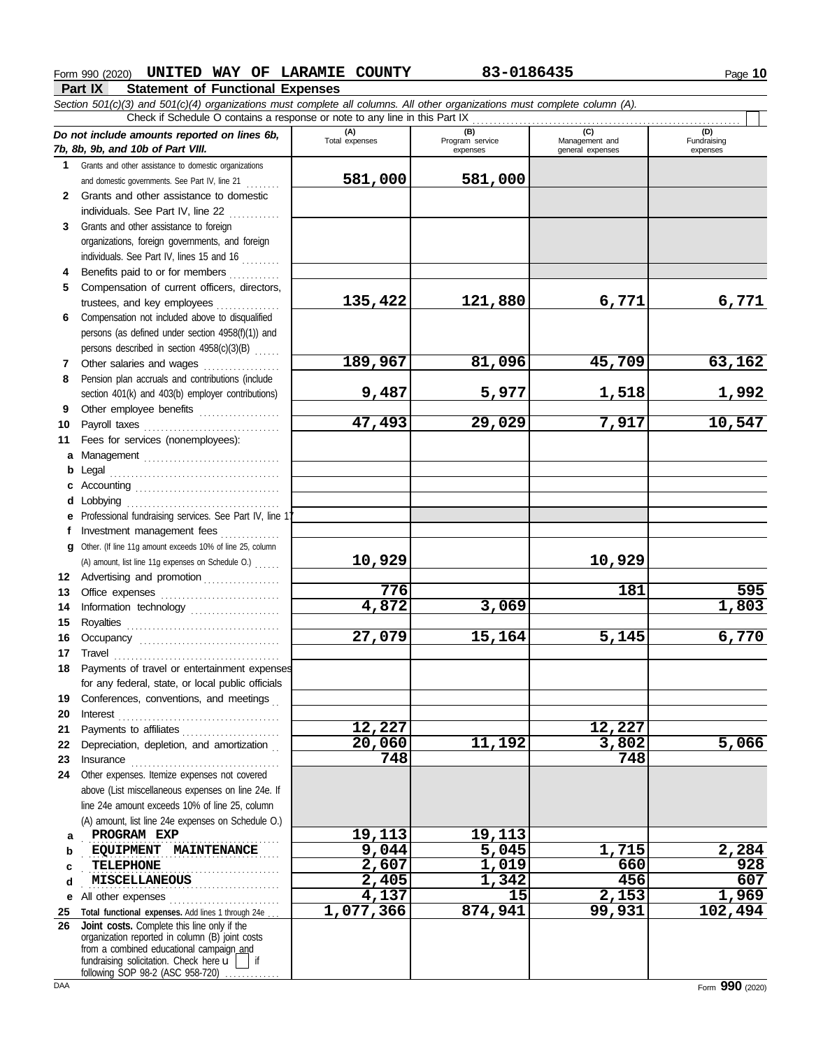# **Form 990 (2020) UNITED WAY OF LARAMIE COUNTY 83-0186435** Page 10

**Part IX Statement of Functional Expenses**

*Section 501(c)(3) and 501(c)(4) organizations must complete all columns. All other organizations must complete column (A).* Check if Schedule O contains a response or note to any line in this Part IX  $\overline{a}$ 

|              | Check if Schedule O contains a response or note to any line in this Part IX                                                                                                                                                                                                                                                                                                                                                                                                                                             |                       |                                    |                                    |                                |  |  |  |  |  |  |
|--------------|-------------------------------------------------------------------------------------------------------------------------------------------------------------------------------------------------------------------------------------------------------------------------------------------------------------------------------------------------------------------------------------------------------------------------------------------------------------------------------------------------------------------------|-----------------------|------------------------------------|------------------------------------|--------------------------------|--|--|--|--|--|--|
|              | Do not include amounts reported on lines 6b,<br>7b, 8b, 9b, and 10b of Part VIII.                                                                                                                                                                                                                                                                                                                                                                                                                                       | (A)<br>Total expenses | (B)<br>Program service<br>expenses | Management and<br>general expenses | (D)<br>Fundraising<br>expenses |  |  |  |  |  |  |
|              | 1 Grants and other assistance to domestic organizations                                                                                                                                                                                                                                                                                                                                                                                                                                                                 |                       |                                    |                                    |                                |  |  |  |  |  |  |
|              | and domestic governments. See Part IV, line 21                                                                                                                                                                                                                                                                                                                                                                                                                                                                          | 581,000               | 581,000                            |                                    |                                |  |  |  |  |  |  |
| $\mathbf{2}$ | Grants and other assistance to domestic                                                                                                                                                                                                                                                                                                                                                                                                                                                                                 |                       |                                    |                                    |                                |  |  |  |  |  |  |
|              | individuals. See Part IV, line 22                                                                                                                                                                                                                                                                                                                                                                                                                                                                                       |                       |                                    |                                    |                                |  |  |  |  |  |  |
| 3            | Grants and other assistance to foreign                                                                                                                                                                                                                                                                                                                                                                                                                                                                                  |                       |                                    |                                    |                                |  |  |  |  |  |  |
|              | organizations, foreign governments, and foreign                                                                                                                                                                                                                                                                                                                                                                                                                                                                         |                       |                                    |                                    |                                |  |  |  |  |  |  |
|              | individuals. See Part IV, lines 15 and 16                                                                                                                                                                                                                                                                                                                                                                                                                                                                               |                       |                                    |                                    |                                |  |  |  |  |  |  |
| 4            | Benefits paid to or for members                                                                                                                                                                                                                                                                                                                                                                                                                                                                                         |                       |                                    |                                    |                                |  |  |  |  |  |  |
| 5.           | Compensation of current officers, directors,                                                                                                                                                                                                                                                                                                                                                                                                                                                                            |                       |                                    |                                    |                                |  |  |  |  |  |  |
|              |                                                                                                                                                                                                                                                                                                                                                                                                                                                                                                                         | 135,422               | 121,880                            | 6,771                              | 6,771                          |  |  |  |  |  |  |
| 6            | Compensation not included above to disqualified                                                                                                                                                                                                                                                                                                                                                                                                                                                                         |                       |                                    |                                    |                                |  |  |  |  |  |  |
|              | persons (as defined under section 4958(f)(1)) and                                                                                                                                                                                                                                                                                                                                                                                                                                                                       |                       |                                    |                                    |                                |  |  |  |  |  |  |
|              | persons described in section 4958(c)(3)(B)                                                                                                                                                                                                                                                                                                                                                                                                                                                                              |                       |                                    |                                    |                                |  |  |  |  |  |  |
| 7            | Other salaries and wages                                                                                                                                                                                                                                                                                                                                                                                                                                                                                                | 189,967               | 81,096                             | 45,709                             | 63,162                         |  |  |  |  |  |  |
| 8            | Pension plan accruals and contributions (include                                                                                                                                                                                                                                                                                                                                                                                                                                                                        |                       |                                    |                                    |                                |  |  |  |  |  |  |
|              | section 401(k) and 403(b) employer contributions)                                                                                                                                                                                                                                                                                                                                                                                                                                                                       | 9,487                 | 5,977                              | 1,518                              | <u>1,992</u>                   |  |  |  |  |  |  |
| 9            | Other employee benefits                                                                                                                                                                                                                                                                                                                                                                                                                                                                                                 |                       |                                    |                                    |                                |  |  |  |  |  |  |
| 10           | Payroll taxes                                                                                                                                                                                                                                                                                                                                                                                                                                                                                                           | $\overline{47,493}$   | 29,029                             | 7,917                              | 10,547                         |  |  |  |  |  |  |
| 11           | Fees for services (nonemployees):                                                                                                                                                                                                                                                                                                                                                                                                                                                                                       |                       |                                    |                                    |                                |  |  |  |  |  |  |
|              |                                                                                                                                                                                                                                                                                                                                                                                                                                                                                                                         |                       |                                    |                                    |                                |  |  |  |  |  |  |
| b            |                                                                                                                                                                                                                                                                                                                                                                                                                                                                                                                         |                       |                                    |                                    |                                |  |  |  |  |  |  |
| C            |                                                                                                                                                                                                                                                                                                                                                                                                                                                                                                                         |                       |                                    |                                    |                                |  |  |  |  |  |  |
| d            |                                                                                                                                                                                                                                                                                                                                                                                                                                                                                                                         |                       |                                    |                                    |                                |  |  |  |  |  |  |
|              | e Professional fundraising services. See Part IV, line 11                                                                                                                                                                                                                                                                                                                                                                                                                                                               |                       |                                    |                                    |                                |  |  |  |  |  |  |
|              | f Investment management fees                                                                                                                                                                                                                                                                                                                                                                                                                                                                                            |                       |                                    |                                    |                                |  |  |  |  |  |  |
|              | g Other. (If line 11g amount exceeds 10% of line 25, column                                                                                                                                                                                                                                                                                                                                                                                                                                                             | 10,929                |                                    | 10,929                             |                                |  |  |  |  |  |  |
|              | (A) amount, list line 11g expenses on Schedule O.)                                                                                                                                                                                                                                                                                                                                                                                                                                                                      |                       |                                    |                                    |                                |  |  |  |  |  |  |
| 13           | 12 Advertising and promotion                                                                                                                                                                                                                                                                                                                                                                                                                                                                                            | 776                   |                                    | 181                                | 595                            |  |  |  |  |  |  |
| 14           |                                                                                                                                                                                                                                                                                                                                                                                                                                                                                                                         | 4,872                 | 3,069                              |                                    | 1,803                          |  |  |  |  |  |  |
| 15           | Information technology                                                                                                                                                                                                                                                                                                                                                                                                                                                                                                  |                       |                                    |                                    |                                |  |  |  |  |  |  |
| 16           |                                                                                                                                                                                                                                                                                                                                                                                                                                                                                                                         | 27,079                | 15,164                             | 5,145                              | 6,770                          |  |  |  |  |  |  |
| 17           | $\begin{minipage}[c]{0.9\linewidth} \begin{tabular}{l} \hline \textbf{Travel} \end{tabular} \end{minipage} \end{minipage} \begin{minipage}[c]{0.9\linewidth} \begin{tabular}{l} \hline \textbf{True} \end{tabular} \end{minipage} \end{minipage} \begin{minipage}[c]{0.9\linewidth} \begin{tabular}{l} \hline \textbf{True} \end{tabular} \end{minipage} \end{minipage} \begin{minipage}[c]{0.9\linewidth} \begin{tabular}{l} \hline \textbf{True} \end{tabular} \end{minipage} \end{minipage} \begin{minipage}[c]{0.9$ |                       |                                    |                                    |                                |  |  |  |  |  |  |
| 18           | Payments of travel or entertainment expenses                                                                                                                                                                                                                                                                                                                                                                                                                                                                            |                       |                                    |                                    |                                |  |  |  |  |  |  |
|              | for any federal, state, or local public officials                                                                                                                                                                                                                                                                                                                                                                                                                                                                       |                       |                                    |                                    |                                |  |  |  |  |  |  |
| 19           | Conferences, conventions, and meetings                                                                                                                                                                                                                                                                                                                                                                                                                                                                                  |                       |                                    |                                    |                                |  |  |  |  |  |  |
| 20           | $Interest$                                                                                                                                                                                                                                                                                                                                                                                                                                                                                                              |                       |                                    |                                    |                                |  |  |  |  |  |  |
| 21           | Payments to affiliates                                                                                                                                                                                                                                                                                                                                                                                                                                                                                                  | 12,227                |                                    | 12,227                             |                                |  |  |  |  |  |  |
| 22           | Depreciation, depletion, and amortization                                                                                                                                                                                                                                                                                                                                                                                                                                                                               | 20,060                | 11,192                             | 3,802                              | 5,066                          |  |  |  |  |  |  |
| 23           |                                                                                                                                                                                                                                                                                                                                                                                                                                                                                                                         | 748                   |                                    | 748                                |                                |  |  |  |  |  |  |
| 24           | Other expenses. Itemize expenses not covered                                                                                                                                                                                                                                                                                                                                                                                                                                                                            |                       |                                    |                                    |                                |  |  |  |  |  |  |
|              | above (List miscellaneous expenses on line 24e. If                                                                                                                                                                                                                                                                                                                                                                                                                                                                      |                       |                                    |                                    |                                |  |  |  |  |  |  |
|              | line 24e amount exceeds 10% of line 25, column                                                                                                                                                                                                                                                                                                                                                                                                                                                                          |                       |                                    |                                    |                                |  |  |  |  |  |  |
|              | (A) amount, list line 24e expenses on Schedule O.)                                                                                                                                                                                                                                                                                                                                                                                                                                                                      |                       |                                    |                                    |                                |  |  |  |  |  |  |
| a            | PROGRAM EXP                                                                                                                                                                                                                                                                                                                                                                                                                                                                                                             | 19,113                | 19,113                             |                                    |                                |  |  |  |  |  |  |
| b            | EQUIPMENT MAINTENANCE                                                                                                                                                                                                                                                                                                                                                                                                                                                                                                   | 9,044                 | 5,045                              | 1,715                              | 2,284                          |  |  |  |  |  |  |
| c            | <b>TELEPHONE</b>                                                                                                                                                                                                                                                                                                                                                                                                                                                                                                        | 2,607                 | 1,019                              | 660                                | 928                            |  |  |  |  |  |  |
| d            | <b>MISCELLANEOUS</b>                                                                                                                                                                                                                                                                                                                                                                                                                                                                                                    | 2,405                 | 1,342                              | 456                                | 607                            |  |  |  |  |  |  |
| е            | All other expenses                                                                                                                                                                                                                                                                                                                                                                                                                                                                                                      | 4,137                 | 15                                 | 2,153                              | 1,969                          |  |  |  |  |  |  |
| 25           | Total functional expenses. Add lines 1 through 24e                                                                                                                                                                                                                                                                                                                                                                                                                                                                      | 1,077,366             | 874,941                            | 99,931                             | 102,494                        |  |  |  |  |  |  |
| 26           | Joint costs. Complete this line only if the<br>organization reported in column (B) joint costs<br>from a combined educational campaign_and<br>fundraising solicitation. Check here $\mathbf{u}$   if<br>following SOP 98-2 (ASC 958-720)                                                                                                                                                                                                                                                                                |                       |                                    |                                    |                                |  |  |  |  |  |  |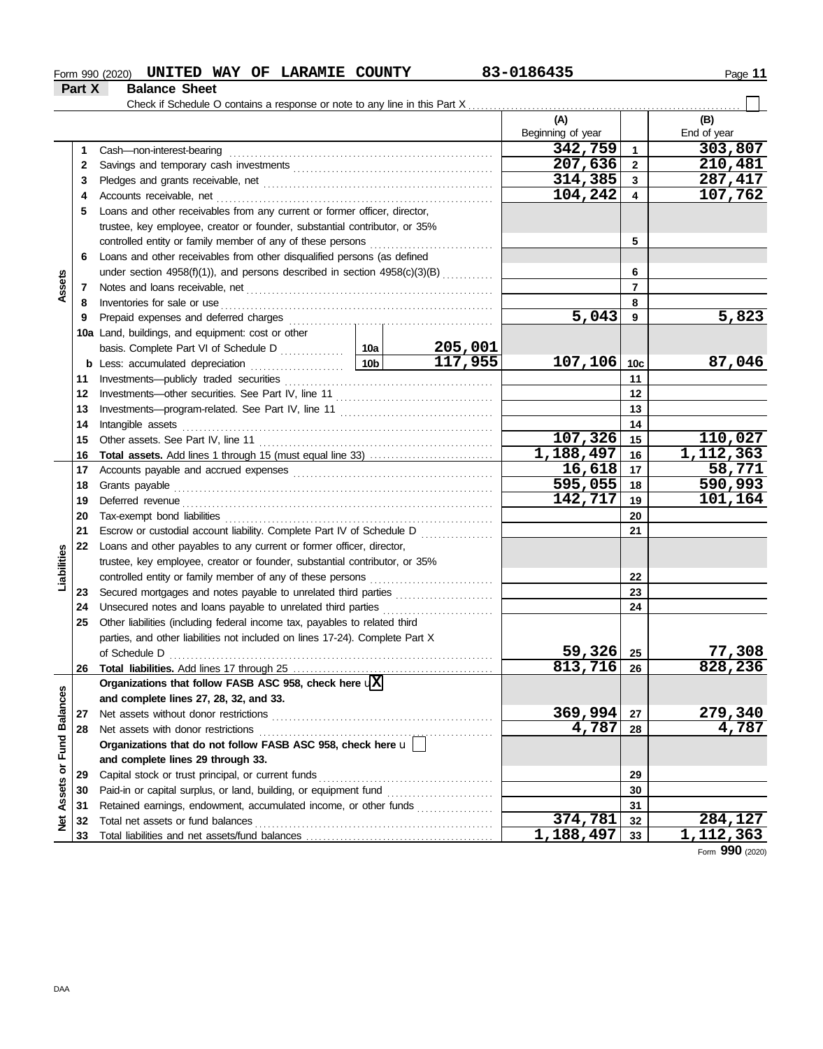# **Form 990 (2020) UNITED WAY OF LARAMIE COUNTY 83-0186435** Page 11

**Part X Balance Sheet**

|                      |    | Check if Schedule O contains a response or note to any line in this Part X                                                                                                                                                          |  |                |                   |                         |               |
|----------------------|----|-------------------------------------------------------------------------------------------------------------------------------------------------------------------------------------------------------------------------------------|--|----------------|-------------------|-------------------------|---------------|
|                      |    |                                                                                                                                                                                                                                     |  |                | (A)               |                         | (B)           |
|                      |    |                                                                                                                                                                                                                                     |  |                | Beginning of year |                         | End of year   |
|                      | 1  | Cash-non-interest-bearing                                                                                                                                                                                                           |  |                | 342,759           | $\overline{1}$          | 303,807       |
|                      | 2  |                                                                                                                                                                                                                                     |  |                | 207,636           | $\overline{\mathbf{2}}$ | 210,481       |
|                      | 3  |                                                                                                                                                                                                                                     |  |                | 314,385           | 3                       | 287,417       |
|                      | 4  |                                                                                                                                                                                                                                     |  |                | 104,242           | 4                       | 107,762       |
|                      | 5  | Loans and other receivables from any current or former officer, director,                                                                                                                                                           |  |                |                   |                         |               |
|                      |    | trustee, key employee, creator or founder, substantial contributor, or 35%                                                                                                                                                          |  |                |                   |                         |               |
|                      |    | controlled entity or family member of any of these persons                                                                                                                                                                          |  |                |                   | 5                       |               |
|                      | 6  | Loans and other receivables from other disqualified persons (as defined                                                                                                                                                             |  |                |                   |                         |               |
|                      |    | under section 4958(f)(1)), and persons described in section $4958(c)(3)(B)$ <sub>1</sub> ,                                                                                                                                          |  |                |                   | 6                       |               |
| ssets                | 7  |                                                                                                                                                                                                                                     |  |                |                   | 7                       |               |
| ⋖                    | 8  | Inventories for sale or use <i>communication</i> and the state or use of the contract of the state or use of the state or the state or the state or the state or the state or the state of the state or the state or the state or t |  |                |                   | 8                       |               |
|                      | 9  |                                                                                                                                                                                                                                     |  |                | 5,043             | - 9                     | 5,823         |
|                      |    | 10a Land, buildings, and equipment: cost or other                                                                                                                                                                                   |  |                |                   |                         |               |
|                      |    |                                                                                                                                                                                                                                     |  | <u>205,001</u> |                   |                         |               |
|                      |    | <b>b</b> Less: accumulated depreciation <b>contains the latest section</b> and <b>lates</b>                                                                                                                                         |  | 117,955        | 107, 106          | 10 <sub>c</sub>         | 87,046        |
|                      | 11 |                                                                                                                                                                                                                                     |  |                |                   |                         |               |
|                      | 12 |                                                                                                                                                                                                                                     |  |                | 12                |                         |               |
|                      | 13 |                                                                                                                                                                                                                                     |  |                |                   | 13                      |               |
|                      | 14 |                                                                                                                                                                                                                                     |  |                |                   | 14                      |               |
|                      | 15 |                                                                                                                                                                                                                                     |  |                | $107,326$ 15      |                         | 110,027       |
|                      | 16 |                                                                                                                                                                                                                                     |  |                | 1,188,497         | 16                      | 1, 112, 363   |
|                      | 17 |                                                                                                                                                                                                                                     |  | $16,618$   17  |                   | 58,771                  |               |
|                      | 18 |                                                                                                                                                                                                                                     |  | $595,055$ 18   |                   | 590,993                 |               |
|                      | 19 |                                                                                                                                                                                                                                     |  | 142,717        | 19                | 101,164                 |               |
|                      | 20 |                                                                                                                                                                                                                                     |  |                | 20                |                         |               |
|                      | 21 | Escrow or custodial account liability. Complete Part IV of Schedule D                                                                                                                                                               |  |                |                   | 21                      |               |
|                      | 22 | Loans and other payables to any current or former officer, director,                                                                                                                                                                |  |                |                   |                         |               |
| Liabilities          |    | trustee, key employee, creator or founder, substantial contributor, or 35%                                                                                                                                                          |  |                |                   |                         |               |
|                      |    | controlled entity or family member of any of these persons                                                                                                                                                                          |  |                |                   | 22                      |               |
|                      | 23 | Secured mortgages and notes payable to unrelated third parties [                                                                                                                                                                    |  |                |                   | 23                      |               |
|                      | 24 | Unsecured notes and loans payable to unrelated third parties                                                                                                                                                                        |  |                |                   | 24                      |               |
|                      | 25 | Other liabilities (including federal income tax, payables to related third                                                                                                                                                          |  |                |                   |                         |               |
|                      |    | parties, and other liabilities not included on lines 17-24). Complete Part X                                                                                                                                                        |  |                |                   |                         |               |
|                      |    |                                                                                                                                                                                                                                     |  |                | 59,326 25         |                         | <u>77,308</u> |
|                      | 26 |                                                                                                                                                                                                                                     |  |                | 813,716           | 26                      | 828,236       |
|                      |    | Organizations that follow FASB ASC 958, check here $\sqrt{\mathrm{X}}$                                                                                                                                                              |  |                |                   |                         |               |
| <b>Fund Balances</b> |    | and complete lines 27, 28, 32, and 33.                                                                                                                                                                                              |  |                |                   |                         |               |
|                      | 27 |                                                                                                                                                                                                                                     |  |                | 369,994           | 27                      | 279,340       |
|                      | 28 |                                                                                                                                                                                                                                     |  |                | 4,787             | 28                      | 4,787         |
|                      |    | Organizations that do not follow FASB ASC 958, check here $\mathbf{u}$                                                                                                                                                              |  |                |                   |                         |               |
|                      |    | and complete lines 29 through 33.                                                                                                                                                                                                   |  |                |                   |                         |               |
| ŏ                    | 29 |                                                                                                                                                                                                                                     |  |                |                   | 29                      |               |
| Assets               | 30 |                                                                                                                                                                                                                                     |  |                |                   | 30                      |               |
|                      | 31 | Retained earnings, endowment, accumulated income, or other funds                                                                                                                                                                    |  |                |                   | 31                      |               |
| <b>Net</b>           | 32 |                                                                                                                                                                                                                                     |  |                | 374,781           | 32                      | 284,127       |
|                      | 33 |                                                                                                                                                                                                                                     |  |                | 1,188,497         | 33                      | 1,112,363     |
|                      |    |                                                                                                                                                                                                                                     |  |                |                   |                         |               |

Form **990** (2020)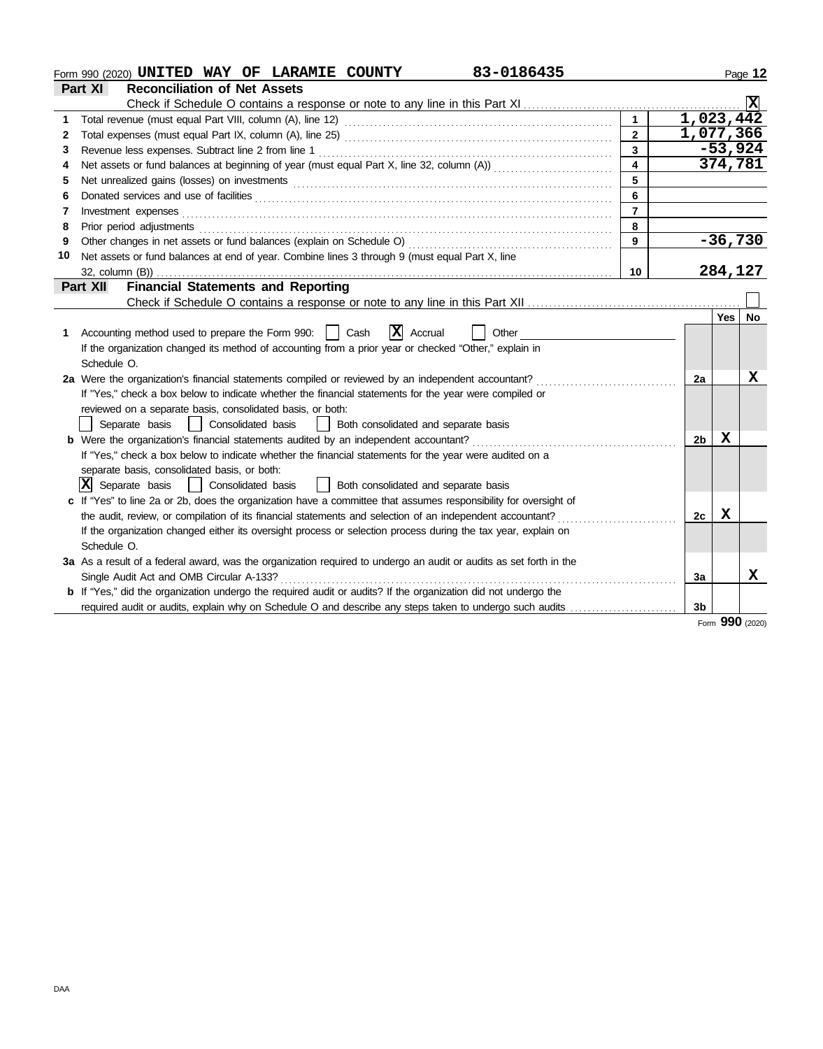|    | 83-0186435<br>Form 990 (2020) UNITED WAY OF LARAMIE COUNTY                                                            |                         |                         |            | Page 12   |
|----|-----------------------------------------------------------------------------------------------------------------------|-------------------------|-------------------------|------------|-----------|
|    | <b>Reconciliation of Net Assets</b><br>Part XI                                                                        |                         |                         |            |           |
|    |                                                                                                                       |                         |                         |            | ΙxΙ       |
|    |                                                                                                                       | $\mathbf{1}$            | 1,023,442               |            |           |
| 2  |                                                                                                                       | $\overline{2}$          | $\overline{1}$ ,077,366 |            |           |
| 3  | Revenue less expenses. Subtract line 2 from line 1                                                                    | $\overline{\mathbf{3}}$ |                         |            | $-53,924$ |
|    |                                                                                                                       | $\overline{4}$          |                         |            | 374,781   |
| 5  |                                                                                                                       | 5                       |                         |            |           |
| 6  |                                                                                                                       | $6\phantom{a}$          |                         |            |           |
| 7  | Investment expenses <b>constant expenses constant expenses constant expenses constant expenses</b>                    | $\overline{7}$          |                         |            |           |
| 8  |                                                                                                                       | 8                       |                         |            |           |
| 9  |                                                                                                                       | $\mathbf{9}$            |                         |            | $-36,730$ |
| 10 | Net assets or fund balances at end of year. Combine lines 3 through 9 (must equal Part X, line                        |                         |                         |            |           |
|    |                                                                                                                       | 10                      |                         |            | 284,127   |
|    | <b>Financial Statements and Reporting</b><br>Part XII                                                                 |                         |                         |            |           |
|    |                                                                                                                       |                         |                         |            |           |
|    |                                                                                                                       |                         |                         | Yes l      | No        |
| 1. | $ X $ Accrual<br>Accounting method used to prepare the Form 990:     Cash<br>Other                                    |                         |                         |            |           |
|    | If the organization changed its method of accounting from a prior year or checked "Other," explain in                 |                         |                         |            |           |
|    | Schedule O.                                                                                                           |                         |                         |            |           |
|    | 2a Were the organization's financial statements compiled or reviewed by an independent accountant?                    |                         | 2a                      |            | х         |
|    | If "Yes," check a box below to indicate whether the financial statements for the year were compiled or                |                         |                         |            |           |
|    | reviewed on a separate basis, consolidated basis, or both:                                                            |                         |                         |            |           |
|    | Separate basis<br>Consolidated basis<br>Both consolidated and separate basis                                          |                         |                         |            |           |
|    | <b>b</b> Were the organization's financial statements audited by an independent accountant?                           |                         | 2 <sub>b</sub>          | X          |           |
|    | If "Yes," check a box below to indicate whether the financial statements for the year were audited on a               |                         |                         |            |           |
|    | separate basis, consolidated basis, or both:                                                                          |                         |                         |            |           |
|    | X <br>Separate basis<br>Consolidated basis<br>Both consolidated and separate basis                                    |                         |                         |            |           |
|    | c If "Yes" to line 2a or 2b, does the organization have a committee that assumes responsibility for oversight of      |                         |                         |            |           |
|    | the audit, review, or compilation of its financial statements and selection of an independent accountant?             |                         | 2c                      | X          |           |
|    | If the organization changed either its oversight process or selection process during the tax year, explain on         |                         |                         |            |           |
|    | Schedule O.                                                                                                           |                         |                         |            |           |
|    | 3a As a result of a federal award, was the organization required to undergo an audit or audits as set forth in the    |                         |                         |            |           |
|    | Single Audit Act and OMB Circular A-133?                                                                              |                         | 3a                      |            | x         |
|    | <b>b</b> If "Yes," did the organization undergo the required audit or audits? If the organization did not undergo the |                         |                         |            |           |
|    |                                                                                                                       |                         | 3b                      |            |           |
|    |                                                                                                                       |                         |                         | <b>OOO</b> |           |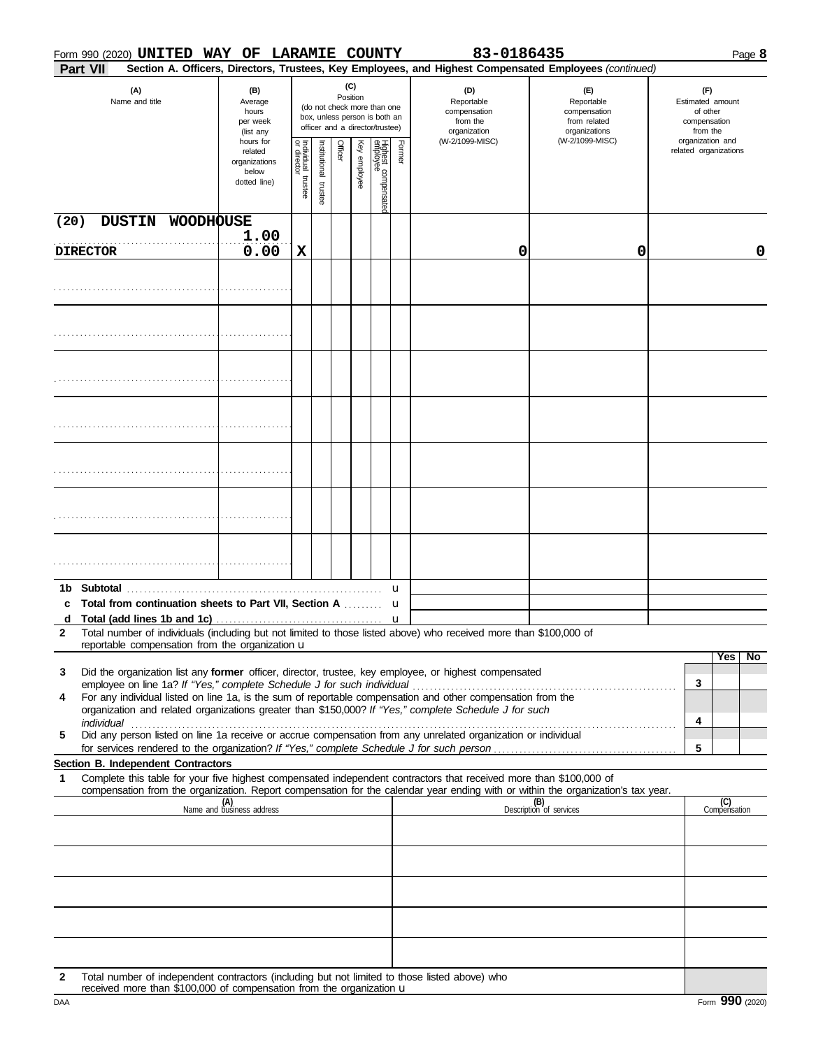|      |                       |                                    | Form 990 (2020) UNITED WAY OF LARAMIE COUNTY                   |                                      |                         |         |                 |                                                                                                 |        | 83-0186435                                                                                                                                                                                                           |                                                                                                                                  | Page 8                                                                              |
|------|-----------------------|------------------------------------|----------------------------------------------------------------|--------------------------------------|-------------------------|---------|-----------------|-------------------------------------------------------------------------------------------------|--------|----------------------------------------------------------------------------------------------------------------------------------------------------------------------------------------------------------------------|----------------------------------------------------------------------------------------------------------------------------------|-------------------------------------------------------------------------------------|
|      | Part VII              |                                    |                                                                |                                      |                         |         |                 |                                                                                                 |        |                                                                                                                                                                                                                      | Section A. Officers, Directors, Trustees, Key Employees, and Highest Compensated Employees (continued)                           |                                                                                     |
|      | (A)<br>Name and title |                                    | (B)<br>Average<br>hours<br>per week<br>(list any               |                                      |                         |         | (C)<br>Position | (do not check more than one<br>box, unless person is both an<br>officer and a director/trustee) |        | (D)<br>Reportable<br>compensation<br>from the<br>organization<br>(W-2/1099-MISC)                                                                                                                                     | (E)<br>Reportable<br>compensation<br>from related<br>organizations<br>(W-2/1099-MISC)                                            | (F)<br>Estimated amount<br>of other<br>compensation<br>from the<br>organization and |
|      |                       |                                    | hours for<br>related<br>organizations<br>below<br>dotted line) | Individual<br>or director<br>trustee | nstitutional<br>trustee | Officer | Ķey<br>enployee | Highest compensated<br>employee                                                                 | Former |                                                                                                                                                                                                                      |                                                                                                                                  | related organizations                                                               |
| (20) | <b>DUSTIN</b>         | <b>WOODHOUSE</b>                   |                                                                |                                      |                         |         |                 |                                                                                                 |        |                                                                                                                                                                                                                      |                                                                                                                                  |                                                                                     |
|      |                       |                                    | 1.00                                                           |                                      |                         |         |                 |                                                                                                 |        |                                                                                                                                                                                                                      |                                                                                                                                  |                                                                                     |
|      | <b>DIRECTOR</b>       |                                    | 0.00                                                           | X                                    |                         |         |                 |                                                                                                 |        | 0                                                                                                                                                                                                                    | 0                                                                                                                                | $\mathbf 0$                                                                         |
|      |                       |                                    |                                                                |                                      |                         |         |                 |                                                                                                 |        |                                                                                                                                                                                                                      |                                                                                                                                  |                                                                                     |
|      |                       |                                    |                                                                |                                      |                         |         |                 |                                                                                                 |        |                                                                                                                                                                                                                      |                                                                                                                                  |                                                                                     |
|      |                       |                                    |                                                                |                                      |                         |         |                 |                                                                                                 |        |                                                                                                                                                                                                                      |                                                                                                                                  |                                                                                     |
|      |                       |                                    |                                                                |                                      |                         |         |                 |                                                                                                 |        |                                                                                                                                                                                                                      |                                                                                                                                  |                                                                                     |
|      |                       |                                    |                                                                |                                      |                         |         |                 |                                                                                                 |        |                                                                                                                                                                                                                      |                                                                                                                                  |                                                                                     |
|      |                       |                                    |                                                                |                                      |                         |         |                 |                                                                                                 |        |                                                                                                                                                                                                                      |                                                                                                                                  |                                                                                     |
|      |                       |                                    |                                                                |                                      |                         |         |                 |                                                                                                 |        |                                                                                                                                                                                                                      |                                                                                                                                  |                                                                                     |
|      |                       |                                    |                                                                |                                      |                         |         |                 |                                                                                                 |        |                                                                                                                                                                                                                      |                                                                                                                                  |                                                                                     |
|      |                       | 1b Subtotal                        |                                                                |                                      |                         |         |                 |                                                                                                 | u      |                                                                                                                                                                                                                      |                                                                                                                                  |                                                                                     |
| c    |                       |                                    | Total from continuation sheets to Part VII, Section A  u       |                                      |                         |         |                 |                                                                                                 |        |                                                                                                                                                                                                                      |                                                                                                                                  |                                                                                     |
|      |                       |                                    |                                                                |                                      |                         |         |                 |                                                                                                 |        |                                                                                                                                                                                                                      |                                                                                                                                  |                                                                                     |
| 2    |                       |                                    | reportable compensation from the organization u                |                                      |                         |         |                 |                                                                                                 |        | Total number of individuals (including but not limited to those listed above) who received more than \$100,000 of                                                                                                    |                                                                                                                                  |                                                                                     |
|      |                       |                                    |                                                                |                                      |                         |         |                 |                                                                                                 |        |                                                                                                                                                                                                                      |                                                                                                                                  | No<br>Yes                                                                           |
| 3    |                       |                                    |                                                                |                                      |                         |         |                 |                                                                                                 |        | Did the organization list any former officer, director, trustee, key employee, or highest compensated                                                                                                                |                                                                                                                                  | 3                                                                                   |
| 4    |                       |                                    |                                                                |                                      |                         |         |                 |                                                                                                 |        | For any individual listed on line 1a, is the sum of reportable compensation and other compensation from the<br>organization and related organizations greater than \$150,000? If "Yes," complete Schedule J for such |                                                                                                                                  | 4                                                                                   |
| 5    |                       |                                    |                                                                |                                      |                         |         |                 |                                                                                                 |        | Did any person listed on line 1a receive or accrue compensation from any unrelated organization or individual                                                                                                        |                                                                                                                                  |                                                                                     |
|      |                       | Section B. Independent Contractors |                                                                |                                      |                         |         |                 |                                                                                                 |        |                                                                                                                                                                                                                      |                                                                                                                                  | 5                                                                                   |
| 1    |                       |                                    |                                                                |                                      |                         |         |                 |                                                                                                 |        | Complete this table for your five highest compensated independent contractors that received more than \$100,000 of                                                                                                   | compensation from the organization. Report compensation for the calendar year ending with or within the organization's tax year. |                                                                                     |
|      |                       |                                    | (A)<br>Name and business address                               |                                      |                         |         |                 |                                                                                                 |        |                                                                                                                                                                                                                      | (B)<br>Description of services                                                                                                   | (C)<br>Compensation                                                                 |
|      |                       |                                    |                                                                |                                      |                         |         |                 |                                                                                                 |        |                                                                                                                                                                                                                      |                                                                                                                                  |                                                                                     |
|      |                       |                                    |                                                                |                                      |                         |         |                 |                                                                                                 |        |                                                                                                                                                                                                                      |                                                                                                                                  |                                                                                     |
|      |                       |                                    |                                                                |                                      |                         |         |                 |                                                                                                 |        |                                                                                                                                                                                                                      |                                                                                                                                  |                                                                                     |
|      |                       |                                    |                                                                |                                      |                         |         |                 |                                                                                                 |        |                                                                                                                                                                                                                      |                                                                                                                                  |                                                                                     |
|      |                       |                                    |                                                                |                                      |                         |         |                 |                                                                                                 |        | 2 Total number of independent contractors (including but not limited to those listed above) who                                                                                                                      |                                                                                                                                  |                                                                                     |

**2** Total number of independent contractors (including but not limited to those listed above) who received more than \$100,000 of compensation from the organization u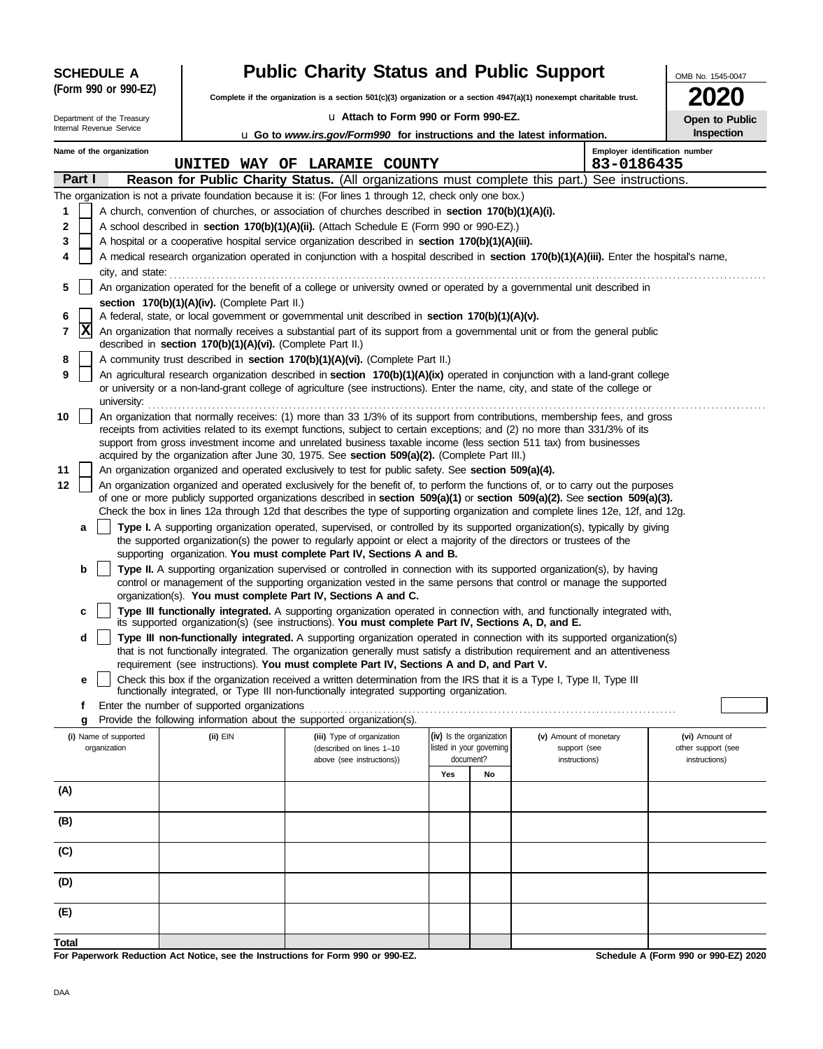| <b>SCHEDULE A</b>          | <b>Public Charity Status and Public Support</b>                                                                      | OMB No. 1545-0047                                                                                                                                                                                                                                         |                          |                                |                        |  |                                      |  |  |  |  |
|----------------------------|----------------------------------------------------------------------------------------------------------------------|-----------------------------------------------------------------------------------------------------------------------------------------------------------------------------------------------------------------------------------------------------------|--------------------------|--------------------------------|------------------------|--|--------------------------------------|--|--|--|--|
| (Form 990 or 990-EZ)       | Complete if the organization is a section 501(c)(3) organization or a section 4947(a)(1) nonexempt charitable trust. |                                                                                                                                                                                                                                                           |                          |                                |                        |  |                                      |  |  |  |  |
| Department of the Treasury |                                                                                                                      | u Attach to Form 990 or Form 990-EZ.                                                                                                                                                                                                                      |                          |                                |                        |  |                                      |  |  |  |  |
| Internal Revenue Service   |                                                                                                                      | <b>u</b> Go to <i>www.irs.gov/Form990</i> for instructions and the latest information.                                                                                                                                                                    |                          |                                |                        |  | Open to Public<br>Inspection         |  |  |  |  |
| Name of the organization   |                                                                                                                      | UNITED WAY OF LARAMIE COUNTY                                                                                                                                                                                                                              | 83-0186435               | Employer identification number |                        |  |                                      |  |  |  |  |
| Part I                     |                                                                                                                      | Reason for Public Charity Status. (All organizations must complete this part.) See instructions.                                                                                                                                                          |                          |                                |                        |  |                                      |  |  |  |  |
|                            |                                                                                                                      | The organization is not a private foundation because it is: (For lines 1 through 12, check only one box.)                                                                                                                                                 |                          |                                |                        |  |                                      |  |  |  |  |
| 1                          |                                                                                                                      | A church, convention of churches, or association of churches described in section 170(b)(1)(A)(i).                                                                                                                                                        |                          |                                |                        |  |                                      |  |  |  |  |
| 2                          |                                                                                                                      | A school described in <b>section 170(b)(1)(A)(ii).</b> (Attach Schedule E (Form 990 or 990-EZ).)                                                                                                                                                          |                          |                                |                        |  |                                      |  |  |  |  |
| 3                          |                                                                                                                      | A hospital or a cooperative hospital service organization described in section 170(b)(1)(A)(iii).                                                                                                                                                         |                          |                                |                        |  |                                      |  |  |  |  |
| 4                          |                                                                                                                      | A medical research organization operated in conjunction with a hospital described in section 170(b)(1)(A)(iii). Enter the hospital's name,                                                                                                                |                          |                                |                        |  |                                      |  |  |  |  |
| city, and state:           |                                                                                                                      |                                                                                                                                                                                                                                                           |                          |                                |                        |  |                                      |  |  |  |  |
| 5                          |                                                                                                                      | An organization operated for the benefit of a college or university owned or operated by a governmental unit described in                                                                                                                                 |                          |                                |                        |  |                                      |  |  |  |  |
|                            | section 170(b)(1)(A)(iv). (Complete Part II.)                                                                        |                                                                                                                                                                                                                                                           |                          |                                |                        |  |                                      |  |  |  |  |
| 6                          |                                                                                                                      | A federal, state, or local government or governmental unit described in section 170(b)(1)(A)(v).                                                                                                                                                          |                          |                                |                        |  |                                      |  |  |  |  |
| x<br>7                     | described in section 170(b)(1)(A)(vi). (Complete Part II.)                                                           | An organization that normally receives a substantial part of its support from a governmental unit or from the general public                                                                                                                              |                          |                                |                        |  |                                      |  |  |  |  |
| 8                          |                                                                                                                      | A community trust described in section 170(b)(1)(A)(vi). (Complete Part II.)                                                                                                                                                                              |                          |                                |                        |  |                                      |  |  |  |  |
| 9                          |                                                                                                                      | An agricultural research organization described in section 170(b)(1)(A)(ix) operated in conjunction with a land-grant college                                                                                                                             |                          |                                |                        |  |                                      |  |  |  |  |
| university:                |                                                                                                                      | or university or a non-land-grant college of agriculture (see instructions). Enter the name, city, and state of the college or                                                                                                                            |                          |                                |                        |  |                                      |  |  |  |  |
| 10                         |                                                                                                                      | An organization that normally receives: (1) more than 33 1/3% of its support from contributions, membership fees, and gross                                                                                                                               |                          |                                |                        |  |                                      |  |  |  |  |
|                            |                                                                                                                      | receipts from activities related to its exempt functions, subject to certain exceptions; and (2) no more than 331/3% of its                                                                                                                               |                          |                                |                        |  |                                      |  |  |  |  |
|                            |                                                                                                                      | support from gross investment income and unrelated business taxable income (less section 511 tax) from businesses<br>acquired by the organization after June 30, 1975. See section 509(a)(2). (Complete Part III.)                                        |                          |                                |                        |  |                                      |  |  |  |  |
| 11                         |                                                                                                                      | An organization organized and operated exclusively to test for public safety. See section 509(a)(4).                                                                                                                                                      |                          |                                |                        |  |                                      |  |  |  |  |
| 12                         |                                                                                                                      | An organization organized and operated exclusively for the benefit of, to perform the functions of, or to carry out the purposes                                                                                                                          |                          |                                |                        |  |                                      |  |  |  |  |
|                            |                                                                                                                      | of one or more publicly supported organizations described in section 509(a)(1) or section 509(a)(2). See section 509(a)(3).                                                                                                                               |                          |                                |                        |  |                                      |  |  |  |  |
|                            |                                                                                                                      | Check the box in lines 12a through 12d that describes the type of supporting organization and complete lines 12e, 12f, and 12g.                                                                                                                           |                          |                                |                        |  |                                      |  |  |  |  |
| a                          |                                                                                                                      | Type I. A supporting organization operated, supervised, or controlled by its supported organization(s), typically by giving<br>the supported organization(s) the power to regularly appoint or elect a majority of the directors or trustees of the       |                          |                                |                        |  |                                      |  |  |  |  |
|                            |                                                                                                                      | supporting organization. You must complete Part IV, Sections A and B.                                                                                                                                                                                     |                          |                                |                        |  |                                      |  |  |  |  |
| b                          |                                                                                                                      | Type II. A supporting organization supervised or controlled in connection with its supported organization(s), by having                                                                                                                                   |                          |                                |                        |  |                                      |  |  |  |  |
|                            |                                                                                                                      | control or management of the supporting organization vested in the same persons that control or manage the supported<br>organization(s). You must complete Part IV, Sections A and C.                                                                     |                          |                                |                        |  |                                      |  |  |  |  |
| c                          |                                                                                                                      | Type III functionally integrated. A supporting organization operated in connection with, and functionally integrated with,                                                                                                                                |                          |                                |                        |  |                                      |  |  |  |  |
|                            |                                                                                                                      | its supported organization(s) (see instructions). You must complete Part IV, Sections A, D, and E.                                                                                                                                                        |                          |                                |                        |  |                                      |  |  |  |  |
| d                          |                                                                                                                      | Type III non-functionally integrated. A supporting organization operated in connection with its supported organization(s)<br>that is not functionally integrated. The organization generally must satisfy a distribution requirement and an attentiveness |                          |                                |                        |  |                                      |  |  |  |  |
|                            |                                                                                                                      | requirement (see instructions). You must complete Part IV, Sections A and D, and Part V.                                                                                                                                                                  |                          |                                |                        |  |                                      |  |  |  |  |
| е                          |                                                                                                                      | Check this box if the organization received a written determination from the IRS that it is a Type I, Type II, Type III                                                                                                                                   |                          |                                |                        |  |                                      |  |  |  |  |
|                            |                                                                                                                      | functionally integrated, or Type III non-functionally integrated supporting organization.                                                                                                                                                                 |                          |                                |                        |  |                                      |  |  |  |  |
| f                          | Enter the number of supported organizations                                                                          | Provide the following information about the supported organization(s).                                                                                                                                                                                    |                          |                                |                        |  |                                      |  |  |  |  |
| g<br>(i) Name of supported | (ii) EIN                                                                                                             | (iii) Type of organization                                                                                                                                                                                                                                | (iv) Is the organization |                                | (v) Amount of monetary |  | (vi) Amount of                       |  |  |  |  |
| organization               |                                                                                                                      | (described on lines 1-10                                                                                                                                                                                                                                  | listed in your governing |                                | support (see           |  | other support (see                   |  |  |  |  |
|                            |                                                                                                                      | above (see instructions))                                                                                                                                                                                                                                 | document?                |                                | instructions)          |  | instructions)                        |  |  |  |  |
| (A)                        |                                                                                                                      |                                                                                                                                                                                                                                                           | Yes                      | No                             |                        |  |                                      |  |  |  |  |
|                            |                                                                                                                      |                                                                                                                                                                                                                                                           |                          |                                |                        |  |                                      |  |  |  |  |
| (B)                        |                                                                                                                      |                                                                                                                                                                                                                                                           |                          |                                |                        |  |                                      |  |  |  |  |
|                            |                                                                                                                      |                                                                                                                                                                                                                                                           |                          |                                |                        |  |                                      |  |  |  |  |
| (C)                        |                                                                                                                      |                                                                                                                                                                                                                                                           |                          |                                |                        |  |                                      |  |  |  |  |
| (D)                        |                                                                                                                      |                                                                                                                                                                                                                                                           |                          |                                |                        |  |                                      |  |  |  |  |
|                            |                                                                                                                      |                                                                                                                                                                                                                                                           |                          |                                |                        |  |                                      |  |  |  |  |
| (E)                        |                                                                                                                      |                                                                                                                                                                                                                                                           |                          |                                |                        |  |                                      |  |  |  |  |
| Total                      |                                                                                                                      |                                                                                                                                                                                                                                                           |                          |                                |                        |  |                                      |  |  |  |  |
|                            |                                                                                                                      | For Paperwork Reduction Act Notice, see the Instructions for Form 990 or 990-EZ.                                                                                                                                                                          |                          |                                |                        |  | Schedule A (Form 990 or 990-EZ) 2020 |  |  |  |  |

For Paperwork Reduction Act Notice, see the Ins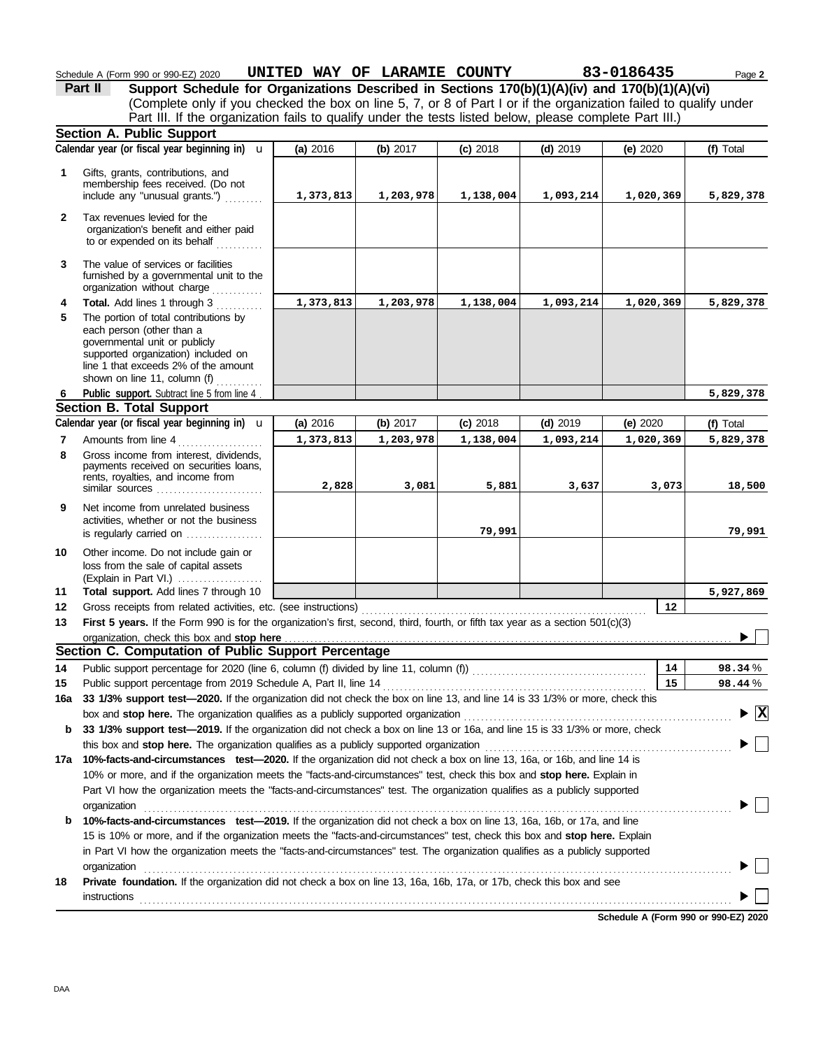|              | Schedule A (Form 990 or 990-EZ) 2020<br>Support Schedule for Organizations Described in Sections 170(b)(1)(A)(iv) and 170(b)(1)(A)(vi)<br>Part II                                                                  | UNITED WAY OF LARAMIE COUNTY |           |            |            | 83-0186435 | Page 2                                   |
|--------------|--------------------------------------------------------------------------------------------------------------------------------------------------------------------------------------------------------------------|------------------------------|-----------|------------|------------|------------|------------------------------------------|
|              | (Complete only if you checked the box on line 5, 7, or 8 of Part I or if the organization failed to qualify under                                                                                                  |                              |           |            |            |            |                                          |
|              | Part III. If the organization fails to qualify under the tests listed below, please complete Part III.)                                                                                                            |                              |           |            |            |            |                                          |
|              | Section A. Public Support                                                                                                                                                                                          |                              |           |            |            |            |                                          |
|              | Calendar year (or fiscal year beginning in) $\mathbf u$                                                                                                                                                            | (a) 2016                     | (b) 2017  | $(c)$ 2018 | $(d)$ 2019 | (e) $2020$ | (f) Total                                |
| 1            | Gifts, grants, contributions, and<br>membership fees received. (Do not<br>include any "unusual grants.")                                                                                                           | 1,373,813                    | 1,203,978 | 1,138,004  | 1,093,214  | 1,020,369  | 5,829,378                                |
| $\mathbf{2}$ | Tax revenues levied for the<br>organization's benefit and either paid<br>to or expended on its behalf                                                                                                              |                              |           |            |            |            |                                          |
| 3            | The value of services or facilities<br>furnished by a governmental unit to the<br>organization without charge                                                                                                      |                              |           |            |            |            |                                          |
| 4            | Total. Add lines 1 through 3                                                                                                                                                                                       | 1,373,813                    | 1,203,978 | 1,138,004  | 1,093,214  | 1,020,369  | 5,829,378                                |
| 5            | The portion of total contributions by<br>each person (other than a<br>governmental unit or publicly<br>supported organization) included on<br>line 1 that exceeds 2% of the amount<br>shown on line 11, column (f) |                              |           |            |            |            |                                          |
| 6            | Public support. Subtract line 5 from line 4.                                                                                                                                                                       |                              |           |            |            |            | 5,829,378                                |
|              | <b>Section B. Total Support</b>                                                                                                                                                                                    |                              |           |            |            |            |                                          |
|              | Calendar year (or fiscal year beginning in) $\mathbf u$                                                                                                                                                            | (a) 2016                     | (b) 2017  | $(c)$ 2018 | $(d)$ 2019 | (e) $2020$ | (f) Total                                |
| 7            | Amounts from line 4                                                                                                                                                                                                | 1,373,813                    | 1,203,978 | 1,138,004  | 1,093,214  | 1,020,369  | 5,829,378                                |
| 8            | Gross income from interest, dividends,<br>payments received on securities loans,<br>rents, royalties, and income from<br>similar sources                                                                           | 2,828                        | 3,081     | 5,881      | 3,637      | 3,073      | 18,500                                   |
| 9            | Net income from unrelated business<br>activities, whether or not the business<br>is regularly carried on                                                                                                           |                              |           | 79,991     |            |            | 79,991                                   |
| 10           | Other income. Do not include gain or<br>loss from the sale of capital assets<br>(Explain in Part VI.)                                                                                                              |                              |           |            |            |            |                                          |
| 11           | Total support. Add lines 7 through 10                                                                                                                                                                              |                              |           |            |            |            | 5,927,869                                |
| 12           | Gross receipts from related activities, etc. (see instructions)                                                                                                                                                    |                              |           |            |            | 12         |                                          |
| 13           | First 5 years. If the Form 990 is for the organization's first, second, third, fourth, or fifth tax year as a section 501(c)(3)                                                                                    |                              |           |            |            |            |                                          |
|              | Section C. Computation of Public Support Percentage                                                                                                                                                                |                              |           |            |            |            |                                          |
| 14           |                                                                                                                                                                                                                    |                              |           |            |            | 14         | 98.34%                                   |
| 15           |                                                                                                                                                                                                                    |                              |           |            |            | 15         | 98.44%                                   |
| 16a          | 33 1/3% support test-2020. If the organization did not check the box on line 13, and line 14 is 33 1/3% or more, check this                                                                                        |                              |           |            |            |            |                                          |
|              | box and stop here. The organization qualifies as a publicly supported organization                                                                                                                                 |                              |           |            |            |            | $\blacktriangleright$ $\boxed{\text{X}}$ |
| b            | 33 1/3% support test-2019. If the organization did not check a box on line 13 or 16a, and line 15 is 33 1/3% or more, check                                                                                        |                              |           |            |            |            |                                          |
|              | this box and stop here. The organization qualifies as a publicly supported organization                                                                                                                            |                              |           |            |            |            |                                          |
| 17а          | 10%-facts-and-circumstances test-2020. If the organization did not check a box on line 13, 16a, or 16b, and line 14 is                                                                                             |                              |           |            |            |            |                                          |
|              | 10% or more, and if the organization meets the "facts-and-circumstances" test, check this box and stop here. Explain in                                                                                            |                              |           |            |            |            |                                          |
|              | Part VI how the organization meets the "facts-and-circumstances" test. The organization qualifies as a publicly supported                                                                                          |                              |           |            |            |            |                                          |
|              | organization                                                                                                                                                                                                       |                              |           |            |            |            |                                          |
| b            | 10%-facts-and-circumstances test-2019. If the organization did not check a box on line 13, 16a, 16b, or 17a, and line                                                                                              |                              |           |            |            |            |                                          |
|              | 15 is 10% or more, and if the organization meets the "facts-and-circumstances" test, check this box and stop here. Explain                                                                                         |                              |           |            |            |            |                                          |
|              | in Part VI how the organization meets the "facts-and-circumstances" test. The organization qualifies as a publicly supported                                                                                       |                              |           |            |            |            |                                          |
|              | organization                                                                                                                                                                                                       |                              |           |            |            |            |                                          |
| 18           | Private foundation. If the organization did not check a box on line 13, 16a, 16b, 17a, or 17b, check this box and see                                                                                              |                              |           |            |            |            |                                          |

**Schedule A (Form 990 or 990-EZ) 2020**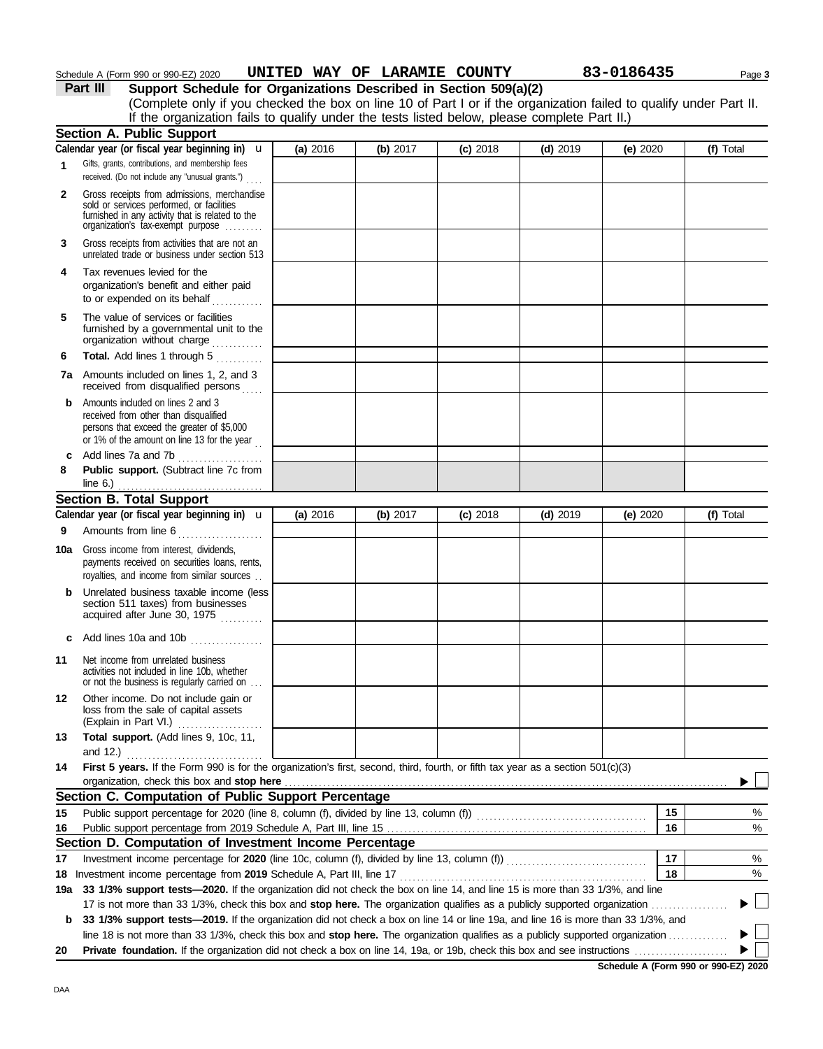|     | Schedule A (Form 990 or 990-EZ) 2020                                                                                                                                              | UNITED WAY OF LARAMIE COUNTY |          |            |            | 83-0186435 | Page 3     |
|-----|-----------------------------------------------------------------------------------------------------------------------------------------------------------------------------------|------------------------------|----------|------------|------------|------------|------------|
|     | Part III<br>Support Schedule for Organizations Described in Section 509(a)(2)                                                                                                     |                              |          |            |            |            |            |
|     | (Complete only if you checked the box on line 10 of Part I or if the organization failed to qualify under Part II.                                                                |                              |          |            |            |            |            |
|     | If the organization fails to qualify under the tests listed below, please complete Part II.)                                                                                      |                              |          |            |            |            |            |
|     | <b>Section A. Public Support</b>                                                                                                                                                  |                              |          |            |            |            |            |
|     | Calendar year (or fiscal year beginning in) $\mathbf u$                                                                                                                           | (a) 2016                     | (b) 2017 | $(c)$ 2018 | $(d)$ 2019 | (e) $2020$ | (f) Total  |
| 1   | Gifts, grants, contributions, and membership fees<br>received. (Do not include any "unusual grants.")                                                                             |                              |          |            |            |            |            |
| 2   | Gross receipts from admissions, merchandise<br>sold or services performed, or facilities<br>furnished in any activity that is related to the<br>organization's tax-exempt purpose |                              |          |            |            |            |            |
| 3   | Gross receipts from activities that are not an<br>unrelated trade or business under section 513                                                                                   |                              |          |            |            |            |            |
| 4   | Tax revenues levied for the<br>organization's benefit and either paid<br>to or expended on its behalf                                                                             |                              |          |            |            |            |            |
| 5   | The value of services or facilities<br>furnished by a governmental unit to the<br>organization without charge                                                                     |                              |          |            |            |            |            |
| 6   | Total. Add lines 1 through 5                                                                                                                                                      |                              |          |            |            |            |            |
|     | <b>7a</b> Amounts included on lines 1, 2, and 3<br>received from disqualified persons                                                                                             |                              |          |            |            |            |            |
| b   | Amounts included on lines 2 and 3<br>received from other than disqualified<br>persons that exceed the greater of \$5,000<br>or 1% of the amount on line 13 for the year           |                              |          |            |            |            |            |
|     |                                                                                                                                                                                   |                              |          |            |            |            |            |
| 8   | Public support. (Subtract line 7c from                                                                                                                                            |                              |          |            |            |            |            |
|     | line $6.$ )                                                                                                                                                                       |                              |          |            |            |            |            |
|     | <b>Section B. Total Support</b>                                                                                                                                                   |                              |          |            |            |            |            |
|     | Calendar year (or fiscal year beginning in) $\mathbf u$                                                                                                                           | (a) 2016                     | (b) 2017 | $(c)$ 2018 | $(d)$ 2019 | (e) $2020$ | (f) Total  |
| 9   | Amounts from line 6                                                                                                                                                               |                              |          |            |            |            |            |
|     | 10a Gross income from interest, dividends,<br>payments received on securities loans, rents,<br>royalties, and income from similar sources                                         |                              |          |            |            |            |            |
|     | <b>b</b> Unrelated business taxable income (less<br>section 511 taxes) from businesses<br>acquired after June 30, 1975                                                            |                              |          |            |            |            |            |
| c   | Add lines 10a and 10b                                                                                                                                                             |                              |          |            |            |            |            |
| 11  | Net income from unrelated business<br>activities not included in line 10b, whether<br>or not the business is regularly carried on                                                 |                              |          |            |            |            |            |
| 12  | Other income. Do not include gain or<br>loss from the sale of capital assets<br>(Explain in Part VI.)                                                                             |                              |          |            |            |            |            |
| 13  | Total support. (Add lines 9, 10c, 11,                                                                                                                                             |                              |          |            |            |            |            |
| 14  | First 5 years. If the Form 990 is for the organization's first, second, third, fourth, or fifth tax year as a section 501(c)(3)                                                   |                              |          |            |            |            |            |
|     | organization, check this box and stop here                                                                                                                                        |                              |          |            |            |            |            |
|     | Section C. Computation of Public Support Percentage                                                                                                                               |                              |          |            |            |            |            |
| 15  |                                                                                                                                                                                   |                              |          |            |            |            | 15<br>%    |
| 16  |                                                                                                                                                                                   |                              |          |            |            |            | $\%$<br>16 |
|     | Section D. Computation of Investment Income Percentage                                                                                                                            |                              |          |            |            |            |            |
| 17  |                                                                                                                                                                                   |                              |          |            |            |            | 17<br>%    |
|     |                                                                                                                                                                                   |                              |          |            |            |            | %<br>18    |
| 19a | 33 1/3% support tests-2020. If the organization did not check the box on line 14, and line 15 is more than 33 1/3%, and line                                                      |                              |          |            |            |            |            |
|     | 17 is not more than 33 1/3%, check this box and stop here. The organization qualifies as a publicly supported organization                                                        |                              |          |            |            |            |            |
| b   | 33 1/3% support tests-2019. If the organization did not check a box on line 14 or line 19a, and line 16 is more than 33 1/3%, and                                                 |                              |          |            |            |            |            |
| 20  | line 18 is not more than 33 1/3%, check this box and stop here. The organization qualifies as a publicly supported organization                                                   |                              |          |            |            |            |            |

**Schedule A (Form 990 or 990-EZ) 2020**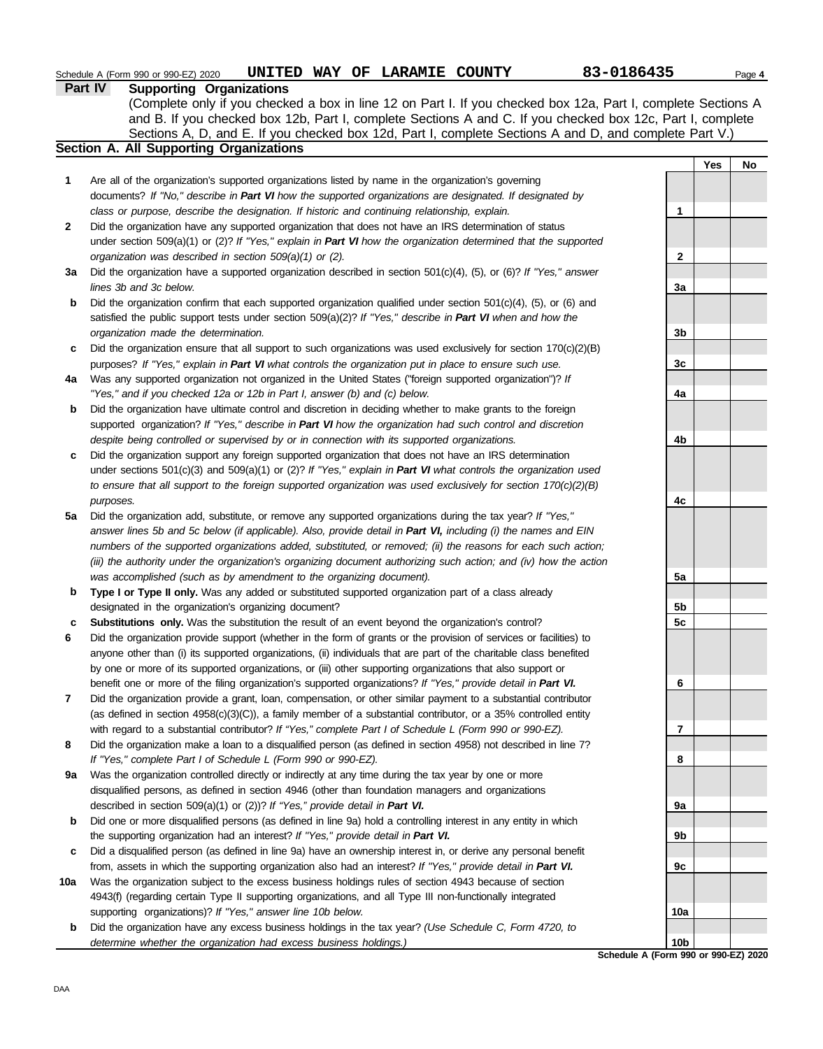|              | UNITED WAY OF LARAMIE COUNTY<br>Schedule A (Form 990 or 990-EZ) 2020                                                     | 83-0186435   |     | Page 4 |  |
|--------------|--------------------------------------------------------------------------------------------------------------------------|--------------|-----|--------|--|
|              | <b>Part IV</b><br><b>Supporting Organizations</b>                                                                        |              |     |        |  |
|              | (Complete only if you checked a box in line 12 on Part I. If you checked box 12a, Part I, complete Sections A            |              |     |        |  |
|              | and B. If you checked box 12b, Part I, complete Sections A and C. If you checked box 12c, Part I, complete               |              |     |        |  |
|              | Sections A, D, and E. If you checked box 12d, Part I, complete Sections A and D, and complete Part V.)                   |              |     |        |  |
|              | Section A. All Supporting Organizations                                                                                  |              |     |        |  |
|              |                                                                                                                          |              | Yes | No.    |  |
| 1            | Are all of the organization's supported organizations listed by name in the organization's governing                     |              |     |        |  |
|              | documents? If "No," describe in Part VI how the supported organizations are designated. If designated by                 |              |     |        |  |
|              | class or purpose, describe the designation. If historic and continuing relationship, explain.                            | 1            |     |        |  |
| $\mathbf{2}$ | Did the organization have any supported organization that does not have an IRS determination of status                   |              |     |        |  |
|              | under section 509(a)(1) or (2)? If "Yes," explain in Part VI how the organization determined that the supported          |              |     |        |  |
|              | organization was described in section $509(a)(1)$ or (2).                                                                | $\mathbf{2}$ |     |        |  |
| 3a           | Did the organization have a supported organization described in section $501(c)(4)$ , (5), or (6)? If "Yes," answer      |              |     |        |  |
|              | lines 3b and 3c below.                                                                                                   | 3a           |     |        |  |
| b            | Did the organization confirm that each supported organization qualified under section $501(c)(4)$ , $(5)$ , or $(6)$ and |              |     |        |  |
|              | satisfied the public support tests under section $509(a)(2)$ ? If "Yes," describe in Part VI when and how the            |              |     |        |  |
|              | organization made the determination.                                                                                     | 3b           |     |        |  |
| c            | Did the organization ensure that all support to such organizations was used exclusively for section $170(c)(2)(B)$       |              |     |        |  |
|              | purposes? If "Yes," explain in Part VI what controls the organization put in place to ensure such use.                   | 3c           |     |        |  |
| 4a           | Was any supported organization not organized in the United States ("foreign supported organization")? If                 |              |     |        |  |
|              | "Yes," and if you checked 12a or 12b in Part I, answer (b) and (c) below.                                                | 4a           |     |        |  |
|              |                                                                                                                          |              |     |        |  |

**b** Did the organization have ultimate control and discretion in deciding whether to make grants to the foreign supported organization? *If "Yes," describe in Part VI how the organization had such control and discretion despite being controlled or supervised by or in connection with its supported organizations.*

**c** Did the organization support any foreign supported organization that does not have an IRS determination under sections 501(c)(3) and 509(a)(1) or (2)? *If "Yes," explain in Part VI what controls the organization used to ensure that all support to the foreign supported organization was used exclusively for section 170(c)(2)(B) purposes.*

- **5a** Did the organization add, substitute, or remove any supported organizations during the tax year? *If "Yes," answer lines 5b and 5c below (if applicable). Also, provide detail in Part VI, including (i) the names and EIN numbers of the supported organizations added, substituted, or removed; (ii) the reasons for each such action; (iii) the authority under the organization's organizing document authorizing such action; and (iv) how the action was accomplished (such as by amendment to the organizing document).*
- **b** Type I or Type II only. Was any added or substituted supported organization part of a class already designated in the organization's organizing document?
- **c Substitutions only.** Was the substitution the result of an event beyond the organization's control?
- **6** Did the organization provide support (whether in the form of grants or the provision of services or facilities) to anyone other than (i) its supported organizations, (ii) individuals that are part of the charitable class benefited by one or more of its supported organizations, or (iii) other supporting organizations that also support or benefit one or more of the filing organization's supported organizations? *If "Yes," provide detail in Part VI.*
- **7** Did the organization provide a grant, loan, compensation, or other similar payment to a substantial contributor (as defined in section 4958(c)(3)(C)), a family member of a substantial contributor, or a 35% controlled entity with regard to a substantial contributor? *If "Yes," complete Part I of Schedule L (Form 990 or 990-EZ).*
- **8** Did the organization make a loan to a disqualified person (as defined in section 4958) not described in line 7? *If "Yes," complete Part I of Schedule L (Form 990 or 990-EZ).*
- **9a** Was the organization controlled directly or indirectly at any time during the tax year by one or more disqualified persons, as defined in section 4946 (other than foundation managers and organizations described in section 509(a)(1) or (2))? *If "Yes," provide detail in Part VI.*
- **b** Did one or more disqualified persons (as defined in line 9a) hold a controlling interest in any entity in which the supporting organization had an interest? *If "Yes," provide detail in Part VI.*
- **c** Did a disqualified person (as defined in line 9a) have an ownership interest in, or derive any personal benefit from, assets in which the supporting organization also had an interest? *If "Yes," provide detail in Part VI.*
- **10a** Was the organization subject to the excess business holdings rules of section 4943 because of section 4943(f) (regarding certain Type II supporting organizations, and all Type III non-functionally integrated supporting organizations)? *If "Yes," answer line 10b below.*
	- **b** Did the organization have any excess business holdings in the tax year? *(Use Schedule C, Form 4720, to determine whether the organization had excess business holdings.)*



**Schedule A (Form 990 or 990-EZ) 2020**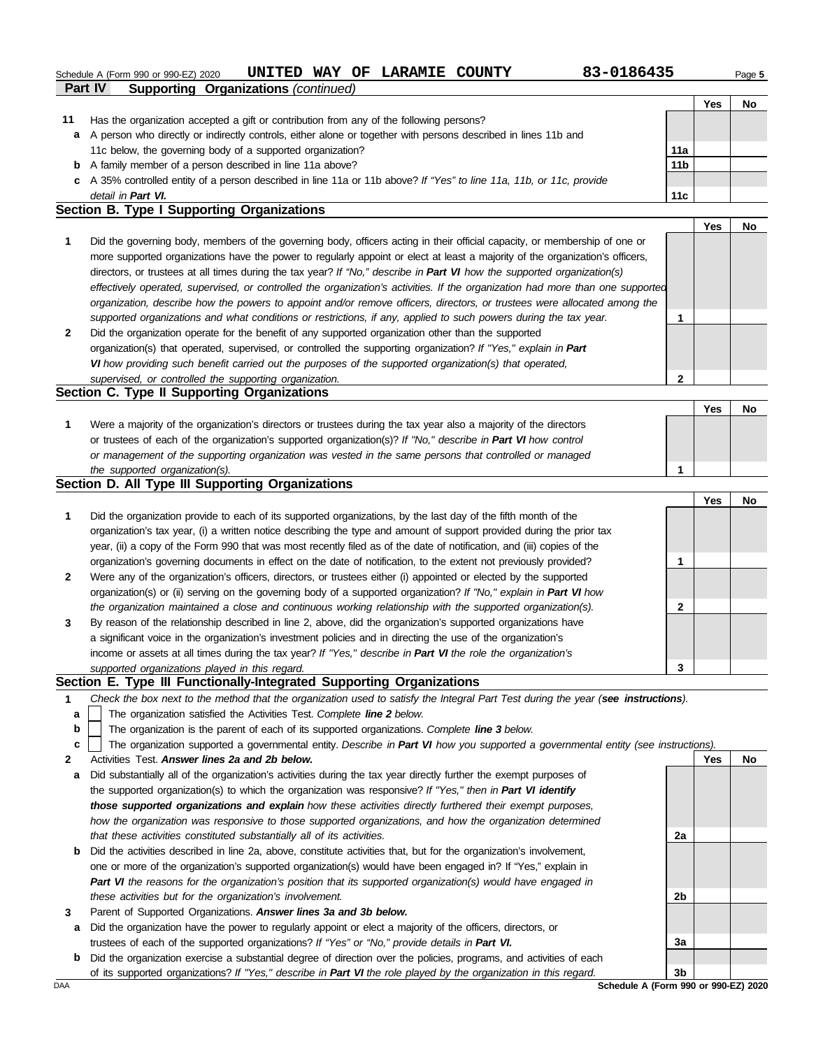# Schedule A (Form 990 or 990-EZ) 2020 **UNITED WAY OF LARAMIE COUNTY** 83-0186435 Page 5

| 83-018643 |  |  |
|-----------|--|--|
|           |  |  |

|    |                                                                                                                      |                 | 'es | No |
|----|----------------------------------------------------------------------------------------------------------------------|-----------------|-----|----|
| 11 | Has the organization accepted a gift or contribution from any of the following persons?                              |                 |     |    |
|    | a A person who directly or indirectly controls, either alone or together with persons described in lines 11b and     |                 |     |    |
|    | 11c below, the governing body of a supported organization?                                                           | 11a             |     |    |
|    | <b>b</b> A family member of a person described in line 11a above?                                                    | 11 <sub>b</sub> |     |    |
|    | c A 35% controlled entity of a person described in line 11a or 11b above? If "Yes" to line 11a, 11b, or 11c, provide |                 |     |    |
|    | detail in Part VI.                                                                                                   | 11c             |     |    |

### **Section B. Type I Supporting Organizations**

**Part IV Supporting Organizations** *(continued)*

**2 1** *supported organizations and what conditions or restrictions, if any, applied to such powers during the tax year. organization, describe how the powers to appoint and/or remove officers, directors, or trustees were allocated among the effectively operated, supervised, or controlled the organization's activities. If the organization had more than one supported* directors, or trustees at all times during the tax year? *If "No," describe in Part VI how the supported organization(s)* more supported organizations have the power to regularly appoint or elect at least a majority of the organization's officers, Did the governing body, members of the governing body, officers acting in their official capacity, or membership of one or Did the organization operate for the benefit of any supported organization other than the supported organization(s) that operated, supervised, or controlled the supporting organization? *If "Yes," explain in Part VI how providing such benefit carried out the purposes of the supported organization(s) that operated, supervised, or controlled the supporting organization.* **Section C. Type II Supporting Organizations 2 1 Yes No**

#### Were a majority of the organization's directors or trustees during the tax year also a majority of the directors or trustees of each of the organization's supported organization(s)? *If "No," describe in Part VI how control* **1** *or management of the supporting organization was vested in the same persons that controlled or managed the supported organization(s).* **Yes No 1**

# **Section D. All Type III Supporting Organizations**

|              |                                                                                                                        |   | Yes | No |
|--------------|------------------------------------------------------------------------------------------------------------------------|---|-----|----|
| 1            | Did the organization provide to each of its supported organizations, by the last day of the fifth month of the         |   |     |    |
|              | organization's tax year, (i) a written notice describing the type and amount of support provided during the prior tax  |   |     |    |
|              | year, (ii) a copy of the Form 990 that was most recently filed as of the date of notification, and (iii) copies of the |   |     |    |
|              | organization's governing documents in effect on the date of notification, to the extent not previously provided?       |   |     |    |
| $\mathbf{2}$ | Were any of the organization's officers, directors, or trustees either (i) appointed or elected by the supported       |   |     |    |
|              | organization(s) or (ii) serving on the governing body of a supported organization? If "No," explain in Part VI how     |   |     |    |
|              | the organization maintained a close and continuous working relationship with the supported organization(s).            | 2 |     |    |
| $\mathbf{3}$ | By reason of the relationship described in line 2, above, did the organization's supported organizations have          |   |     |    |
|              | a significant voice in the organization's investment policies and in directing the use of the organization's           |   |     |    |
|              | income or assets at all times during the tax year? If "Yes," describe in Part VI the role the organization's           |   |     |    |
|              | supported organizations played in this regard.                                                                         | 3 |     |    |

### **Section E. Type III Functionally-Integrated Supporting Organizations**

**1** *Check the box next to the method that the organization used to satisfy the Integral Part Test during the year (see instructions).*

- The organization satisfied the Activities Test. *Complete line 2 below.* **a**
- The organization is the parent of each of its supported organizations. *Complete line 3 below.* **b**
- The organization supported a governmental entity. *Describe in Part VI how you supported a governmental entity (see instructions).* **c**
- **2** Activities Test. *Answer lines 2a and 2b below.*
- **a** Did substantially all of the organization's activities during the tax year directly further the exempt purposes of the supported organization(s) to which the organization was responsive? *If "Yes," then in Part VI identify those supported organizations and explain how these activities directly furthered their exempt purposes,*  how the organization was responsive to those supported organizations, and how the organization determined *that these activities constituted substantially all of its activities.*
- **b** Did the activities described in line 2a, above, constitute activities that, but for the organization's involvement, one or more of the organization's supported organization(s) would have been engaged in? If "Yes," explain in *Part VI the reasons for the organization's position that its supported organization(s) would have engaged in these activities but for the organization's involvement.*
- **3** Parent of Supported Organizations. *Answer lines 3a and 3b below.*
- **a** Did the organization have the power to regularly appoint or elect a majority of the officers, directors, or trustees of each of the supported organizations? *If "Yes" or "No," provide details in Part VI.*
- **b** Did the organization exercise a substantial degree of direction over the policies, programs, and activities of each of its supported organizations? *If "Yes," describe in Part VI the role played by the organization in this regard.*



DAA **Schedule A (Form 990 or 990-EZ) 2020**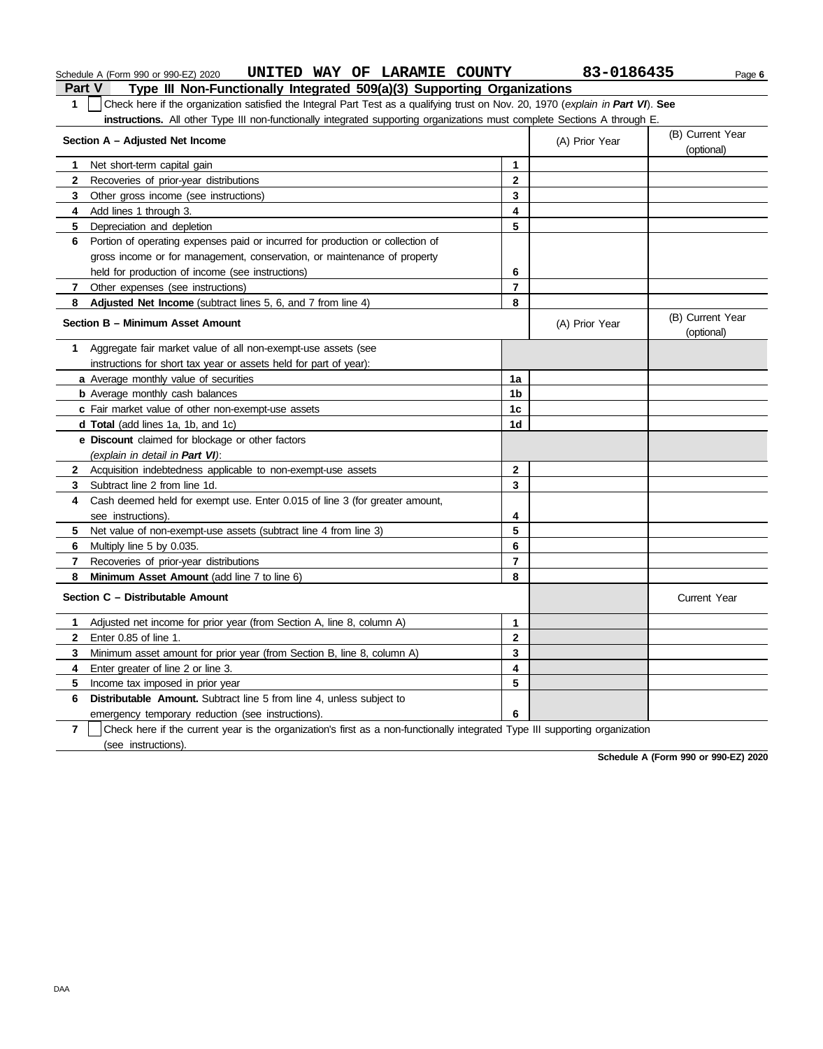| Part V<br>Type III Non-Functionally Integrated 509(a)(3) Supporting Organizations                                                              |                                    |                |                                |  |  |  |  |
|------------------------------------------------------------------------------------------------------------------------------------------------|------------------------------------|----------------|--------------------------------|--|--|--|--|
| Check here if the organization satisfied the Integral Part Test as a qualifying trust on Nov. 20, 1970 (explain in Part VI). See<br>1          |                                    |                |                                |  |  |  |  |
| instructions. All other Type III non-functionally integrated supporting organizations must complete Sections A through E.                      |                                    |                |                                |  |  |  |  |
| Section A - Adjusted Net Income                                                                                                                | (B) Current Year<br>(A) Prior Year |                |                                |  |  |  |  |
|                                                                                                                                                |                                    |                | (optional)                     |  |  |  |  |
| Net short-term capital gain<br>1.                                                                                                              | $\mathbf{1}$                       |                |                                |  |  |  |  |
| 2<br>Recoveries of prior-year distributions                                                                                                    | $\mathbf{2}$                       |                |                                |  |  |  |  |
| 3<br>Other gross income (see instructions)                                                                                                     | 3                                  |                |                                |  |  |  |  |
| Add lines 1 through 3.<br>4                                                                                                                    | 4                                  |                |                                |  |  |  |  |
| 5<br>Depreciation and depletion                                                                                                                | 5                                  |                |                                |  |  |  |  |
| Portion of operating expenses paid or incurred for production or collection of<br>6                                                            |                                    |                |                                |  |  |  |  |
| gross income or for management, conservation, or maintenance of property                                                                       |                                    |                |                                |  |  |  |  |
| held for production of income (see instructions)                                                                                               | 6                                  |                |                                |  |  |  |  |
| Other expenses (see instructions)<br>7                                                                                                         | $\overline{7}$                     |                |                                |  |  |  |  |
| Adjusted Net Income (subtract lines 5, 6, and 7 from line 4)<br>8                                                                              | 8                                  |                |                                |  |  |  |  |
| Section B - Minimum Asset Amount                                                                                                               |                                    | (A) Prior Year | (B) Current Year<br>(optional) |  |  |  |  |
| Aggregate fair market value of all non-exempt-use assets (see<br>1.                                                                            |                                    |                |                                |  |  |  |  |
| instructions for short tax year or assets held for part of year):                                                                              |                                    |                |                                |  |  |  |  |
| a Average monthly value of securities                                                                                                          | 1a                                 |                |                                |  |  |  |  |
| <b>b</b> Average monthly cash balances                                                                                                         | 1 <sub>b</sub>                     |                |                                |  |  |  |  |
| c Fair market value of other non-exempt-use assets                                                                                             | 1 <sub>c</sub>                     |                |                                |  |  |  |  |
| d Total (add lines 1a, 1b, and 1c)                                                                                                             | 1d                                 |                |                                |  |  |  |  |
| e Discount claimed for blockage or other factors                                                                                               |                                    |                |                                |  |  |  |  |
| (explain in detail in Part VI):                                                                                                                |                                    |                |                                |  |  |  |  |
| Acquisition indebtedness applicable to non-exempt-use assets<br>$\mathbf{2}$                                                                   | $\mathbf{2}$                       |                |                                |  |  |  |  |
| Subtract line 2 from line 1d.<br>3                                                                                                             | 3                                  |                |                                |  |  |  |  |
| Cash deemed held for exempt use. Enter 0.015 of line 3 (for greater amount,<br>4                                                               |                                    |                |                                |  |  |  |  |
| see instructions).                                                                                                                             | 4                                  |                |                                |  |  |  |  |
| Net value of non-exempt-use assets (subtract line 4 from line 3)<br>5.                                                                         | 5                                  |                |                                |  |  |  |  |
| Multiply line 5 by 0.035.<br>6                                                                                                                 | 6                                  |                |                                |  |  |  |  |
| Recoveries of prior-year distributions<br>7                                                                                                    | $\overline{7}$                     |                |                                |  |  |  |  |
| Minimum Asset Amount (add line 7 to line 6)<br>8                                                                                               | 8                                  |                |                                |  |  |  |  |
| Section C - Distributable Amount                                                                                                               |                                    |                | <b>Current Year</b>            |  |  |  |  |
| Adjusted net income for prior year (from Section A, line 8, column A)<br>1.                                                                    | $\mathbf 1$                        |                |                                |  |  |  |  |
| Enter 0.85 of line 1.<br>2                                                                                                                     | $\mathbf{2}$                       |                |                                |  |  |  |  |
| 3 Minimum asset amount for prior year (from Section B, line 8, column A)                                                                       | $\mathbf{3}$                       |                |                                |  |  |  |  |
| Enter greater of line 2 or line 3.<br>4                                                                                                        | 4                                  |                |                                |  |  |  |  |
| 5<br>Income tax imposed in prior year                                                                                                          | 5                                  |                |                                |  |  |  |  |
| Distributable Amount. Subtract line 5 from line 4, unless subject to<br>6                                                                      |                                    |                |                                |  |  |  |  |
| emergency temporary reduction (see instructions).                                                                                              | 6                                  |                |                                |  |  |  |  |
| $\overline{7}$<br>Check here if the current year is the organization's first as a non-functionally integrated Type III supporting organization |                                    |                |                                |  |  |  |  |
| (see instructions).                                                                                                                            |                                    |                |                                |  |  |  |  |

Schedule A (Form 990 or 990-EZ) 2020 **UNITED WAY OF LARAMIE COUNTY** 83-0186435 Page 6

**Schedule A (Form 990 or 990-EZ) 2020**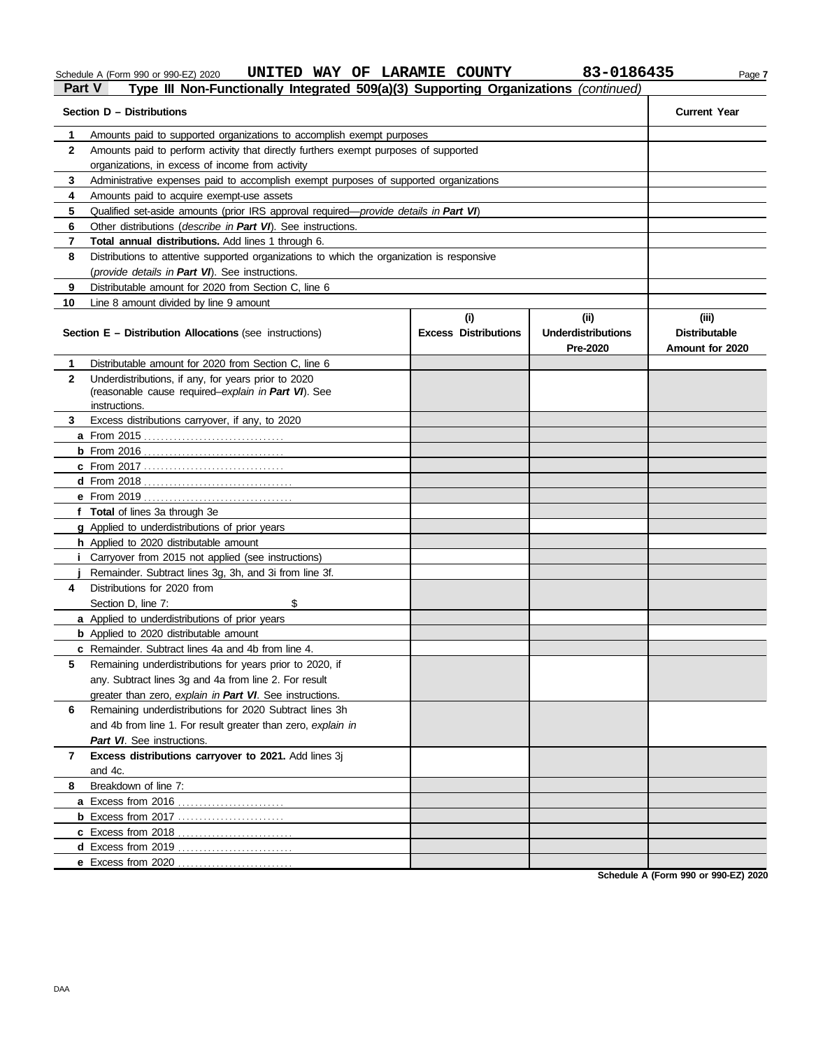Schedule A (Form 990 or 990-EZ) 2020 **UNITED WAY OF LARAMIE COUNTY** 83-0186435 Page 7

# **Part V Type III Non-Functionally Integrated 509(a)(3) Supporting Organizations** *(continued)*

| Section D - Distributions | <b>Current Year</b>                                                                        |                             |                           |                      |
|---------------------------|--------------------------------------------------------------------------------------------|-----------------------------|---------------------------|----------------------|
| 1                         | Amounts paid to supported organizations to accomplish exempt purposes                      |                             |                           |                      |
| $\mathbf{2}$              | Amounts paid to perform activity that directly furthers exempt purposes of supported       |                             |                           |                      |
|                           | organizations, in excess of income from activity                                           |                             |                           |                      |
| 3                         | Administrative expenses paid to accomplish exempt purposes of supported organizations      |                             |                           |                      |
| 4                         | Amounts paid to acquire exempt-use assets                                                  |                             |                           |                      |
| 5                         | Qualified set-aside amounts (prior IRS approval required-provide details in Part VI)       |                             |                           |                      |
| 6                         | Other distributions (describe in Part VI). See instructions.                               |                             |                           |                      |
| 7                         | Total annual distributions. Add lines 1 through 6.                                         |                             |                           |                      |
| 8                         | Distributions to attentive supported organizations to which the organization is responsive |                             |                           |                      |
|                           | (provide details in Part VI). See instructions.                                            |                             |                           |                      |
| 9                         | Distributable amount for 2020 from Section C, line 6                                       |                             |                           |                      |
| 10                        | Line 8 amount divided by line 9 amount                                                     |                             |                           |                      |
|                           |                                                                                            | (i)                         | (i)                       | (iii)                |
|                           | <b>Section E - Distribution Allocations (see instructions)</b>                             | <b>Excess Distributions</b> | <b>Underdistributions</b> | <b>Distributable</b> |
|                           |                                                                                            |                             | Pre-2020                  | Amount for 2020      |
| 1                         | Distributable amount for 2020 from Section C, line 6                                       |                             |                           |                      |
| $\mathbf{2}$              | Underdistributions, if any, for years prior to 2020                                        |                             |                           |                      |
|                           | (reasonable cause required-explain in Part VI). See                                        |                             |                           |                      |
|                           | instructions                                                                               |                             |                           |                      |
| 3                         | Excess distributions carryover, if any, to 2020                                            |                             |                           |                      |
|                           |                                                                                            |                             |                           |                      |
|                           |                                                                                            |                             |                           |                      |
|                           | <b>c</b> From 2017                                                                         |                             |                           |                      |
|                           |                                                                                            |                             |                           |                      |
|                           |                                                                                            |                             |                           |                      |
|                           | f Total of lines 3a through 3e                                                             |                             |                           |                      |
|                           | <b>g</b> Applied to underdistributions of prior years                                      |                             |                           |                      |
|                           | h Applied to 2020 distributable amount                                                     |                             |                           |                      |
|                           | Carryover from 2015 not applied (see instructions)                                         |                             |                           |                      |
|                           | Remainder. Subtract lines 3g, 3h, and 3i from line 3f.                                     |                             |                           |                      |
| 4                         | Distributions for 2020 from                                                                |                             |                           |                      |
|                           | \$<br>Section D, line 7:                                                                   |                             |                           |                      |
|                           | <b>a</b> Applied to underdistributions of prior years                                      |                             |                           |                      |
|                           | <b>b</b> Applied to 2020 distributable amount                                              |                             |                           |                      |
|                           | c Remainder. Subtract lines 4a and 4b from line 4.                                         |                             |                           |                      |
| 5.                        | Remaining underdistributions for years prior to 2020, if                                   |                             |                           |                      |
|                           | any. Subtract lines 3g and 4a from line 2. For result                                      |                             |                           |                      |
|                           | greater than zero, explain in Part VI. See instructions.                                   |                             |                           |                      |
| 6                         | Remaining underdistributions for 2020 Subtract lines 3h                                    |                             |                           |                      |
|                           | and 4b from line 1. For result greater than zero, explain in                               |                             |                           |                      |
|                           | Part VI. See instructions.                                                                 |                             |                           |                      |
| 7                         | Excess distributions carryover to 2021. Add lines 3j                                       |                             |                           |                      |
| 8                         | and 4c.<br>Breakdown of line 7:                                                            |                             |                           |                      |
|                           | a Excess from 2016.                                                                        |                             |                           |                      |
|                           | <b>b</b> Excess from 2017                                                                  |                             |                           |                      |
|                           | c Excess from 2018                                                                         |                             |                           |                      |
|                           | d Excess from 2019                                                                         |                             |                           |                      |
|                           | e Excess from 2020                                                                         |                             |                           |                      |
|                           |                                                                                            |                             |                           |                      |

**Schedule A (Form 990 or 990-EZ) 2020**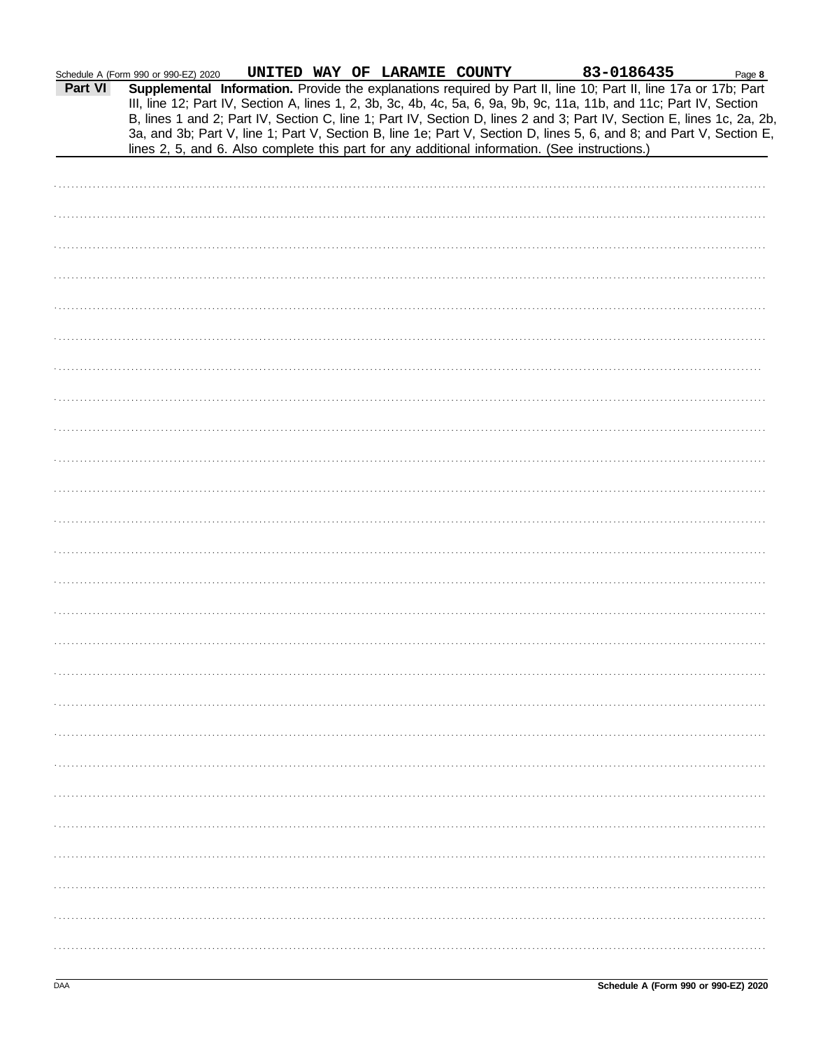| Schedule A (Form 990 or 990-EZ) 2020 |  |  |
|--------------------------------------|--|--|
|                                      |  |  |

| Part VI | Schedule A (Form 990 or 990-EZ) 2020<br>Supplemental Information. Provide the explanations required by Part II, line 10; Part II, line 17a or 17b; Part | UNITED WAY OF LARAMIE COUNTY |  |  | 83-0186435 | Page 8 |
|---------|---------------------------------------------------------------------------------------------------------------------------------------------------------|------------------------------|--|--|------------|--------|
|         | III, line 12; Part IV, Section A, lines 1, 2, 3b, 3c, 4b, 4c, 5a, 6, 9a, 9b, 9c, 11a, 11b, and 11c; Part IV, Section                                    |                              |  |  |            |        |
|         | B, lines 1 and 2; Part IV, Section C, line 1; Part IV, Section D, lines 2 and 3; Part IV, Section E, lines 1c, 2a, 2b,                                  |                              |  |  |            |        |
|         | 3a, and 3b; Part V, line 1; Part V, Section B, line 1e; Part V, Section D, lines 5, 6, and 8; and Part V, Section E,                                    |                              |  |  |            |        |
|         | lines 2, 5, and 6. Also complete this part for any additional information. (See instructions.)                                                          |                              |  |  |            |        |
|         |                                                                                                                                                         |                              |  |  |            |        |
|         |                                                                                                                                                         |                              |  |  |            |        |
|         |                                                                                                                                                         |                              |  |  |            |        |
|         |                                                                                                                                                         |                              |  |  |            |        |
|         |                                                                                                                                                         |                              |  |  |            |        |
|         |                                                                                                                                                         |                              |  |  |            |        |
|         |                                                                                                                                                         |                              |  |  |            |        |
|         |                                                                                                                                                         |                              |  |  |            |        |
|         |                                                                                                                                                         |                              |  |  |            |        |
|         |                                                                                                                                                         |                              |  |  |            |        |
|         |                                                                                                                                                         |                              |  |  |            |        |
|         |                                                                                                                                                         |                              |  |  |            |        |
|         |                                                                                                                                                         |                              |  |  |            |        |
|         |                                                                                                                                                         |                              |  |  |            |        |
|         |                                                                                                                                                         |                              |  |  |            |        |
|         |                                                                                                                                                         |                              |  |  |            |        |
|         |                                                                                                                                                         |                              |  |  |            |        |
|         |                                                                                                                                                         |                              |  |  |            |        |
|         |                                                                                                                                                         |                              |  |  |            |        |
|         |                                                                                                                                                         |                              |  |  |            |        |
|         |                                                                                                                                                         |                              |  |  |            |        |
|         |                                                                                                                                                         |                              |  |  |            |        |
|         |                                                                                                                                                         |                              |  |  |            |        |
|         |                                                                                                                                                         |                              |  |  |            |        |
|         |                                                                                                                                                         |                              |  |  |            |        |
|         |                                                                                                                                                         |                              |  |  |            |        |
|         |                                                                                                                                                         |                              |  |  |            |        |
|         |                                                                                                                                                         |                              |  |  |            |        |
|         |                                                                                                                                                         |                              |  |  |            |        |
|         |                                                                                                                                                         |                              |  |  |            |        |
|         |                                                                                                                                                         |                              |  |  |            |        |
|         |                                                                                                                                                         |                              |  |  |            |        |
|         |                                                                                                                                                         |                              |  |  |            |        |
|         |                                                                                                                                                         |                              |  |  |            |        |
|         |                                                                                                                                                         |                              |  |  |            |        |
|         |                                                                                                                                                         |                              |  |  |            |        |
|         |                                                                                                                                                         |                              |  |  |            |        |
|         |                                                                                                                                                         |                              |  |  |            |        |
|         |                                                                                                                                                         |                              |  |  |            |        |
|         |                                                                                                                                                         |                              |  |  |            |        |
|         |                                                                                                                                                         |                              |  |  |            |        |
|         |                                                                                                                                                         |                              |  |  |            |        |
|         |                                                                                                                                                         |                              |  |  |            |        |
|         |                                                                                                                                                         |                              |  |  |            |        |
|         |                                                                                                                                                         |                              |  |  |            |        |
|         |                                                                                                                                                         |                              |  |  |            |        |
|         |                                                                                                                                                         |                              |  |  |            |        |
|         |                                                                                                                                                         |                              |  |  |            |        |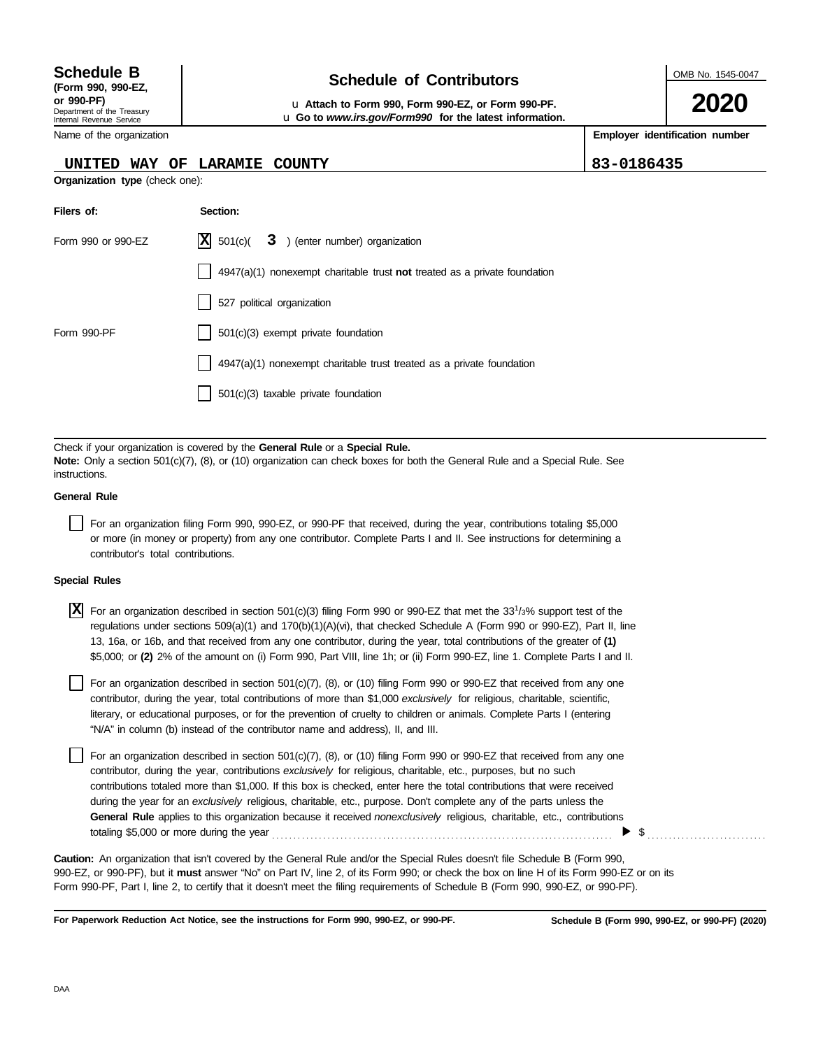Internal Revenue Service

# **Schedule of Contributors Schedule B**

**or 990-PF)** u **Attach to Form 990, Form 990-EZ, or Form 990-PF.** u **Go to** *www.irs.gov/Form990* **for the latest information.**

Name of the organization

**Organization type** (check one):

### **UNITED WAY OF LARAMIE**

**Employer identification number**

OMB No. 1545-0047

**2020**

| COUNTY | 83-0186435 |
|--------|------------|
|        |            |

| Filers of:         | Section:                                                                           |
|--------------------|------------------------------------------------------------------------------------|
| Form 990 or 990-EZ | $ \mathbf{X} $ 501(c)( $3$ ) (enter number) organization                           |
|                    | $4947(a)(1)$ nonexempt charitable trust <b>not</b> treated as a private foundation |
|                    | 527 political organization                                                         |
| Form 990-PF        | $501(c)(3)$ exempt private foundation                                              |
|                    | 4947(a)(1) nonexempt charitable trust treated as a private foundation              |
|                    | 501(c)(3) taxable private foundation                                               |

Check if your organization is covered by the **General Rule** or a **Special Rule. Note:** Only a section 501(c)(7), (8), or (10) organization can check boxes for both the General Rule and a Special Rule. See instructions.

### **General Rule**

For an organization filing Form 990, 990-EZ, or 990-PF that received, during the year, contributions totaling \$5,000 or more (in money or property) from any one contributor. Complete Parts I and II. See instructions for determining a contributor's total contributions.

### **Special Rules**

For an organization described in section 501(c)(3) filing Form 990 or 990-EZ that met the 33<sup>1</sup> /3% support test of the **X**regulations under sections 509(a)(1) and 170(b)(1)(A)(vi), that checked Schedule A (Form 990 or 990-EZ), Part II, line 13, 16a, or 16b, and that received from any one contributor, during the year, total contributions of the greater of **(1)** \$5,000; or **(2)** 2% of the amount on (i) Form 990, Part VIII, line 1h; or (ii) Form 990-EZ, line 1. Complete Parts I and II.

literary, or educational purposes, or for the prevention of cruelty to children or animals. Complete Parts I (entering For an organization described in section 501(c)(7), (8), or (10) filing Form 990 or 990-EZ that received from any one contributor, during the year, total contributions of more than \$1,000 *exclusively* for religious, charitable, scientific, "N/A" in column (b) instead of the contributor name and address), II, and III.

For an organization described in section 501(c)(7), (8), or (10) filing Form 990 or 990-EZ that received from any one contributor, during the year, contributions *exclusively* for religious, charitable, etc., purposes, but no such contributions totaled more than \$1,000. If this box is checked, enter here the total contributions that were received during the year for an *exclusively* religious, charitable, etc., purpose. Don't complete any of the parts unless the **General Rule** applies to this organization because it received *nonexclusively* religious, charitable, etc., contributions totaling \$5,000 or more during the year . . . . . . . . . . . . . . . . . . . . . . . . . . . . . . . . . . . . . . . . . . . . . . . . . . . . . . . . . . . . . . . . . . . . . . . . . . . . . . . .  $\blacktriangleright$  \$

990-EZ, or 990-PF), but it **must** answer "No" on Part IV, line 2, of its Form 990; or check the box on line H of its Form 990-EZ or on its Form 990-PF, Part I, line 2, to certify that it doesn't meet the filing requirements of Schedule B (Form 990, 990-EZ, or 990-PF). **Caution:** An organization that isn't covered by the General Rule and/or the Special Rules doesn't file Schedule B (Form 990,

**For Paperwork Reduction Act Notice, see the instructions for Form 990, 990-EZ, or 990-PF.**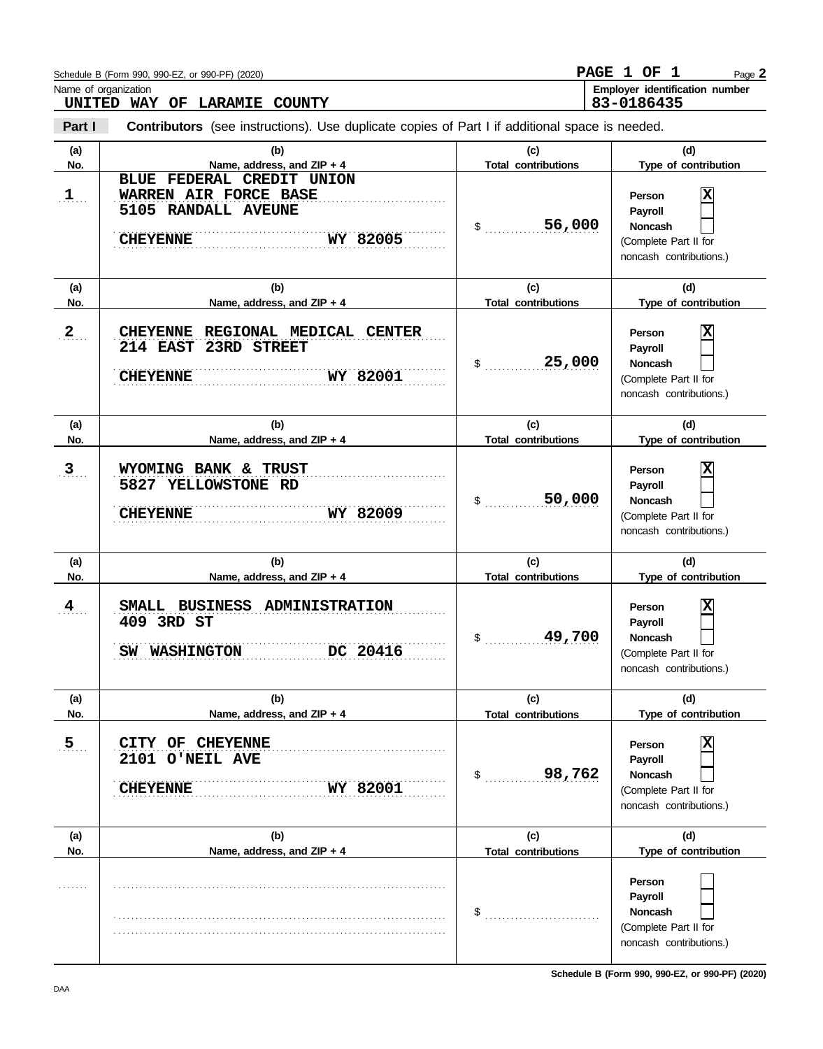|                      | Schedule B (Form 990, 990-EZ, or 990-PF) (2020)                                                          |                                   | PAGE 1 OF 1<br>Page 2                                                                                              |
|----------------------|----------------------------------------------------------------------------------------------------------|-----------------------------------|--------------------------------------------------------------------------------------------------------------------|
|                      | Name of organization<br>UNITED WAY OF LARAMIE<br>COUNTY                                                  |                                   | Employer identification number<br>83-0186435                                                                       |
| Part I               | <b>Contributors</b> (see instructions). Use duplicate copies of Part I if additional space is needed.    |                                   |                                                                                                                    |
| (a)<br>No.           | (b)<br>Name, address, and ZIP + 4                                                                        | (c)<br><b>Total contributions</b> | (d)<br>Type of contribution                                                                                        |
| $1$                  | BLUE FEDERAL CREDIT UNION<br>WARREN AIR FORCE BASE<br>5105 RANDALL AVEUNE<br>WY 82005<br><b>CHEYENNE</b> | 56,000<br>\$                      | $\overline{\mathbf{x}}$<br>Person<br>Payroll<br>Noncash<br>(Complete Part II for<br>noncash contributions.)        |
| (a)<br>No.           | (b)<br>Name, address, and ZIP + 4                                                                        | (c)<br><b>Total contributions</b> | (d)<br>Type of contribution                                                                                        |
| 2                    | CHEYENNE REGIONAL MEDICAL CENTER<br>214 EAST 23RD STREET<br>WY 82001<br><b>CHEYENNE</b>                  | 25,000<br>\$                      | $\overline{\mathbf{x}}$<br>Person<br>Payroll<br><b>Noncash</b><br>(Complete Part II for<br>noncash contributions.) |
| (a)<br>No.           | (b)<br>Name, address, and ZIP + 4                                                                        | (c)<br><b>Total contributions</b> | (d)<br>Type of contribution                                                                                        |
| $\mathbf{3}_{\dots}$ | WYOMING BANK & TRUST<br>5827 YELLOWSTONE RD<br>WY 82009<br><b>CHEYENNE</b>                               | 50,000<br>\$                      | X<br>Person<br>Payroll<br><b>Noncash</b><br>(Complete Part II for<br>noncash contributions.)                       |
| (a)<br>No.           | (b)<br>Name, address, and ZIP + 4                                                                        | (c)<br><b>Total contributions</b> | (d)<br>Type of contribution                                                                                        |
| $\frac{4}{1}$        | SMALL BUSINESS ADMINISTRATION<br>409 3RD ST<br>DC 20416<br>SW WASHINGTON                                 | 49,700                            | $\overline{\mathbf{x}}$<br>Person<br>Payroll<br><b>Noncash</b><br>(Complete Part II for<br>noncash contributions.) |
| (a)<br>No.           | (b)<br>Name, address, and ZIP + 4                                                                        | (c)<br><b>Total contributions</b> | (d)<br>Type of contribution                                                                                        |
| 5 <sub>1</sub>       | CITY OF CHEYENNE<br>2101 O'NEIL AVE<br>WY 82001<br><b>CHEYENNE</b>                                       | 98,762<br>\$                      | X<br>Person<br>Payroll<br><b>Noncash</b><br>(Complete Part II for<br>noncash contributions.)                       |
| (a)<br>No.           | (b)<br>Name, address, and ZIP + 4                                                                        | (c)<br><b>Total contributions</b> | (d)<br>Type of contribution                                                                                        |
|                      |                                                                                                          | \$                                | Person<br>Payroll<br><b>Noncash</b><br>(Complete Part II for<br>noncash contributions.)                            |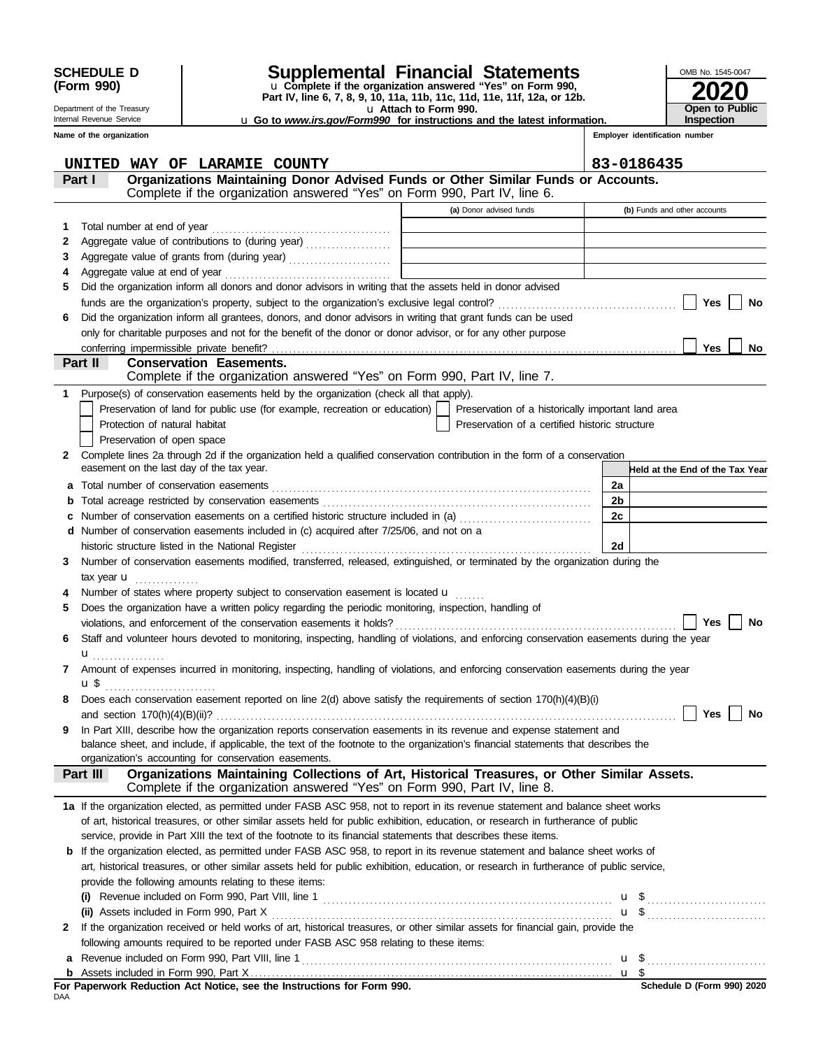| <b>SCHEDULE D</b> |  |
|-------------------|--|
| (Form 990)        |  |

#### Department of the Treasury Internal Revenue Service

# **SCHEDULE D Supplemental Financial Statements**

u **Attach to Form 990. Part IV, line 6, 7, 8, 9, 10, 11a, 11b, 11c, 11d, 11e, 11f, 12a, or 12b.** u **Complete if the organization answered "Yes" on Form 990,** u **Go to** *www.irs.gov/Form990* **for instructions and the latest information.**

| OMB No. 1545-0047     |
|-----------------------|
| 2020                  |
|                       |
| <b>Open to Public</b> |
| <b>Inspection</b>     |

|  |  |  | Name of the organization |
|--|--|--|--------------------------|
|--|--|--|--------------------------|

### **Employer identification number**

|     | UNITED<br>WAY OF LARAMIE COUNTY                                                                                                                                                                                                                                      |                                                                                           |                | 83-0186435                      |  |  |
|-----|----------------------------------------------------------------------------------------------------------------------------------------------------------------------------------------------------------------------------------------------------------------------|-------------------------------------------------------------------------------------------|----------------|---------------------------------|--|--|
|     | Organizations Maintaining Donor Advised Funds or Other Similar Funds or Accounts.<br>Part I                                                                                                                                                                          |                                                                                           |                |                                 |  |  |
|     | Complete if the organization answered "Yes" on Form 990, Part IV, line 6.                                                                                                                                                                                            |                                                                                           |                |                                 |  |  |
|     |                                                                                                                                                                                                                                                                      | (a) Donor advised funds                                                                   |                | (b) Funds and other accounts    |  |  |
| 1   |                                                                                                                                                                                                                                                                      |                                                                                           |                |                                 |  |  |
| 2   |                                                                                                                                                                                                                                                                      | the control of the control of the control of the control of the control of the control of |                |                                 |  |  |
| 3   |                                                                                                                                                                                                                                                                      | the control of the control of the control of the control of the control of                |                |                                 |  |  |
| 4   | Aggregate value at end of year                                                                                                                                                                                                                                       |                                                                                           |                |                                 |  |  |
| 5   | Did the organization inform all donors and donor advisors in writing that the assets held in donor advised                                                                                                                                                           |                                                                                           |                |                                 |  |  |
|     |                                                                                                                                                                                                                                                                      |                                                                                           |                | Yes<br>No                       |  |  |
| 6   | Did the organization inform all grantees, donors, and donor advisors in writing that grant funds can be used                                                                                                                                                         |                                                                                           |                |                                 |  |  |
|     | only for charitable purposes and not for the benefit of the donor or donor advisor, or for any other purpose                                                                                                                                                         |                                                                                           |                |                                 |  |  |
|     |                                                                                                                                                                                                                                                                      |                                                                                           |                | Yes<br>No.                      |  |  |
|     | Part II<br><b>Conservation Easements.</b>                                                                                                                                                                                                                            |                                                                                           |                |                                 |  |  |
|     | Complete if the organization answered "Yes" on Form 990, Part IV, line 7.                                                                                                                                                                                            |                                                                                           |                |                                 |  |  |
| 1   | Purpose(s) of conservation easements held by the organization (check all that apply).                                                                                                                                                                                |                                                                                           |                |                                 |  |  |
|     | Preservation of land for public use (for example, recreation or education)                                                                                                                                                                                           | Preservation of a historically important land area                                        |                |                                 |  |  |
|     | Protection of natural habitat                                                                                                                                                                                                                                        | Preservation of a certified historic structure                                            |                |                                 |  |  |
|     | Preservation of open space                                                                                                                                                                                                                                           |                                                                                           |                |                                 |  |  |
| 2   | Complete lines 2a through 2d if the organization held a qualified conservation contribution in the form of a conservation                                                                                                                                            |                                                                                           |                |                                 |  |  |
|     | easement on the last day of the tax year.                                                                                                                                                                                                                            |                                                                                           |                | Held at the End of the Tax Year |  |  |
| a   |                                                                                                                                                                                                                                                                      |                                                                                           | 2a             |                                 |  |  |
| b   |                                                                                                                                                                                                                                                                      |                                                                                           | 2 <sub>b</sub> |                                 |  |  |
|     |                                                                                                                                                                                                                                                                      |                                                                                           | 2c             |                                 |  |  |
|     | d Number of conservation easements included in (c) acquired after 7/25/06, and not on a                                                                                                                                                                              |                                                                                           |                |                                 |  |  |
|     | historic structure listed in the National Register                                                                                                                                                                                                                   |                                                                                           | 2d             |                                 |  |  |
| 3   | Number of conservation easements modified, transferred, released, extinguished, or terminated by the organization during the                                                                                                                                         |                                                                                           |                |                                 |  |  |
|     | tax year <b>u</b><br>.                                                                                                                                                                                                                                               |                                                                                           |                |                                 |  |  |
| 4   | Number of states where property subject to conservation easement is located $\mathbf{u}$                                                                                                                                                                             |                                                                                           |                |                                 |  |  |
| 5   | Does the organization have a written policy regarding the periodic monitoring, inspection, handling of                                                                                                                                                               |                                                                                           |                |                                 |  |  |
|     |                                                                                                                                                                                                                                                                      |                                                                                           |                | Yes<br>No                       |  |  |
| 6   | Staff and volunteer hours devoted to monitoring, inspecting, handling of violations, and enforcing conservation easements during the year                                                                                                                            |                                                                                           |                |                                 |  |  |
|     | ${\bf u}$                                                                                                                                                                                                                                                            |                                                                                           |                |                                 |  |  |
|     | Amount of expenses incurred in monitoring, inspecting, handling of violations, and enforcing conservation easements during the year                                                                                                                                  |                                                                                           |                |                                 |  |  |
|     | $\mathbf{u} \, \mathbf{\$}$                                                                                                                                                                                                                                          |                                                                                           |                |                                 |  |  |
|     | Does each conservation easement reported on line $2(d)$ above satisfy the requirements of section $170(h)(4)(B)(i)$                                                                                                                                                  |                                                                                           |                |                                 |  |  |
|     | and section 170(h)(4)(B)(ii)?                                                                                                                                                                                                                                        |                                                                                           |                | Yes<br>No                       |  |  |
| 9   | In Part XIII, describe how the organization reports conservation easements in its revenue and expense statement and                                                                                                                                                  |                                                                                           |                |                                 |  |  |
|     | balance sheet, and include, if applicable, the text of the footnote to the organization's financial statements that describes the                                                                                                                                    |                                                                                           |                |                                 |  |  |
|     | organization's accounting for conservation easements.                                                                                                                                                                                                                |                                                                                           |                |                                 |  |  |
|     | Organizations Maintaining Collections of Art, Historical Treasures, or Other Similar Assets.<br>Part III<br>Complete if the organization answered "Yes" on Form 990, Part IV, line 8.                                                                                |                                                                                           |                |                                 |  |  |
|     |                                                                                                                                                                                                                                                                      |                                                                                           |                |                                 |  |  |
|     | 1a If the organization elected, as permitted under FASB ASC 958, not to report in its revenue statement and balance sheet works<br>of art, historical treasures, or other similar assets held for public exhibition, education, or research in furtherance of public |                                                                                           |                |                                 |  |  |
|     | service, provide in Part XIII the text of the footnote to its financial statements that describes these items.                                                                                                                                                       |                                                                                           |                |                                 |  |  |
|     | <b>b</b> If the organization elected, as permitted under FASB ASC 958, to report in its revenue statement and balance sheet works of                                                                                                                                 |                                                                                           |                |                                 |  |  |
|     | art, historical treasures, or other similar assets held for public exhibition, education, or research in furtherance of public service,                                                                                                                              |                                                                                           |                |                                 |  |  |
|     | provide the following amounts relating to these items:                                                                                                                                                                                                               |                                                                                           |                |                                 |  |  |
|     |                                                                                                                                                                                                                                                                      |                                                                                           |                |                                 |  |  |
|     | (i) Revenue included on Form 990, Part VIII, line 1 $\ldots$ $\ldots$ $\ldots$ $\ldots$ $\ldots$ $\ldots$ $\ldots$ $\ldots$ $\ldots$ $\ldots$                                                                                                                        |                                                                                           |                |                                 |  |  |
| 2   | If the organization received or held works of art, historical treasures, or other similar assets for financial gain, provide the                                                                                                                                     |                                                                                           |                |                                 |  |  |
|     | following amounts required to be reported under FASB ASC 958 relating to these items:                                                                                                                                                                                |                                                                                           |                |                                 |  |  |
| а   |                                                                                                                                                                                                                                                                      |                                                                                           |                |                                 |  |  |
| b   |                                                                                                                                                                                                                                                                      |                                                                                           |                |                                 |  |  |
|     | For Paperwork Reduction Act Notice, see the Instructions for Form 990.                                                                                                                                                                                               |                                                                                           |                | Schedule D (Form 990) 2020      |  |  |
| DAA |                                                                                                                                                                                                                                                                      |                                                                                           |                |                                 |  |  |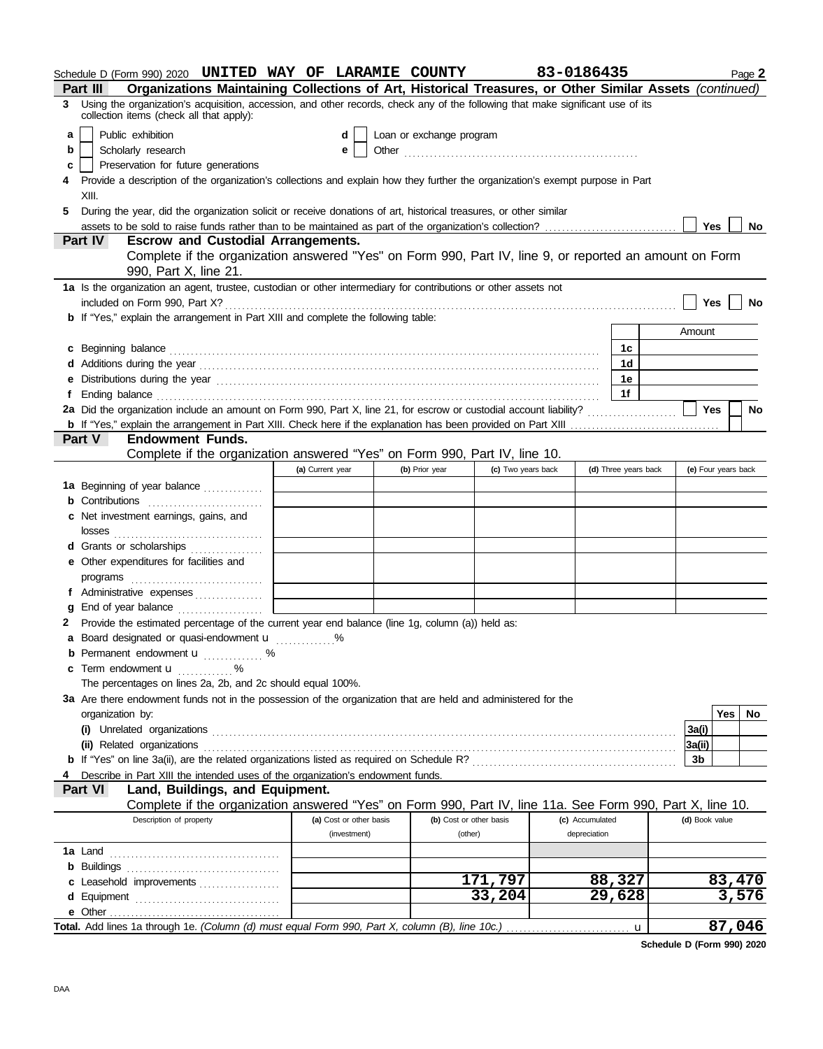|    | Schedule D (Form 990) 2020 UNITED WAY OF LARAMIE COUNTY                                                                                                                                                                        |                  |                         |                          |                    | 83-0186435      |                      |        |                     | Page 2    |
|----|--------------------------------------------------------------------------------------------------------------------------------------------------------------------------------------------------------------------------------|------------------|-------------------------|--------------------------|--------------------|-----------------|----------------------|--------|---------------------|-----------|
|    | Organizations Maintaining Collections of Art, Historical Treasures, or Other Similar Assets (continued)<br>Part III                                                                                                            |                  |                         |                          |                    |                 |                      |        |                     |           |
| 3  | Using the organization's acquisition, accession, and other records, check any of the following that make significant use of its<br>collection items (check all that apply):                                                    |                  |                         |                          |                    |                 |                      |        |                     |           |
| a  | Public exhibition                                                                                                                                                                                                              |                  |                         | Loan or exchange program |                    |                 |                      |        |                     |           |
| b  | Scholarly research                                                                                                                                                                                                             |                  | e                       |                          |                    |                 |                      |        |                     |           |
| c  | Preservation for future generations                                                                                                                                                                                            |                  |                         |                          |                    |                 |                      |        |                     |           |
| 4  | Provide a description of the organization's collections and explain how they further the organization's exempt purpose in Part                                                                                                 |                  |                         |                          |                    |                 |                      |        |                     |           |
|    | XIII.                                                                                                                                                                                                                          |                  |                         |                          |                    |                 |                      |        |                     |           |
| 5. | During the year, did the organization solicit or receive donations of art, historical treasures, or other similar                                                                                                              |                  |                         |                          |                    |                 |                      |        |                     |           |
|    |                                                                                                                                                                                                                                |                  |                         |                          |                    |                 |                      |        | Yes                 | No        |
|    | Part IV<br><b>Escrow and Custodial Arrangements.</b>                                                                                                                                                                           |                  |                         |                          |                    |                 |                      |        |                     |           |
|    | Complete if the organization answered "Yes" on Form 990, Part IV, line 9, or reported an amount on Form                                                                                                                        |                  |                         |                          |                    |                 |                      |        |                     |           |
|    | 990, Part X, line 21.                                                                                                                                                                                                          |                  |                         |                          |                    |                 |                      |        |                     |           |
|    | 1a Is the organization an agent, trustee, custodian or other intermediary for contributions or other assets not                                                                                                                |                  |                         |                          |                    |                 |                      |        |                     |           |
|    | included on Form 990, Part X?                                                                                                                                                                                                  |                  |                         |                          |                    |                 |                      |        | <b>Yes</b>          | No        |
|    | <b>b</b> If "Yes," explain the arrangement in Part XIII and complete the following table:                                                                                                                                      |                  |                         |                          |                    |                 |                      |        |                     |           |
|    |                                                                                                                                                                                                                                |                  |                         |                          |                    |                 |                      | Amount |                     |           |
|    | c Beginning balance                                                                                                                                                                                                            |                  |                         |                          |                    |                 | 1c                   |        |                     |           |
|    |                                                                                                                                                                                                                                |                  |                         |                          |                    |                 | 1d                   |        |                     |           |
|    | e Distributions during the year manufactured contains and the year manufactured with the year manufactured with the state of the state of the state of the state of the state of the state of the state of the state of the st |                  |                         |                          |                    |                 | 1е                   |        |                     |           |
| f  |                                                                                                                                                                                                                                |                  |                         |                          |                    |                 | 1f                   |        |                     |           |
|    |                                                                                                                                                                                                                                |                  |                         |                          |                    |                 |                      |        | Yes                 | <b>No</b> |
|    |                                                                                                                                                                                                                                |                  |                         |                          |                    |                 |                      |        |                     |           |
|    | <b>Part V</b><br><b>Endowment Funds.</b>                                                                                                                                                                                       |                  |                         |                          |                    |                 |                      |        |                     |           |
|    | Complete if the organization answered "Yes" on Form 990, Part IV, line 10.                                                                                                                                                     |                  |                         |                          |                    |                 |                      |        |                     |           |
|    |                                                                                                                                                                                                                                | (a) Current year |                         | (b) Prior year           | (c) Two years back |                 | (d) Three years back |        | (e) Four years back |           |
|    | 1a Beginning of year balance                                                                                                                                                                                                   |                  |                         |                          |                    |                 |                      |        |                     |           |
|    | <b>b</b> Contributions <b>contributions</b>                                                                                                                                                                                    |                  |                         |                          |                    |                 |                      |        |                     |           |
|    | c Net investment earnings, gains, and                                                                                                                                                                                          |                  |                         |                          |                    |                 |                      |        |                     |           |
|    |                                                                                                                                                                                                                                |                  |                         |                          |                    |                 |                      |        |                     |           |
|    | d Grants or scholarships                                                                                                                                                                                                       |                  |                         |                          |                    |                 |                      |        |                     |           |
|    | e Other expenditures for facilities and                                                                                                                                                                                        |                  |                         |                          |                    |                 |                      |        |                     |           |
|    |                                                                                                                                                                                                                                |                  |                         |                          |                    |                 |                      |        |                     |           |
|    | f Administrative expenses                                                                                                                                                                                                      |                  |                         |                          |                    |                 |                      |        |                     |           |
| a  |                                                                                                                                                                                                                                |                  |                         |                          |                    |                 |                      |        |                     |           |
|    | 2 Provide the estimated percentage of the current year end balance (line 1g, column (a)) held as:                                                                                                                              |                  |                         |                          |                    |                 |                      |        |                     |           |
|    | a Board designated or quasi-endowment u %                                                                                                                                                                                      |                  |                         |                          |                    |                 |                      |        |                     |           |
|    | Permanent endowment <b>u</b> %                                                                                                                                                                                                 |                  |                         |                          |                    |                 |                      |        |                     |           |
|    | c Term endowment <b>u</b> %                                                                                                                                                                                                    |                  |                         |                          |                    |                 |                      |        |                     |           |
|    | The percentages on lines 2a, 2b, and 2c should equal 100%.                                                                                                                                                                     |                  |                         |                          |                    |                 |                      |        |                     |           |
|    | 3a Are there endowment funds not in the possession of the organization that are held and administered for the                                                                                                                  |                  |                         |                          |                    |                 |                      |        |                     |           |
|    | organization by:                                                                                                                                                                                                               |                  |                         |                          |                    |                 |                      |        | Yes                 | No        |
|    |                                                                                                                                                                                                                                |                  |                         |                          |                    |                 |                      | 3a(i)  |                     |           |
|    | (ii) Related organizations                                                                                                                                                                                                     |                  |                         |                          |                    |                 |                      | 3a(ii) |                     |           |
|    |                                                                                                                                                                                                                                |                  |                         |                          |                    |                 |                      | 3b     |                     |           |
|    | Describe in Part XIII the intended uses of the organization's endowment funds.                                                                                                                                                 |                  |                         |                          |                    |                 |                      |        |                     |           |
|    | Part VI<br>Land, Buildings, and Equipment.                                                                                                                                                                                     |                  |                         |                          |                    |                 |                      |        |                     |           |
|    | Complete if the organization answered "Yes" on Form 990, Part IV, line 11a. See Form 990, Part X, line 10.                                                                                                                     |                  |                         |                          |                    |                 |                      |        |                     |           |
|    | Description of property                                                                                                                                                                                                        |                  | (a) Cost or other basis | (b) Cost or other basis  |                    | (c) Accumulated |                      |        | (d) Book value      |           |
|    |                                                                                                                                                                                                                                |                  | (investment)            | (other)                  |                    | depreciation    |                      |        |                     |           |
|    |                                                                                                                                                                                                                                |                  |                         |                          |                    |                 |                      |        |                     |           |
|    |                                                                                                                                                                                                                                |                  |                         |                          |                    |                 |                      |        |                     |           |
|    | c Leasehold improvements                                                                                                                                                                                                       |                  |                         |                          | 171,797            |                 | 88,327               |        |                     | 83,470    |
|    |                                                                                                                                                                                                                                |                  |                         |                          | 33,204             |                 | 29,628               |        |                     | 3,576     |
|    |                                                                                                                                                                                                                                |                  |                         |                          |                    |                 |                      |        |                     |           |
|    |                                                                                                                                                                                                                                |                  |                         |                          |                    |                 |                      |        |                     | 87,046    |

**Schedule D (Form 990) 2020**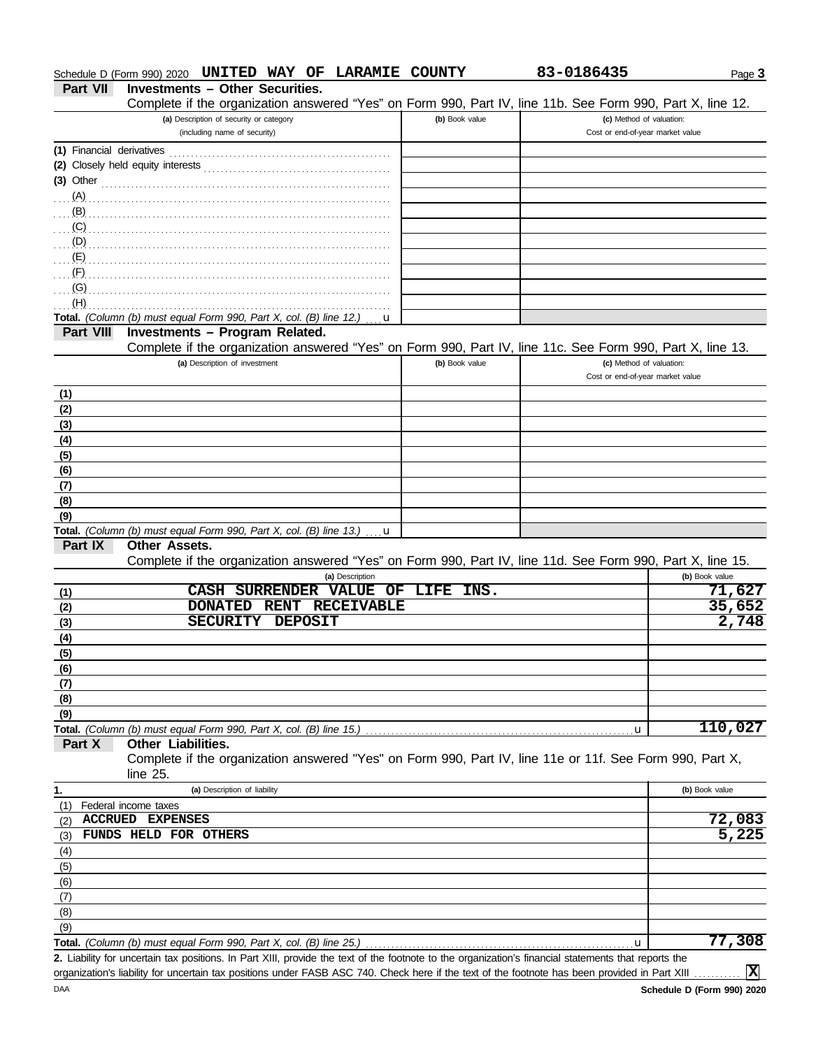| Schedule D (Form 990) 2020 $\,$ UNITED WAY OF LARAMIE COUNTY |  |  |  |  |  |  |
|--------------------------------------------------------------|--|--|--|--|--|--|
|--------------------------------------------------------------|--|--|--|--|--|--|

**Part VII Investments – Other Securities.**

Complete if the organization answered "Yes" on Form 990, Part IV, line 11b. See Form 990, Part X, line 12.

**UNITED WAY OF LARAMIE COUNTY 83-0186435**

|                  | $\sim$ . The complete in the organization anomology room on round over, rate ry, line inc. Over form over, rate $N$ , line i.e.                                                                                                      |                |  |                                                              |                |
|------------------|--------------------------------------------------------------------------------------------------------------------------------------------------------------------------------------------------------------------------------------|----------------|--|--------------------------------------------------------------|----------------|
|                  | (a) Description of security or category<br>(including name of security)                                                                                                                                                              | (b) Book value |  | (c) Method of valuation:<br>Cost or end-of-year market value |                |
|                  |                                                                                                                                                                                                                                      |                |  |                                                              |                |
|                  |                                                                                                                                                                                                                                      |                |  |                                                              |                |
|                  |                                                                                                                                                                                                                                      |                |  |                                                              |                |
| $(A)$ .          | (3) Other <b>contract and the Contract of Contract and Contract and Contract and Contract and Contract and Contract and Contract and Contract and Contract and Contract and Contract and Contract and Contract and Contract and </b> |                |  |                                                              |                |
| (B)              |                                                                                                                                                                                                                                      |                |  |                                                              |                |
| (C)              |                                                                                                                                                                                                                                      |                |  |                                                              |                |
|                  |                                                                                                                                                                                                                                      |                |  |                                                              |                |
| (D)              |                                                                                                                                                                                                                                      |                |  |                                                              |                |
| (E)              |                                                                                                                                                                                                                                      |                |  |                                                              |                |
| (F)              |                                                                                                                                                                                                                                      |                |  |                                                              |                |
| (G)              |                                                                                                                                                                                                                                      |                |  |                                                              |                |
| (H)              |                                                                                                                                                                                                                                      |                |  |                                                              |                |
| <b>Part VIII</b> | <b>Total.</b> (Column (b) must equal Form 990, Part X, col. (B) line 12.) $\ldots$<br>u                                                                                                                                              |                |  |                                                              |                |
|                  | Investments - Program Related.<br>Complete if the organization answered "Yes" on Form 990, Part IV, line 11c. See Form 990, Part X, line 13.                                                                                         |                |  |                                                              |                |
|                  | (a) Description of investment                                                                                                                                                                                                        | (b) Book value |  | (c) Method of valuation:                                     |                |
|                  |                                                                                                                                                                                                                                      |                |  | Cost or end-of-year market value                             |                |
|                  |                                                                                                                                                                                                                                      |                |  |                                                              |                |
| (1)<br>(2)       |                                                                                                                                                                                                                                      |                |  |                                                              |                |
| (3)              |                                                                                                                                                                                                                                      |                |  |                                                              |                |
|                  |                                                                                                                                                                                                                                      |                |  |                                                              |                |
| (4)              |                                                                                                                                                                                                                                      |                |  |                                                              |                |
| (5)              |                                                                                                                                                                                                                                      |                |  |                                                              |                |
| (6)              |                                                                                                                                                                                                                                      |                |  |                                                              |                |
| (7)              |                                                                                                                                                                                                                                      |                |  |                                                              |                |
| (8)              |                                                                                                                                                                                                                                      |                |  |                                                              |                |
| (9)              |                                                                                                                                                                                                                                      |                |  |                                                              |                |
|                  | <b>Total.</b> (Column (b) must equal Form 990, Part X, col. (B) line 13.) $\ldots$ <b>u</b>                                                                                                                                          |                |  |                                                              |                |
| Part IX          | <b>Other Assets.</b>                                                                                                                                                                                                                 |                |  |                                                              |                |
|                  | Complete if the organization answered "Yes" on Form 990, Part IV, line 11d. See Form 990, Part X, line 15.<br>(a) Description                                                                                                        |                |  |                                                              | (b) Book value |
|                  | SURRENDER VALUE OF LIFE INS.<br><b>CASH</b>                                                                                                                                                                                          |                |  |                                                              | 71,627         |
| (1)              | RENT RECEIVABLE<br><b>DONATED</b>                                                                                                                                                                                                    |                |  |                                                              | 35,652         |
| (2)              | <b>SECURITY</b><br><b>DEPOSIT</b>                                                                                                                                                                                                    |                |  |                                                              | 2,748          |
| (3)              |                                                                                                                                                                                                                                      |                |  |                                                              |                |
| (4)              |                                                                                                                                                                                                                                      |                |  |                                                              |                |
| (5)              |                                                                                                                                                                                                                                      |                |  |                                                              |                |
| (6)              |                                                                                                                                                                                                                                      |                |  |                                                              |                |
| (7)              |                                                                                                                                                                                                                                      |                |  |                                                              |                |
| (8)              |                                                                                                                                                                                                                                      |                |  |                                                              |                |
| (9)              |                                                                                                                                                                                                                                      |                |  |                                                              |                |
|                  |                                                                                                                                                                                                                                      |                |  | u,                                                           | 110,027        |
| Part X           | Other Liabilities.                                                                                                                                                                                                                   |                |  |                                                              |                |
|                  | Complete if the organization answered "Yes" on Form 990, Part IV, line 11e or 11f. See Form 990, Part X,                                                                                                                             |                |  |                                                              |                |
|                  | line 25.                                                                                                                                                                                                                             |                |  |                                                              |                |
| 1.               | (a) Description of liability                                                                                                                                                                                                         |                |  |                                                              | (b) Book value |
| (1)<br>ACCRUED   | Federal income taxes<br><b>EXPENSES</b>                                                                                                                                                                                              |                |  |                                                              | 72,083         |
| (2)              | FUNDS HELD FOR OTHERS                                                                                                                                                                                                                |                |  |                                                              | 5,225          |
| (3)              |                                                                                                                                                                                                                                      |                |  |                                                              |                |
| (4)              |                                                                                                                                                                                                                                      |                |  |                                                              |                |
| (5)              |                                                                                                                                                                                                                                      |                |  |                                                              |                |
| (6)              |                                                                                                                                                                                                                                      |                |  |                                                              |                |
| (7)              |                                                                                                                                                                                                                                      |                |  |                                                              |                |
| (8)              |                                                                                                                                                                                                                                      |                |  |                                                              |                |
| (9)              |                                                                                                                                                                                                                                      |                |  |                                                              |                |
|                  | Total. (Column (b) must equal Form 990, Part X, col. (B) line 25.)                                                                                                                                                                   |                |  | u                                                            | 77,308         |
|                  | 2. Liability for uncertain tax positions. In Part XIII, provide the text of the footnote to the organization's financial statements that reports the                                                                                 |                |  |                                                              |                |
|                  | organization's liability for uncertain tax positions under FASB ASC 740. Check here if the text of the footnote has been provided in Part XIII                                                                                       |                |  |                                                              | <b>X</b>       |

Page **3**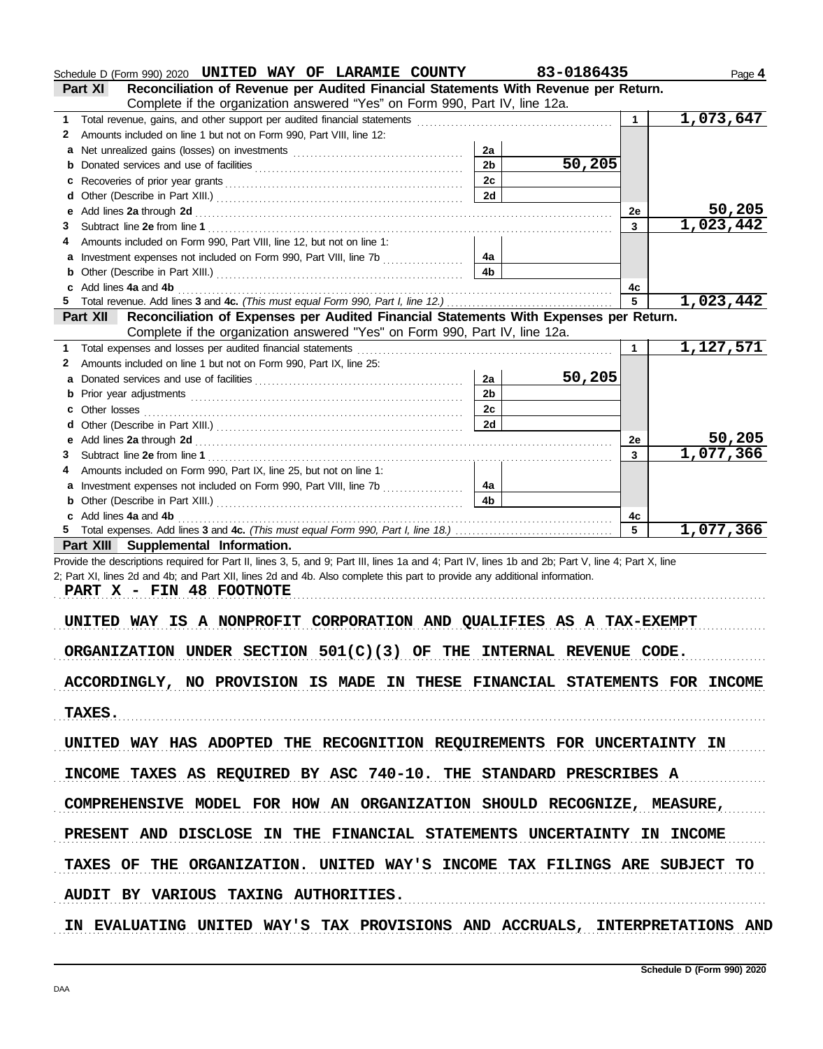|        | Schedule D (Form 990) 2020 UNITED WAY OF LARAMIE COUNTY                                                                                                                                                                        |                      | 83-0186435 |    | Page 4                 |
|--------|--------------------------------------------------------------------------------------------------------------------------------------------------------------------------------------------------------------------------------|----------------------|------------|----|------------------------|
|        | Reconciliation of Revenue per Audited Financial Statements With Revenue per Return.<br>Part XI                                                                                                                                 |                      |            |    |                        |
|        | Complete if the organization answered "Yes" on Form 990, Part IV, line 12a.                                                                                                                                                    |                      |            |    | 1,073,647              |
| 1      | Total revenue, gains, and other support per audited financial statements [111] [11] Total revenue, gains, and other support per audited financial statements [11] [11] [12] Total revenue of the statements [11] $\alpha$      |                      |            | 1  |                        |
| 2      | Amounts included on line 1 but not on Form 990, Part VIII, line 12:                                                                                                                                                            |                      |            |    |                        |
| a<br>b |                                                                                                                                                                                                                                | 2a<br>2 <sub>b</sub> | 50,205     |    |                        |
|        |                                                                                                                                                                                                                                | 2c                   |            |    |                        |
| c<br>d |                                                                                                                                                                                                                                | 2d                   |            |    |                        |
| е      |                                                                                                                                                                                                                                |                      |            | 2e | 50,205                 |
| 3      | Add lines 2a through 2d [11] Additional Contract of Additional Contract of Additional Contract of Additional Contract of Additional Contract of Additional Contract of Additional Contract of Additional Contract of Additiona |                      |            | 3  | 1,023,442              |
| 4      | Amounts included on Form 990, Part VIII, line 12, but not on line 1:                                                                                                                                                           |                      |            |    |                        |
|        | a Investment expenses not included on Form 990, Part VIII, line 7b                                                                                                                                                             | 4a                   |            |    |                        |
| b      |                                                                                                                                                                                                                                | 4b                   |            |    |                        |
| c      | Add lines 4a and 4b                                                                                                                                                                                                            |                      |            | 4c |                        |
|        |                                                                                                                                                                                                                                |                      |            | 5  | 1,023,442              |
|        | Reconciliation of Expenses per Audited Financial Statements With Expenses per Return.<br><b>Part XII</b>                                                                                                                       |                      |            |    |                        |
|        | Complete if the organization answered "Yes" on Form 990, Part IV, line 12a.                                                                                                                                                    |                      |            |    |                        |
| 1      | Total expenses and losses per audited financial statements                                                                                                                                                                     |                      |            | 1  | 1,127,571              |
| 2      | Amounts included on line 1 but not on Form 990, Part IX, line 25:                                                                                                                                                              |                      |            |    |                        |
| a      |                                                                                                                                                                                                                                | 2a                   | 50,205     |    |                        |
| b      |                                                                                                                                                                                                                                | 2 <sub>b</sub>       |            |    |                        |
| c      | Other losses <b>contracts Other losses contracts CONS</b>                                                                                                                                                                      | 2c                   |            |    |                        |
| d      |                                                                                                                                                                                                                                | 2d                   |            |    |                        |
| е      |                                                                                                                                                                                                                                |                      |            | 2e | 50,205                 |
| 3      |                                                                                                                                                                                                                                |                      |            | 3  | 1,077,366              |
| 4      | Amounts included on Form 990, Part IX, line 25, but not on line 1:                                                                                                                                                             |                      |            |    |                        |
|        | a Investment expenses not included on Form 990, Part VIII, line 7b                                                                                                                                                             | 4a                   |            |    |                        |
| b      |                                                                                                                                                                                                                                | 4b                   |            |    |                        |
|        | c Add lines 4a and 4b                                                                                                                                                                                                          |                      |            | 4c |                        |
|        |                                                                                                                                                                                                                                |                      |            | 5  | $\overline{1,077,366}$ |
|        | Part XIII Supplemental Information.                                                                                                                                                                                            |                      |            |    |                        |
|        | Provide the descriptions required for Part II, lines 3, 5, and 9; Part III, lines 1a and 4; Part IV, lines 1b and 2b; Part V, line 4; Part X, line                                                                             |                      |            |    |                        |
|        | 2; Part XI, lines 2d and 4b; and Part XII, lines 2d and 4b. Also complete this part to provide any additional information.                                                                                                     |                      |            |    |                        |
|        | PART X - FIN 48 FOOTNOTE                                                                                                                                                                                                       |                      |            |    |                        |
|        |                                                                                                                                                                                                                                |                      |            |    |                        |
|        | UNITED WAY IS A NONPROFIT CORPORATION AND QUALIFIES AS A TAX-EXEMPT                                                                                                                                                            |                      |            |    |                        |
|        | ORGANIZATION UNDER SECTION $501(C)(3)$ OF THE INTERNAL REVENUE CODE.                                                                                                                                                           |                      |            |    |                        |
|        |                                                                                                                                                                                                                                |                      |            |    |                        |
|        | ACCORDINGLY, NO PROVISION IS MADE IN THESE FINANCIAL STATEMENTS FOR INCOME                                                                                                                                                     |                      |            |    |                        |
|        |                                                                                                                                                                                                                                |                      |            |    |                        |
|        | <b>TAXES.</b>                                                                                                                                                                                                                  |                      |            |    |                        |
|        |                                                                                                                                                                                                                                |                      |            |    |                        |
|        | UNITED WAY HAS ADOPTED THE RECOGNITION REQUIREMENTS FOR UNCERTAINTY IN                                                                                                                                                         |                      |            |    |                        |
|        |                                                                                                                                                                                                                                |                      |            |    |                        |
|        | INCOME TAXES AS REQUIRED BY ASC 740-10. THE STANDARD PRESCRIBES A                                                                                                                                                              |                      |            |    |                        |
|        |                                                                                                                                                                                                                                |                      |            |    |                        |
|        | COMPREHENSIVE MODEL FOR HOW AN ORGANIZATION SHOULD RECOGNIZE, MEASURE,                                                                                                                                                         |                      |            |    |                        |
|        |                                                                                                                                                                                                                                |                      |            |    |                        |
|        | PRESENT AND DISCLOSE IN THE FINANCIAL STATEMENTS UNCERTAINTY IN INCOME                                                                                                                                                         |                      |            |    |                        |
|        |                                                                                                                                                                                                                                |                      |            |    |                        |
|        | TAXES OF THE ORGANIZATION. UNITED WAY'S INCOME TAX FILINGS ARE SUBJECT TO                                                                                                                                                      |                      |            |    |                        |
|        |                                                                                                                                                                                                                                |                      |            |    |                        |
|        | AUDIT BY VARIOUS TAXING AUTHORITIES.                                                                                                                                                                                           |                      |            |    |                        |
|        | IN EVALUATING UNITED WAY'S TAX PROVISIONS AND ACCRUALS, INTERPRETATIONS AND                                                                                                                                                    |                      |            |    |                        |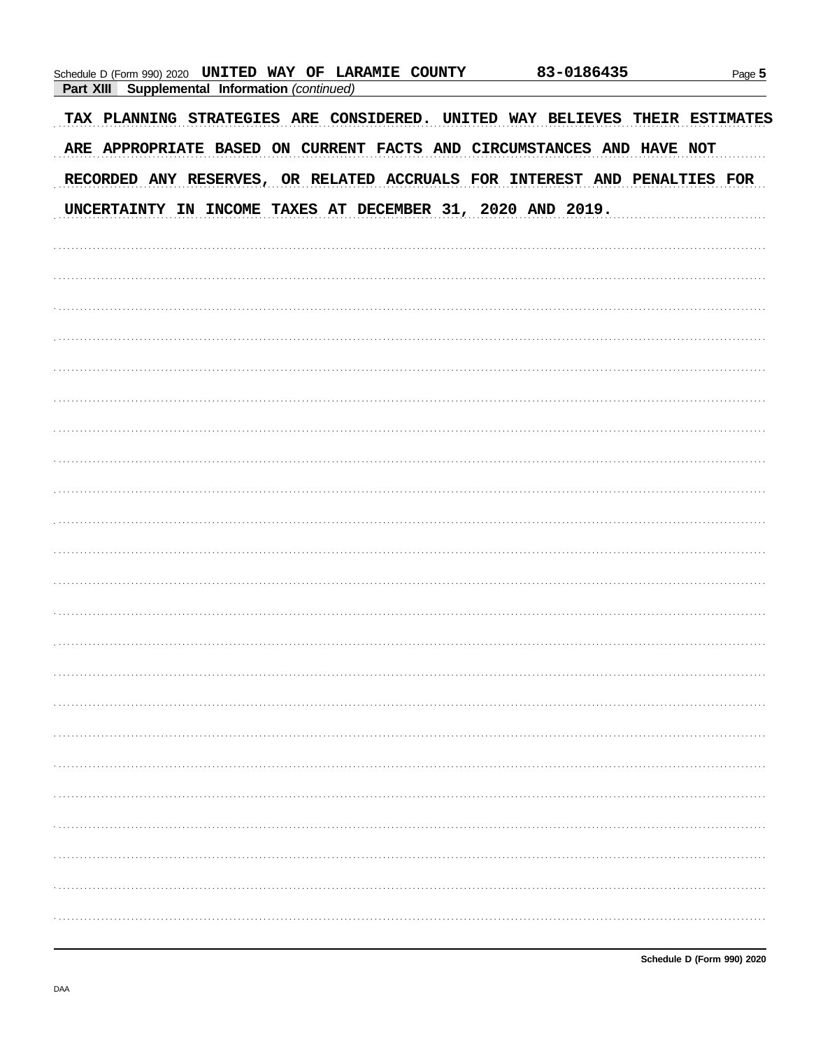| Schedule D (Form 990) 2020 UNITED WAY OF LARAMIE COUNTY<br><b>Part XIII</b><br>Supplemental Information (continued) | 83-0186435 | Page 5 |
|---------------------------------------------------------------------------------------------------------------------|------------|--------|
| TAX PLANNING STRATEGIES ARE CONSIDERED. UNITED WAY BELIEVES THEIR ESTIMATES                                         |            |        |
| ARE APPROPRIATE BASED ON CURRENT FACTS AND CIRCUMSTANCES AND HAVE NOT                                               |            |        |
| RECORDED ANY RESERVES, OR RELATED ACCRUALS FOR INTEREST AND PENALTIES FOR                                           |            |        |
| UNCERTAINTY IN INCOME TAXES AT DECEMBER 31, 2020 AND 2019.                                                          |            |        |
|                                                                                                                     |            |        |
|                                                                                                                     |            |        |
|                                                                                                                     |            |        |
|                                                                                                                     |            |        |
|                                                                                                                     |            |        |
|                                                                                                                     |            |        |
|                                                                                                                     |            |        |
|                                                                                                                     |            |        |
|                                                                                                                     |            |        |
|                                                                                                                     |            |        |
|                                                                                                                     |            |        |
|                                                                                                                     |            |        |
|                                                                                                                     |            |        |
|                                                                                                                     |            |        |
|                                                                                                                     |            |        |
|                                                                                                                     |            |        |
|                                                                                                                     |            |        |
|                                                                                                                     |            |        |
|                                                                                                                     |            |        |
|                                                                                                                     |            |        |
|                                                                                                                     |            |        |
|                                                                                                                     |            |        |
|                                                                                                                     |            |        |
|                                                                                                                     |            |        |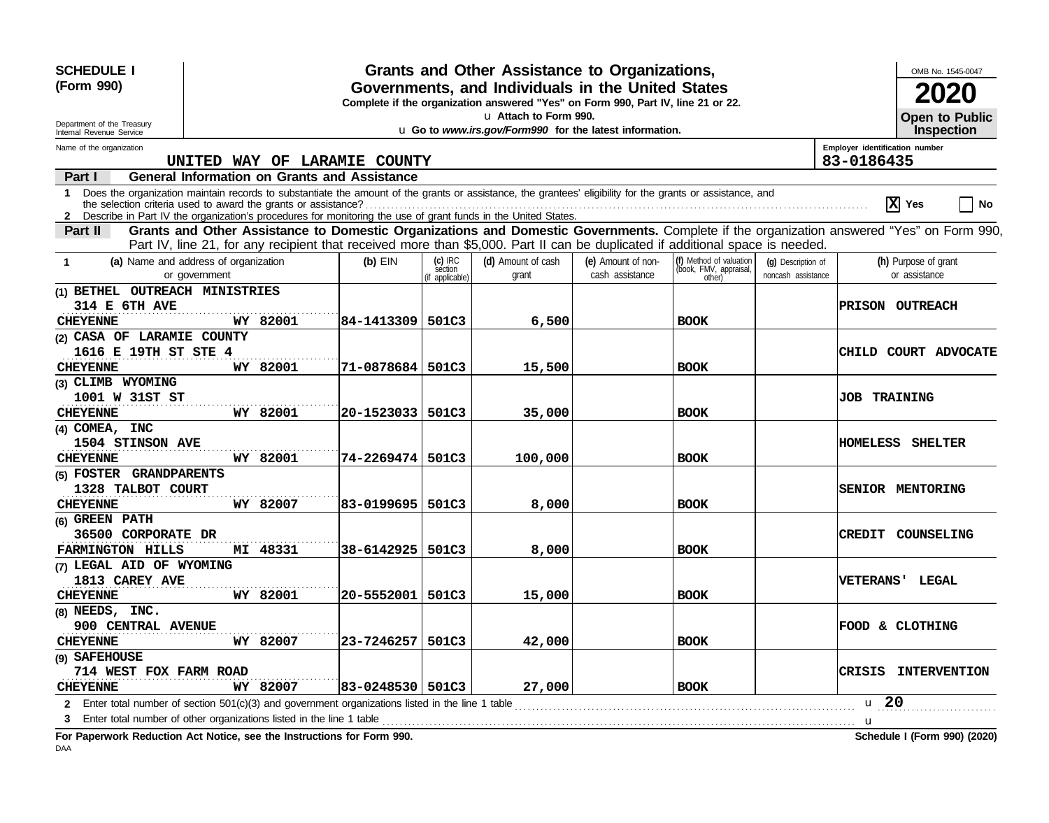| <b>SCHEDULE I</b><br>(Form 990)<br>Department of the Treasury<br>Internal Revenue Service                             |                                                                      |                                                                                                                                                            |                                         | Grants and Other Assistance to Organizations,<br>Governments, and Individuals in the United States<br>Complete if the organization answered "Yes" on Form 990, Part IV, line 21 or 22.<br>u Attach to Form 990.<br>u Go to www.irs.gov/Form990 for the latest information. |                                                                                                                                                                                                                               |                                                             |                                          | OMB No. 1545-0047<br><b>Open to Public</b><br>Inspection                                                                                 |
|-----------------------------------------------------------------------------------------------------------------------|----------------------------------------------------------------------|------------------------------------------------------------------------------------------------------------------------------------------------------------|-----------------------------------------|----------------------------------------------------------------------------------------------------------------------------------------------------------------------------------------------------------------------------------------------------------------------------|-------------------------------------------------------------------------------------------------------------------------------------------------------------------------------------------------------------------------------|-------------------------------------------------------------|------------------------------------------|------------------------------------------------------------------------------------------------------------------------------------------|
| Name of the organization                                                                                              |                                                                      |                                                                                                                                                            |                                         |                                                                                                                                                                                                                                                                            |                                                                                                                                                                                                                               |                                                             |                                          | Employer identification number                                                                                                           |
|                                                                                                                       |                                                                      | UNITED WAY OF LARAMIE COUNTY                                                                                                                               |                                         |                                                                                                                                                                                                                                                                            |                                                                                                                                                                                                                               |                                                             |                                          | 83-0186435                                                                                                                               |
| Part I                                                                                                                |                                                                      | <b>General Information on Grants and Assistance</b>                                                                                                        |                                         |                                                                                                                                                                                                                                                                            |                                                                                                                                                                                                                               |                                                             |                                          |                                                                                                                                          |
| 1.<br>2 Describe in Part IV the organization's procedures for monitoring the use of grant funds in the United States. |                                                                      | Does the organization maintain records to substantiate the amount of the grants or assistance, the grantees' eligibility for the grants or assistance, and |                                         |                                                                                                                                                                                                                                                                            |                                                                                                                                                                                                                               |                                                             |                                          | $ \mathbf{x} $<br>Yes<br>No                                                                                                              |
| Part II                                                                                                               |                                                                      | Part IV, line 21, for any recipient that received more than \$5,000. Part II can be duplicated if additional space is needed.                              |                                         |                                                                                                                                                                                                                                                                            |                                                                                                                                                                                                                               |                                                             |                                          | Grants and Other Assistance to Domestic Organizations and Domestic Governments. Complete if the organization answered "Yes" on Form 990, |
| $\mathbf 1$                                                                                                           | (a) Name and address of organization<br>or government                | $(b)$ EIN                                                                                                                                                  | $(c)$ IRC<br>section<br>(if applicable) | (d) Amount of cash<br>grant                                                                                                                                                                                                                                                | (e) Amount of non-<br>cash assistance                                                                                                                                                                                         | (f) Method of valuation<br>(book, FMV, appraisal,<br>other) | (g) Description of<br>noncash assistance | (h) Purpose of grant<br>or assistance                                                                                                    |
| (1) BETHEL OUTREACH MINISTRIES                                                                                        |                                                                      |                                                                                                                                                            |                                         |                                                                                                                                                                                                                                                                            |                                                                                                                                                                                                                               |                                                             |                                          |                                                                                                                                          |
| <b>314 E 6TH AVE</b>                                                                                                  |                                                                      |                                                                                                                                                            |                                         |                                                                                                                                                                                                                                                                            |                                                                                                                                                                                                                               |                                                             |                                          | <b>PRISON OUTREACH</b>                                                                                                                   |
| <b>CHEYENNE</b>                                                                                                       | WY 82001                                                             | 84-1413309   501C3                                                                                                                                         |                                         | 6,500                                                                                                                                                                                                                                                                      |                                                                                                                                                                                                                               | <b>BOOK</b>                                                 |                                          |                                                                                                                                          |
| (2) CASA OF LARAMIE COUNTY                                                                                            |                                                                      |                                                                                                                                                            |                                         |                                                                                                                                                                                                                                                                            |                                                                                                                                                                                                                               |                                                             |                                          |                                                                                                                                          |
| 1616 E 19TH ST STE 4                                                                                                  |                                                                      |                                                                                                                                                            |                                         |                                                                                                                                                                                                                                                                            |                                                                                                                                                                                                                               |                                                             |                                          | <b>CHILD COURT ADVOCATE</b>                                                                                                              |
| <b>CHEYENNE</b>                                                                                                       | WY 82001                                                             | 71-0878684   501C3                                                                                                                                         |                                         | 15,500                                                                                                                                                                                                                                                                     |                                                                                                                                                                                                                               | <b>BOOK</b>                                                 |                                          |                                                                                                                                          |
| (3) CLIMB WYOMING                                                                                                     |                                                                      |                                                                                                                                                            |                                         |                                                                                                                                                                                                                                                                            |                                                                                                                                                                                                                               |                                                             |                                          |                                                                                                                                          |
| 1001 W 31ST ST                                                                                                        |                                                                      |                                                                                                                                                            |                                         |                                                                                                                                                                                                                                                                            |                                                                                                                                                                                                                               |                                                             |                                          | <b>JOB TRAINING</b>                                                                                                                      |
| <b>CHEYENNE</b>                                                                                                       | WY 82001                                                             | 20-1523033  501C3                                                                                                                                          |                                         | 35,000                                                                                                                                                                                                                                                                     |                                                                                                                                                                                                                               | <b>BOOK</b>                                                 |                                          |                                                                                                                                          |
| (4) COMEA, INC                                                                                                        |                                                                      |                                                                                                                                                            |                                         |                                                                                                                                                                                                                                                                            |                                                                                                                                                                                                                               |                                                             |                                          |                                                                                                                                          |
| 1504 STINSON AVE                                                                                                      |                                                                      |                                                                                                                                                            |                                         |                                                                                                                                                                                                                                                                            |                                                                                                                                                                                                                               |                                                             |                                          | <b>HOMELESS SHELTER</b>                                                                                                                  |
| <b>CHEYENNE</b>                                                                                                       | WY 82001                                                             | 74-2269474   501C3                                                                                                                                         |                                         | 100,000                                                                                                                                                                                                                                                                    |                                                                                                                                                                                                                               | <b>BOOK</b>                                                 |                                          |                                                                                                                                          |
| (5) FOSTER GRANDPARENTS                                                                                               |                                                                      |                                                                                                                                                            |                                         |                                                                                                                                                                                                                                                                            |                                                                                                                                                                                                                               |                                                             |                                          |                                                                                                                                          |
| 1328 TALBOT COURT                                                                                                     |                                                                      |                                                                                                                                                            |                                         |                                                                                                                                                                                                                                                                            |                                                                                                                                                                                                                               |                                                             |                                          | SENIOR MENTORING                                                                                                                         |
| <b>CHEYENNE</b>                                                                                                       | WY 82007                                                             | 83-0199695  501C3                                                                                                                                          |                                         | 8,000                                                                                                                                                                                                                                                                      |                                                                                                                                                                                                                               | <b>BOOK</b>                                                 |                                          |                                                                                                                                          |
| (6) GREEN PATH                                                                                                        |                                                                      |                                                                                                                                                            |                                         |                                                                                                                                                                                                                                                                            |                                                                                                                                                                                                                               |                                                             |                                          |                                                                                                                                          |
| 36500 CORPORATE DR                                                                                                    |                                                                      |                                                                                                                                                            |                                         |                                                                                                                                                                                                                                                                            |                                                                                                                                                                                                                               |                                                             |                                          | CREDIT COUNSELING                                                                                                                        |
| <b>FARMINGTON HILLS</b>                                                                                               | MI 48331                                                             | 38-6142925   501C3                                                                                                                                         |                                         | 8,000                                                                                                                                                                                                                                                                      |                                                                                                                                                                                                                               | <b>BOOK</b>                                                 |                                          |                                                                                                                                          |
| (7) LEGAL AID OF WYOMING                                                                                              |                                                                      |                                                                                                                                                            |                                         |                                                                                                                                                                                                                                                                            |                                                                                                                                                                                                                               |                                                             |                                          |                                                                                                                                          |
| 1813 CAREY AVE                                                                                                        |                                                                      |                                                                                                                                                            |                                         |                                                                                                                                                                                                                                                                            |                                                                                                                                                                                                                               |                                                             |                                          | <b>VETERANS' LEGAL</b>                                                                                                                   |
| <b>CHEYENNE</b>                                                                                                       | WY 82001                                                             | 20-5552001   501C3                                                                                                                                         |                                         | 15,000                                                                                                                                                                                                                                                                     |                                                                                                                                                                                                                               | <b>BOOK</b>                                                 |                                          |                                                                                                                                          |
| (8) NEEDS, INC.                                                                                                       |                                                                      |                                                                                                                                                            |                                         |                                                                                                                                                                                                                                                                            |                                                                                                                                                                                                                               |                                                             |                                          |                                                                                                                                          |
| 900 CENTRAL AVENUE                                                                                                    |                                                                      |                                                                                                                                                            |                                         |                                                                                                                                                                                                                                                                            |                                                                                                                                                                                                                               |                                                             |                                          | FOOD & CLOTHING                                                                                                                          |
| <b>CHEYENNE</b>                                                                                                       | WY 82007                                                             | 23-7246257   501C3                                                                                                                                         |                                         | 42,000                                                                                                                                                                                                                                                                     |                                                                                                                                                                                                                               | <b>BOOK</b>                                                 |                                          |                                                                                                                                          |
| (9) SAFEHOUSE                                                                                                         |                                                                      |                                                                                                                                                            |                                         |                                                                                                                                                                                                                                                                            |                                                                                                                                                                                                                               |                                                             |                                          |                                                                                                                                          |
| <b>714 WEST FOX FARM ROAD</b><br><b>CHEYENNE</b>                                                                      | WY 82007                                                             | 83-0248530   501C3                                                                                                                                         |                                         | 27,000                                                                                                                                                                                                                                                                     |                                                                                                                                                                                                                               | <b>BOOK</b>                                                 |                                          | CRISIS INTERVENTION                                                                                                                      |
|                                                                                                                       |                                                                      |                                                                                                                                                            |                                         |                                                                                                                                                                                                                                                                            |                                                                                                                                                                                                                               |                                                             |                                          | u 20                                                                                                                                     |
| 2<br>З                                                                                                                | Enter total number of other organizations listed in the line 1 table | Enter total number of section $501(c)(3)$ and government organizations listed in the line 1 table                                                          |                                         |                                                                                                                                                                                                                                                                            | and a construction of the construction of the construction of the construction of the construction of the construction of the construction of the construction of the construction of the construction of the construction of |                                                             |                                          |                                                                                                                                          |
| For Paperwork Reduction Act Notice, see the Instructions for Form 990.                                                |                                                                      |                                                                                                                                                            |                                         |                                                                                                                                                                                                                                                                            |                                                                                                                                                                                                                               |                                                             |                                          | u<br>Schedule I (Form 990) (2020)                                                                                                        |
|                                                                                                                       |                                                                      |                                                                                                                                                            |                                         |                                                                                                                                                                                                                                                                            |                                                                                                                                                                                                                               |                                                             |                                          |                                                                                                                                          |

DAA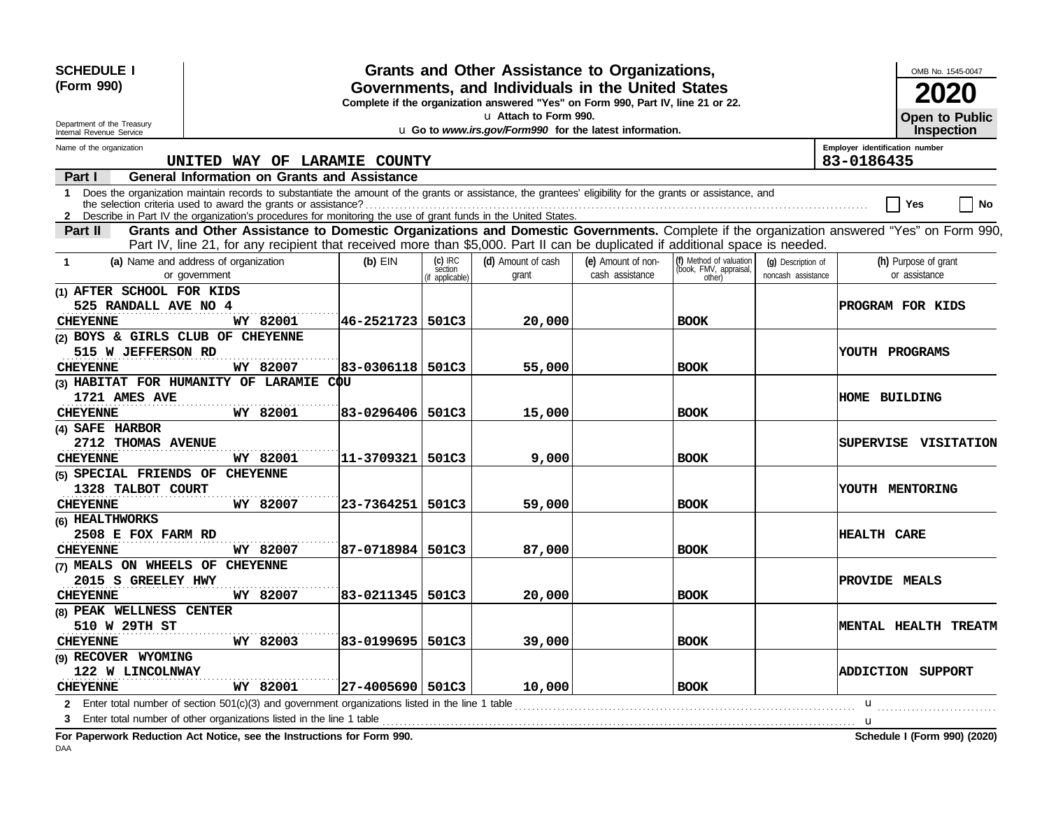| <b>SCHEDULE I</b><br>(Form 990)<br>Department of the Treasury<br>Internal Revenue Service |                                                                                                                                                                                                                                                                                 | OMB No. 1545-0047<br>2020<br><b>Open to Public</b><br>Inspection |                      |                    |                    |                                                   |                    |                                                                                                                                          |  |
|-------------------------------------------------------------------------------------------|---------------------------------------------------------------------------------------------------------------------------------------------------------------------------------------------------------------------------------------------------------------------------------|------------------------------------------------------------------|----------------------|--------------------|--------------------|---------------------------------------------------|--------------------|------------------------------------------------------------------------------------------------------------------------------------------|--|
| Name of the organization                                                                  |                                                                                                                                                                                                                                                                                 |                                                                  |                      |                    |                    |                                                   |                    | Employer identification number                                                                                                           |  |
|                                                                                           | UNITED WAY OF LARAMIE COUNTY                                                                                                                                                                                                                                                    |                                                                  |                      |                    |                    |                                                   |                    | 83-0186435                                                                                                                               |  |
| Part I                                                                                    | <b>General Information on Grants and Assistance</b>                                                                                                                                                                                                                             |                                                                  |                      |                    |                    |                                                   |                    |                                                                                                                                          |  |
|                                                                                           | 1 Does the organization maintain records to substantiate the amount of the grants or assistance, the grantees' eligibility for the grants or assistance, and<br>2 Describe in Part IV the organization's procedures for monitoring the use of grant funds in the United States. |                                                                  |                      |                    |                    |                                                   |                    | No<br>Yes                                                                                                                                |  |
| Part II                                                                                   |                                                                                                                                                                                                                                                                                 |                                                                  |                      |                    |                    |                                                   |                    | Grants and Other Assistance to Domestic Organizations and Domestic Governments. Complete if the organization answered "Yes" on Form 990, |  |
|                                                                                           | Part IV, line 21, for any recipient that received more than \$5,000. Part II can be duplicated if additional space is needed.                                                                                                                                                   |                                                                  |                      |                    |                    |                                                   |                    |                                                                                                                                          |  |
| -1                                                                                        | (a) Name and address of organization                                                                                                                                                                                                                                            | $(b)$ EIN                                                        | $(c)$ IRC<br>section | (d) Amount of cash | (e) Amount of non- | (f) Method of valuation<br>(book, FMV, appraisal, | (q) Description of | (h) Purpose of grant                                                                                                                     |  |
|                                                                                           | or government                                                                                                                                                                                                                                                                   |                                                                  | (if applicable)      | grant              | cash assistance    | other)                                            | noncash assistance | or assistance                                                                                                                            |  |
| (1) AFTER SCHOOL FOR KIDS                                                                 |                                                                                                                                                                                                                                                                                 |                                                                  |                      |                    |                    |                                                   |                    |                                                                                                                                          |  |
| 525 RANDALL AVE NO 4                                                                      |                                                                                                                                                                                                                                                                                 |                                                                  |                      |                    |                    |                                                   |                    | <b>PROGRAM FOR KIDS</b>                                                                                                                  |  |
| <b>CHEYENNE</b>                                                                           | WY 82001                                                                                                                                                                                                                                                                        | 46-2521723   501C3                                               |                      | 20,000             |                    | <b>BOOK</b>                                       |                    |                                                                                                                                          |  |
| (2) BOYS & GIRLS CLUB OF CHEYENNE                                                         |                                                                                                                                                                                                                                                                                 |                                                                  |                      |                    |                    |                                                   |                    |                                                                                                                                          |  |
| 515 W JEFFERSON RD                                                                        |                                                                                                                                                                                                                                                                                 |                                                                  |                      |                    |                    |                                                   |                    | YOUTH PROGRAMS                                                                                                                           |  |
| <b>CHEYENNE</b>                                                                           | WY 82007                                                                                                                                                                                                                                                                        | 83-0306118  501C3                                                |                      | 55,000             |                    | <b>BOOK</b>                                       |                    |                                                                                                                                          |  |
|                                                                                           | (3) HABITAT FOR HUMANITY OF LARAMIE COU                                                                                                                                                                                                                                         |                                                                  |                      |                    |                    |                                                   |                    |                                                                                                                                          |  |
| 1721 AMES AVE                                                                             |                                                                                                                                                                                                                                                                                 |                                                                  |                      |                    |                    |                                                   |                    | <b>HOME BUILDING</b>                                                                                                                     |  |
| <b>CHEYENNE</b>                                                                           | WY 82001                                                                                                                                                                                                                                                                        | 83-0296406 501C3                                                 |                      | 15,000             |                    | <b>BOOK</b>                                       |                    |                                                                                                                                          |  |
| (4) SAFE HARBOR                                                                           |                                                                                                                                                                                                                                                                                 |                                                                  |                      |                    |                    |                                                   |                    |                                                                                                                                          |  |
| 2712 THOMAS AVENUE                                                                        |                                                                                                                                                                                                                                                                                 |                                                                  |                      |                    |                    |                                                   |                    | SUPERVISE VISITATION                                                                                                                     |  |
| <b>CHEYENNE</b>                                                                           | WY 82001                                                                                                                                                                                                                                                                        | 11-3709321   501C3                                               |                      | 9,000              |                    | <b>BOOK</b>                                       |                    |                                                                                                                                          |  |
| (5) SPECIAL FRIENDS OF CHEYENNE                                                           |                                                                                                                                                                                                                                                                                 |                                                                  |                      |                    |                    |                                                   |                    |                                                                                                                                          |  |
| 1328 TALBOT COURT                                                                         |                                                                                                                                                                                                                                                                                 |                                                                  |                      |                    |                    |                                                   |                    | YOUTH MENTORING                                                                                                                          |  |
| <b>CHEYENNE</b>                                                                           | WY 82007                                                                                                                                                                                                                                                                        | 23-7364251   501C3                                               |                      | 59,000             |                    | <b>BOOK</b>                                       |                    |                                                                                                                                          |  |
| (6) HEALTHWORKS                                                                           |                                                                                                                                                                                                                                                                                 |                                                                  |                      |                    |                    |                                                   |                    |                                                                                                                                          |  |
| 2508 E FOX FARM RD                                                                        |                                                                                                                                                                                                                                                                                 |                                                                  |                      |                    |                    |                                                   |                    | <b>HEALTH CARE</b>                                                                                                                       |  |
| <b>CHEYENNE</b>                                                                           | WY 82007                                                                                                                                                                                                                                                                        | 87-0718984  501C3                                                |                      | 87,000             |                    | <b>BOOK</b>                                       |                    |                                                                                                                                          |  |
| (7) MEALS ON WHEELS OF<br>2015 S GREELEY HWY                                              | <b>CHEYENNE</b>                                                                                                                                                                                                                                                                 |                                                                  |                      |                    |                    |                                                   |                    |                                                                                                                                          |  |
| <b>CHEYENNE</b>                                                                           | WY 82007                                                                                                                                                                                                                                                                        | 83-0211345   501C3                                               |                      | 20,000             |                    | <b>BOOK</b>                                       |                    | <b>PROVIDE MEALS</b>                                                                                                                     |  |
| (8) PEAK WELLNESS CENTER                                                                  |                                                                                                                                                                                                                                                                                 |                                                                  |                      |                    |                    |                                                   |                    |                                                                                                                                          |  |
| 510 W 29TH ST                                                                             |                                                                                                                                                                                                                                                                                 |                                                                  |                      |                    |                    |                                                   |                    | MENTAL HEALTH TREATM                                                                                                                     |  |
| <b>CHEYENNE</b>                                                                           | WY 82003                                                                                                                                                                                                                                                                        | 83-0199695   501C3                                               |                      | 39,000             |                    | <b>BOOK</b>                                       |                    |                                                                                                                                          |  |
| (9) RECOVER WYOMING                                                                       |                                                                                                                                                                                                                                                                                 |                                                                  |                      |                    |                    |                                                   |                    |                                                                                                                                          |  |
| 122 W LINCOLNWAY                                                                          |                                                                                                                                                                                                                                                                                 |                                                                  |                      |                    |                    |                                                   |                    | <b>ADDICTION SUPPORT</b>                                                                                                                 |  |
| <b>CHEYENNE</b>                                                                           | WY 82001                                                                                                                                                                                                                                                                        | 27-4005690   501C3                                               |                      | 10,000             |                    | <b>BOOK</b>                                       |                    |                                                                                                                                          |  |
|                                                                                           | 2 Enter total number of section 501(c)(3) and government organizations listed in the line 1 table                                                                                                                                                                               |                                                                  |                      |                    |                    |                                                   |                    |                                                                                                                                          |  |
| з                                                                                         | Enter total number of other organizations listed in the line 1 table                                                                                                                                                                                                            |                                                                  |                      |                    |                    |                                                   |                    | <b>u</b><br>$\mathbf u$                                                                                                                  |  |
|                                                                                           | For Paperwork Reduction Act Notice, see the Instructions for Form 990.                                                                                                                                                                                                          |                                                                  |                      |                    |                    |                                                   |                    | Schedule I (Form 990) (2020)                                                                                                             |  |

DAA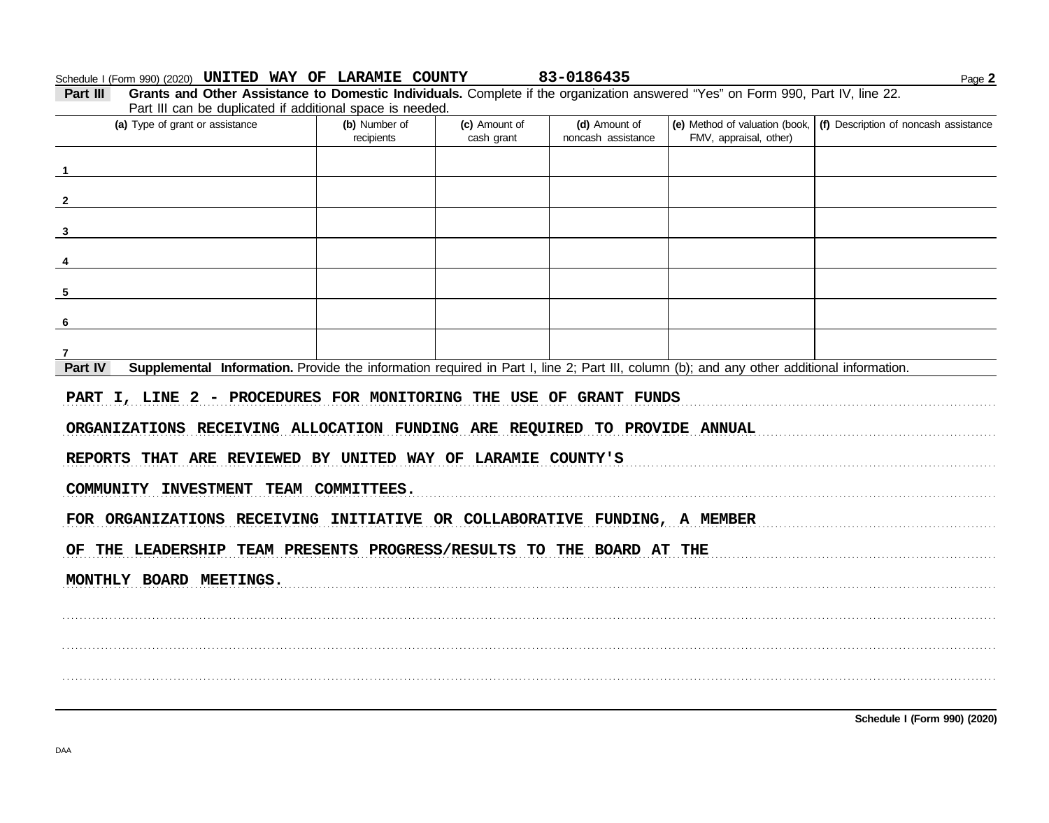#### Schedule I (Form 990) (2020) UNITED WAY OF LARAMIE COUNTY 83-0186435

Page 2

| Part III | <b>Grants and Other Assistance to Domestic Individuals.</b> Complete if the organization answered "Yes" on Form 990, Part IV, line 22. |                                                    |                                      |                    |                                                                                      |
|----------|----------------------------------------------------------------------------------------------------------------------------------------|----------------------------------------------------|--------------------------------------|--------------------|--------------------------------------------------------------------------------------|
|          | Part III can be duplicated if additional space is needed.                                                                              |                                                    |                                      |                    |                                                                                      |
|          | (a) Type of grant or assistance                                                                                                        | (b) Number of<br>the commission of the contract of | (c) Amount of<br>المستسمعا والمستحدث | (d) Amount of<br>. | $\vert$ (e) Method of valuation (book, $\vert$ (f) Description of noncash assistance |

| $\mathbf{u}$ , rype or gram or assistance                                                                                                            | $\mathbf{v}$<br>recipients | $\frac{1}{2}$<br>cash grant | noncash assistance | FMV, appraisal, other) | $\mathcal{L}$ monica or raidation (book) $\mathcal{L}$ $\mathcal{L}$ book iphones or noncaon accidence |
|------------------------------------------------------------------------------------------------------------------------------------------------------|----------------------------|-----------------------------|--------------------|------------------------|--------------------------------------------------------------------------------------------------------|
| $\overline{1}$                                                                                                                                       |                            |                             |                    |                        |                                                                                                        |
|                                                                                                                                                      |                            |                             |                    |                        |                                                                                                        |
| $\overline{\mathbf{2}}$                                                                                                                              |                            |                             |                    |                        |                                                                                                        |
| $\mathbf{3}$                                                                                                                                         |                            |                             |                    |                        |                                                                                                        |
| $\overline{\mathbf{4}}$                                                                                                                              |                            |                             |                    |                        |                                                                                                        |
| $5\phantom{.0}$                                                                                                                                      |                            |                             |                    |                        |                                                                                                        |
| $6\phantom{1}6$                                                                                                                                      |                            |                             |                    |                        |                                                                                                        |
| $\overline{7}$                                                                                                                                       |                            |                             |                    |                        |                                                                                                        |
| Part IV<br>Supplemental Information. Provide the information required in Part I, line 2; Part III, column (b); and any other additional information. |                            |                             |                    |                        |                                                                                                        |
| PART I, LINE 2 - PROCEDURES FOR MONITORING THE USE OF GRANT FUNDS                                                                                    |                            |                             |                    |                        |                                                                                                        |
| ORGANIZATIONS RECEIVING ALLOCATION FUNDING ARE REQUIRED TO PROVIDE ANNUAL                                                                            |                            |                             |                    |                        |                                                                                                        |
| REPORTS THAT ARE REVIEWED BY UNITED WAY OF LARAMIE COUNTY'S                                                                                          |                            |                             |                    |                        |                                                                                                        |
| COMMUNITY INVESTMENT TEAM COMMITTEES.                                                                                                                |                            |                             |                    |                        |                                                                                                        |
| FOR ORGANIZATIONS RECEIVING INITIATIVE OR COLLABORATIVE FUNDING, A MEMBER                                                                            |                            |                             |                    |                        |                                                                                                        |
| OF THE LEADERSHIP TEAM PRESENTS PROGRESS/RESULTS TO THE BOARD AT THE                                                                                 |                            |                             |                    |                        |                                                                                                        |
| MONTHLY BOARD MEETINGS.                                                                                                                              |                            |                             |                    |                        |                                                                                                        |
|                                                                                                                                                      |                            |                             |                    |                        |                                                                                                        |
|                                                                                                                                                      |                            |                             |                    |                        |                                                                                                        |
|                                                                                                                                                      |                            |                             |                    |                        |                                                                                                        |
|                                                                                                                                                      |                            |                             |                    |                        |                                                                                                        |
|                                                                                                                                                      |                            |                             |                    |                        |                                                                                                        |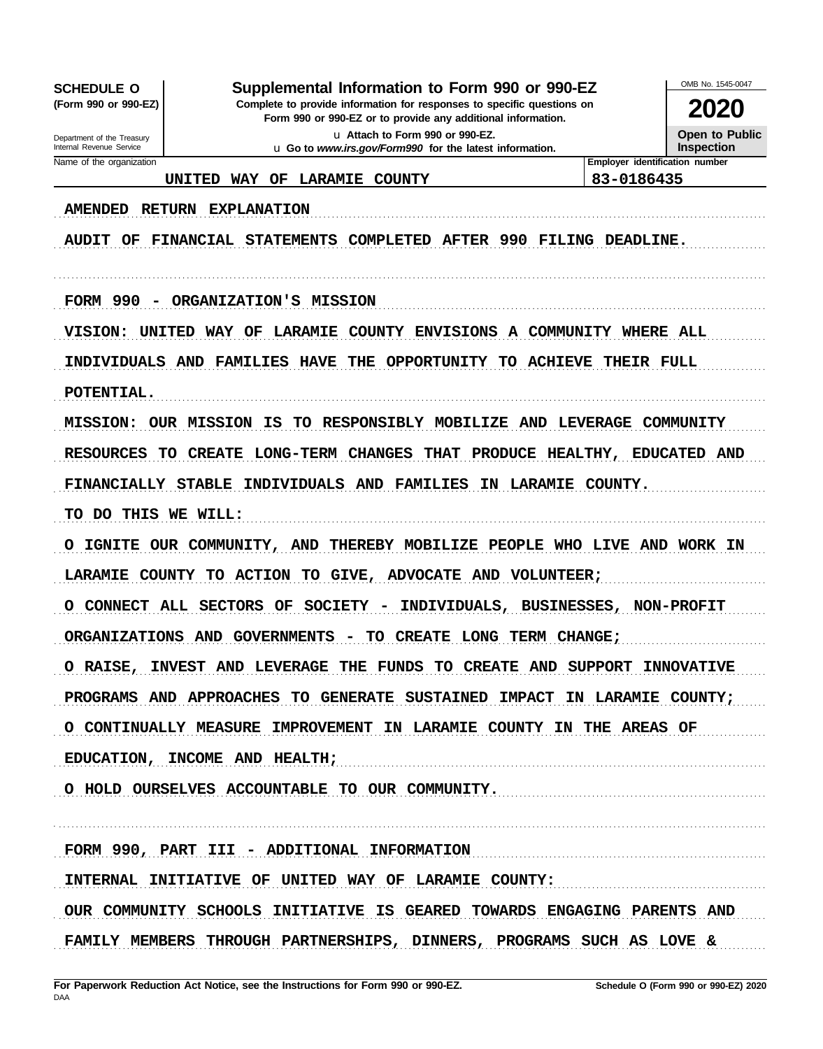**SCHEDULE O** (Form 990 or 990-EZ)

Supplemental Information to Form 990 or 990-EZ

Complete to provide information for responses to specific questions on Form 990 or 990-EZ or to provide any additional information.

> u Attach to Form 990 or 990-EZ. u Go to www.irs.gov/Form990 for the latest information.

2020 Open to Public Inspection

OMB No. 1545-0047

Department of the Treasury Internal Revenue Service Name of the organization

### UNITED WAY OF LARAMIE COUNTY

### Employer identification number 83-0186435

AMENDED RETURN EXPLANATION

AUDIT OF FINANCIAL STATEMENTS COMPLETED AFTER 990 FILING DEADLINE.

FORM 990 - ORGANIZATION'S MISSION

VISION: UNITED WAY OF LARAMIE COUNTY ENVISIONS A COMMUNITY WHERE ALL

INDIVIDUALS AND FAMILIES HAVE THE OPPORTUNITY TO ACHIEVE THEIR FULL

POTENTIAL.

MISSION: OUR MISSION IS TO RESPONSIBLY MOBILIZE AND LEVERAGE COMMUNITY

RESOURCES TO CREATE LONG-TERM CHANGES THAT PRODUCE HEALTHY, EDUCATED AND

FINANCIALLY STABLE INDIVIDUALS AND FAMILIES IN LARAMIE COUNTY.

TO DO THIS WE WILL:

O IGNITE OUR COMMUNITY, AND THEREBY MOBILIZE PEOPLE WHO LIVE AND WORK IN LARAMIE COUNTY TO ACTION TO GIVE, ADVOCATE AND VOLUNTEER;

O CONNECT ALL SECTORS OF SOCIETY - INDIVIDUALS, BUSINESSES, NON-PROFIT

ORGANIZATIONS AND GOVERNMENTS - TO CREATE LONG TERM CHANGE;

O RAISE, INVEST AND LEVERAGE THE FUNDS TO CREATE AND SUPPORT INNOVATIVE

PROGRAMS AND APPROACHES TO GENERATE SUSTAINED IMPACT IN LARAMIE COUNTY;

O CONTINUALLY MEASURE IMPROVEMENT IN LARAMIE COUNTY IN THE AREAS OF

EDUCATION, INCOME AND HEALTH;

O HOLD OURSELVES ACCOUNTABLE TO OUR COMMUNITY.

FORM 990, PART III - ADDITIONAL INFORMATION

INTERNAL INITIATIVE OF UNITED WAY OF LARAMIE COUNTY:

OUR COMMUNITY SCHOOLS INITIATIVE IS GEARED TOWARDS ENGAGING PARENTS AND FAMILY MEMBERS THROUGH PARTNERSHIPS, DINNERS, PROGRAMS SUCH AS LOVE &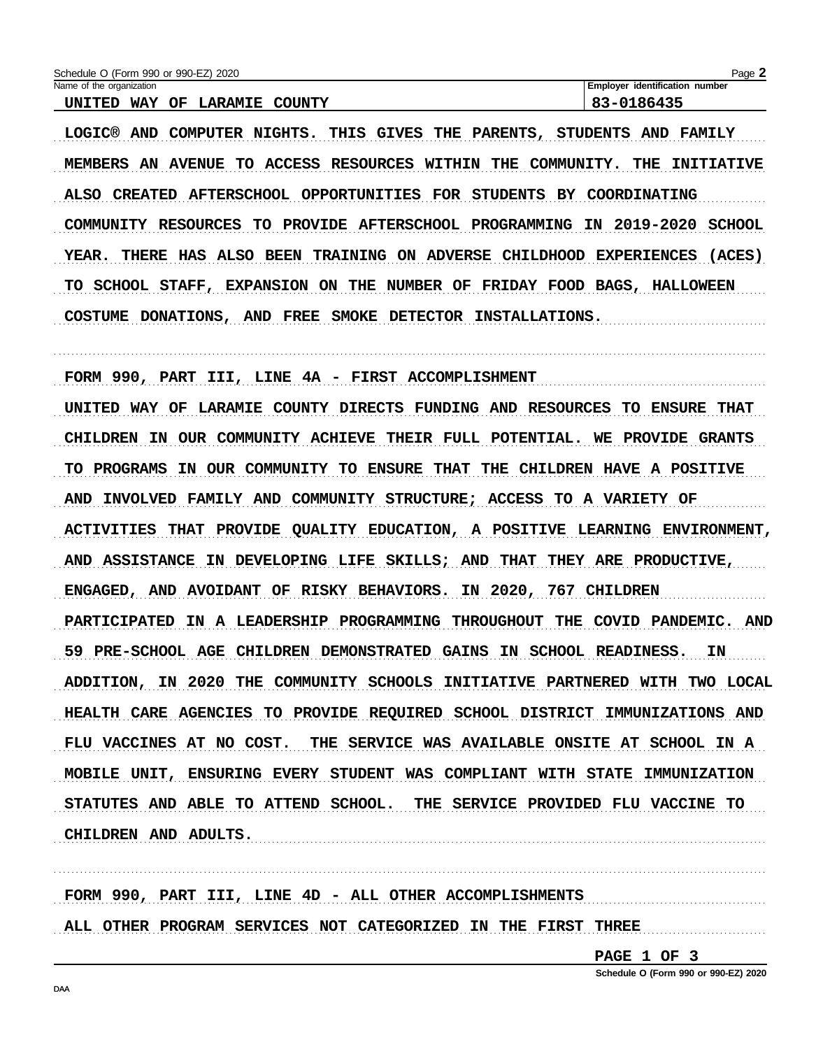| Schedule O (Form 990 or 990-EZ) 2020             | $Page \blacktriangle$                 |
|--------------------------------------------------|---------------------------------------|
| Name of the organization                         | <b>Employer identification number</b> |
| COUNTY<br><b>LARAMIE</b><br>WAY<br>UNITED<br>OF. | 83-0186435                            |

LOGIC® AND COMPUTER NIGHTS. THIS GIVES THE PARENTS, STUDENTS AND FAMILY MEMBERS AN AVENUE TO ACCESS RESOURCES WITHIN THE COMMUNITY. THE INITIATIVE ALSO CREATED AFTERSCHOOL OPPORTUNITIES FOR STUDENTS BY COORDINATING COMMUNITY RESOURCES TO PROVIDE AFTERSCHOOL PROGRAMMING IN 2019-2020 SCHOOL YEAR. THERE HAS ALSO BEEN TRAINING ON ADVERSE CHILDHOOD EXPERIENCES (ACES) TO SCHOOL STAFF, EXPANSION ON THE NUMBER OF FRIDAY FOOD BAGS, HALLOWEEN COSTUME DONATIONS, AND FREE SMOKE DETECTOR INSTALLATIONS.

FORM 990, PART III, LINE 4A - FIRST ACCOMPLISHMENT UNITED WAY OF LARAMIE COUNTY DIRECTS FUNDING AND RESOURCES TO ENSURE THAT CHILDREN IN OUR COMMUNITY ACHIEVE THEIR FULL POTENTIAL. WE PROVIDE GRANTS TO PROGRAMS IN OUR COMMUNITY TO ENSURE THAT THE CHILDREN HAVE A POSITIVE AND INVOLVED FAMILY AND COMMUNITY STRUCTURE; ACCESS TO A VARIETY OF ACTIVITIES THAT PROVIDE QUALITY EDUCATION, A POSITIVE LEARNING ENVIRONMENT, AND ASSISTANCE IN DEVELOPING LIFE SKILLS; AND THAT THEY ARE PRODUCTIVE, ENGAGED, AND AVOIDANT OF RISKY BEHAVIORS. IN 2020, 767 CHILDREN PARTICIPATED IN A LEADERSHIP PROGRAMMING THROUGHOUT THE COVID PANDEMIC. AND 59 PRE-SCHOOL AGE CHILDREN DEMONSTRATED GAINS IN SCHOOL READINESS. IN ADDITION, IN 2020 THE COMMUNITY SCHOOLS INITIATIVE PARTNERED WITH TWO LOCAL HEALTH CARE AGENCIES TO PROVIDE REQUIRED SCHOOL DISTRICT IMMUNIZATIONS AND FLU VACCINES AT NO COST. THE SERVICE WAS AVAILABLE ONSITE AT SCHOOL IN A MOBILE UNIT, ENSURING EVERY STUDENT WAS COMPLIANT WITH STATE IMMUNIZATION STATUTES AND ABLE TO ATTEND SCHOOL. THE SERVICE PROVIDED FLU VACCINE TO CHILDREN AND ADULTS.

FORM 990, PART III, LINE 4D - ALL OTHER ACCOMPLISHMENTS ALL OTHER PROGRAM SERVICES NOT CATEGORIZED IN THE FIRST THREE

PAGE 1 OF 3

Schedule O (Form 990 or 990-EZ) 2020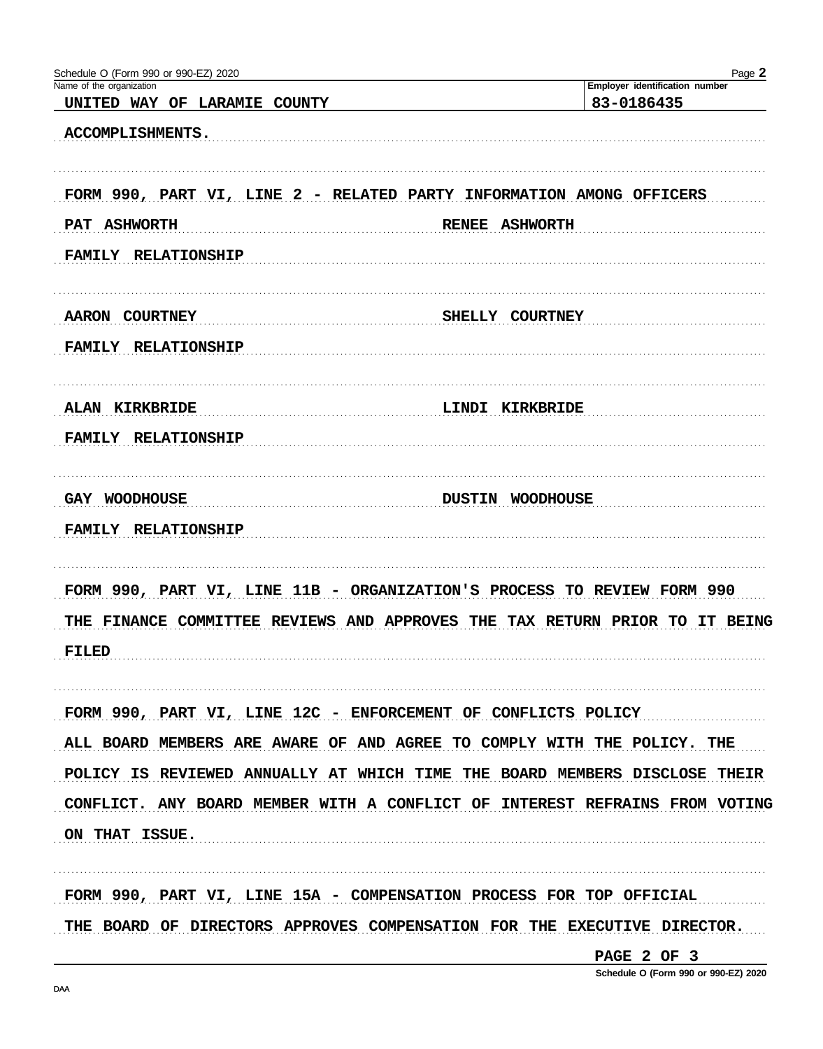| Schedule O (Form 990 or 990-EZ) 2020                          | Page 2                                                                      |
|---------------------------------------------------------------|-----------------------------------------------------------------------------|
| Name of the organization<br>UNITED WAY OF LARAMIE COUNTY      | Employer identification number<br>83-0186435                                |
| ACCOMPLISHMENTS.                                              |                                                                             |
|                                                               | FORM 990, PART VI, LINE 2 - RELATED PARTY INFORMATION AMONG OFFICERS        |
| <b>ASHWORTH</b><br>PAT                                        | <b>ASHWORTH</b><br><b>RENEE</b>                                             |
| <b>RELATIONSHIP</b><br><b>FAMILY</b>                          |                                                                             |
| <b>AARON COURTNEY</b>                                         | SHELLY COURTNEY                                                             |
| <b>FAMILY</b><br><b>RELATIONSHIP</b>                          |                                                                             |
| <b>ALAN</b><br><b>KIRKBRIDE</b>                               | LINDI<br>KIRKBRIDE                                                          |
| <b>RELATIONSHIP</b><br><b>FAMILY</b>                          |                                                                             |
| GAY WOODHOUSE                                                 | <b>DUSTIN</b><br><b>WOODHOUSE</b>                                           |
| <b>RELATIONSHIP</b><br><b>FAMILY</b>                          |                                                                             |
|                                                               | FORM 990, PART VI, LINE 11B - ORGANIZATION'S PROCESS TO REVIEW FORM 990     |
| THE FINANCE COMMITTEE<br><b>REVIEWS</b>                       | <b>AND APPROVES</b><br><b>TAX RETURN PRIOR</b><br>TO IT BEING<br>THE        |
| FILED                                                         |                                                                             |
| FORM 990, PART VI, LINE 12C - ENFORCEMENT OF CONFLICTS POLICY |                                                                             |
|                                                               | ALL BOARD MEMBERS ARE AWARE OF AND AGREE TO COMPLY WITH THE POLICY. THE     |
|                                                               | POLICY IS REVIEWED ANNUALLY AT WHICH TIME THE BOARD MEMBERS DISCLOSE THEIR  |
|                                                               | CONFLICT. ANY BOARD MEMBER WITH A CONFLICT OF INTEREST REFRAINS FROM VOTING |
| ON THAT ISSUE.                                                |                                                                             |
|                                                               | FORM 990, PART VI, LINE 15A - COMPENSATION PROCESS FOR TOP OFFICIAL         |
|                                                               | THE BOARD OF DIRECTORS APPROVES COMPENSATION FOR THE EXECUTIVE DIRECTOR.    |

PAGE 2 OF 3

Schedule O (Form 990 or 990-EZ) 2020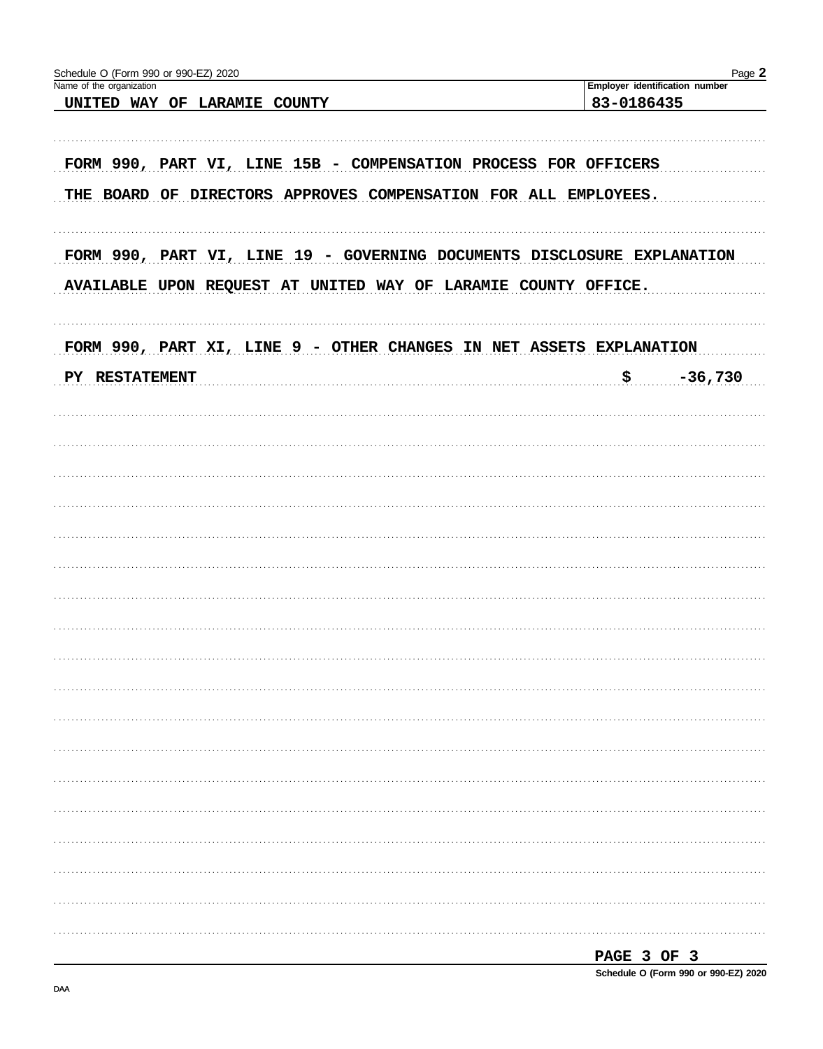| Schedule O (Form 990 or 990-EZ) 2020<br>Name of the organization                                                                          | Page 2<br>Employer identification number |
|-------------------------------------------------------------------------------------------------------------------------------------------|------------------------------------------|
| UNITED WAY OF LARAMIE COUNTY                                                                                                              | 83-0186435                               |
| FORM 990, PART VI, LINE 15B - COMPENSATION PROCESS FOR OFFICERS<br>THE BOARD OF DIRECTORS APPROVES COMPENSATION FOR ALL EMPLOYEES.        |                                          |
| FORM 990, PART VI, LINE 19 - GOVERNING DOCUMENTS DISCLOSURE EXPLANATION<br>AVAILABLE UPON REQUEST AT UNITED WAY OF LARAMIE COUNTY OFFICE. |                                          |
| FORM 990, PART XI, LINE 9 - OTHER CHANGES IN NET ASSETS EXPLANATION                                                                       |                                          |
| PY RESTATEMENT                                                                                                                            | \$<br>$-36,730$                          |
|                                                                                                                                           |                                          |
|                                                                                                                                           |                                          |
|                                                                                                                                           |                                          |
|                                                                                                                                           |                                          |
|                                                                                                                                           |                                          |
|                                                                                                                                           |                                          |
|                                                                                                                                           |                                          |
|                                                                                                                                           |                                          |
|                                                                                                                                           |                                          |
|                                                                                                                                           |                                          |
|                                                                                                                                           |                                          |
|                                                                                                                                           |                                          |
|                                                                                                                                           |                                          |
|                                                                                                                                           | PAGE 3 OF 3                              |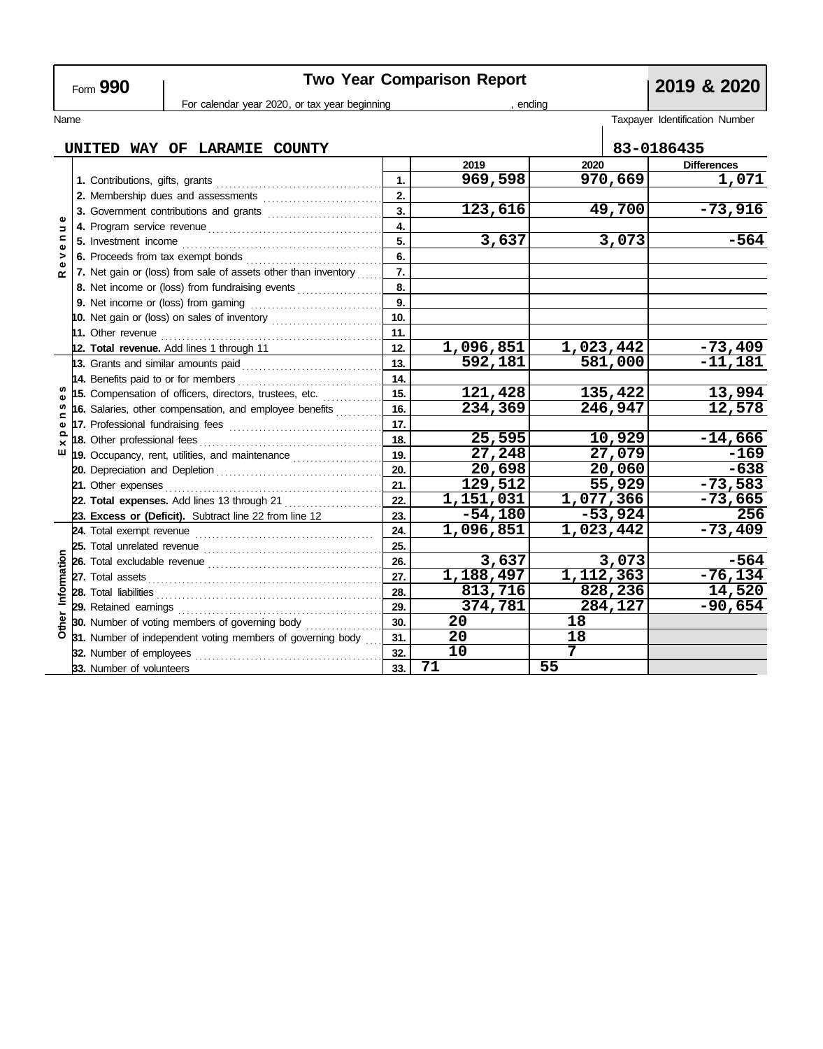# Two Year Comparison Report<br> **Portax year beginning**<br> **Portax year beginning**<br> **Portax year beginning**<br> **Portal Property Adding**

| For calendar year 2020, or tax year beginning |                                                                |                                                 |                                                            |     | ending .  |           |           |                                |
|-----------------------------------------------|----------------------------------------------------------------|-------------------------------------------------|------------------------------------------------------------|-----|-----------|-----------|-----------|--------------------------------|
| Name                                          |                                                                |                                                 |                                                            |     |           |           |           | Taxpayer Identification Number |
|                                               |                                                                |                                                 |                                                            |     |           |           |           |                                |
|                                               |                                                                |                                                 | UNITED WAY OF LARAMIE COUNTY                               |     |           |           |           | 83-0186435                     |
| Φ<br>$\overline{a}$<br>$\mathbf{C}$<br>Φ      |                                                                |                                                 |                                                            |     | 2019      | 2020      |           | <b>Differences</b>             |
|                                               |                                                                |                                                 |                                                            | 1.  | 969,598   |           | 970,669   | 1,071                          |
|                                               |                                                                |                                                 |                                                            | 2.  |           |           |           |                                |
|                                               |                                                                |                                                 | 3. Government contributions and grants                     | 3.  | 123,616   |           | 49,700    | $-73,916$                      |
|                                               |                                                                |                                                 | $\overline{4}$                                             |     |           |           |           |                                |
|                                               |                                                                | 5. Investment income                            |                                                            | 5.  | 3,637     |           | 3,073     | $-564$                         |
| ><br>$\mathbf{Q}$                             |                                                                |                                                 | 6. Proceeds from tax exempt bonds                          | 6.  |           |           |           |                                |
| $\alpha$                                      | 7. Net gain or (loss) from sale of assets other than inventory |                                                 | 7.                                                         |     |           |           |           |                                |
|                                               |                                                                | 8. Net income or (loss) from fundraising events |                                                            | 8.  |           |           |           |                                |
|                                               |                                                                |                                                 | 9. Net income or (loss) from gaming                        | 9.  |           |           |           |                                |
|                                               |                                                                |                                                 | 10. Net gain or (loss) on sales of inventory               | 10. |           |           |           |                                |
|                                               |                                                                |                                                 |                                                            | 11. |           |           |           |                                |
|                                               |                                                                |                                                 | 12. Total revenue. Add lines 1 through 11                  | 12. | 1,096,851 | 1,023,442 |           | $-73,409$                      |
|                                               |                                                                |                                                 | <b>13.</b> Grants and similar amounts paid                 | 13. | 592,181   | 581,000   |           | $-11,181$                      |
|                                               |                                                                | 14. Benefits paid to or for members             |                                                            | 14. |           |           |           |                                |
|                                               |                                                                |                                                 | 15. Compensation of officers, directors, trustees, etc.    | 15. | 121,428   | 135,422   |           | 13,994                         |
| w<br>⊆                                        |                                                                |                                                 | 16. Salaries, other compensation, and employee benefits    | 16. | 234,369   | 246,947   |           | 12,578                         |
| Ф                                             |                                                                |                                                 | 17. Professional fundraising fees                          | 17. |           |           |           |                                |
| ≏                                             |                                                                | 18. Other professional fees                     |                                                            | 18. | 25,595    |           | 10,929    | $-14,666$                      |
| ш                                             |                                                                |                                                 | 19. Occupancy, rent, utilities, and maintenance            | 19. | 27,248    |           | 27,079    | $-169$                         |
|                                               |                                                                |                                                 |                                                            | 20. | 20,698    |           | 20,060    | $-638$                         |
|                                               |                                                                | 21. Other expenses                              |                                                            | 21. | 129,512   |           | 55,929    | $-73,583$                      |
|                                               |                                                                |                                                 | 22. Total expenses. Add lines 13 through 21                | 22. | 1,151,031 | 1,077,366 |           | $-73,665$                      |
|                                               |                                                                |                                                 | 23. Excess or (Deficit). Subtract line 22 from line 12     | 23. | $-54,180$ |           | $-53,924$ | 256                            |
| Information<br>Other                          |                                                                |                                                 |                                                            | 24. | 1,096,851 | 1,023,442 |           | $-73,409$                      |
|                                               |                                                                |                                                 |                                                            | 25. |           |           |           |                                |
|                                               |                                                                |                                                 |                                                            | 26. | 3,637     |           | 3,073     | $-564$                         |
|                                               |                                                                |                                                 |                                                            | 27. | 1,188,497 | 1,112,363 |           | $-76, 134$                     |
|                                               |                                                                | 28. Total liabilities                           |                                                            | 28. | 813,716   | 828,236   |           | 14,520                         |
|                                               |                                                                |                                                 |                                                            | 29. | 374,781   | 284,127   |           | $-90,654$                      |
|                                               |                                                                |                                                 | 30. Number of voting members of governing body             | 30. | 20        | 18        |           |                                |
|                                               |                                                                |                                                 | 31. Number of independent voting members of governing body | 31. | 20        | 18        |           |                                |
|                                               |                                                                | 32. Number of employees                         |                                                            | 32. | 10        | 7         |           |                                |
|                                               |                                                                | 33. Number of volunteers                        |                                                            | 33. | 71        | 55        |           |                                |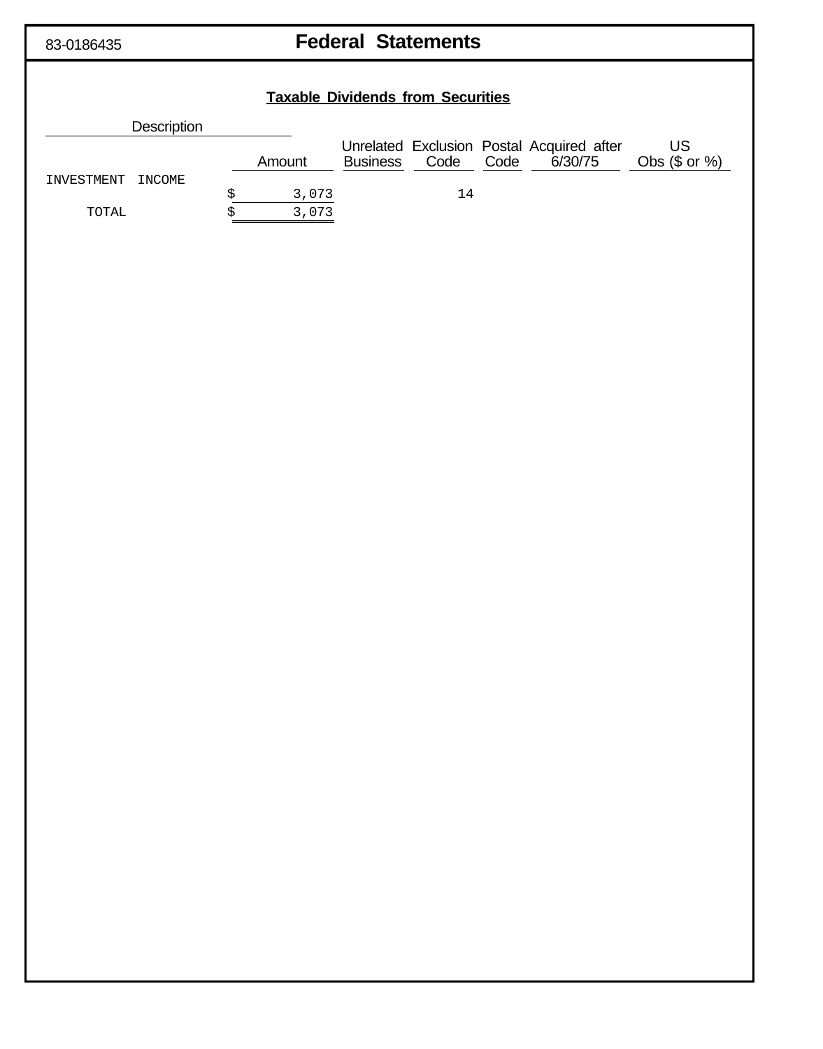83-0186435

# **Federal Statements**

# **Taxable Dividends from Securities** Description Unrelated Exclusion Postal Acquired after<br>Business Code Code 6/30/75 **US**  $6/30/75$  Obs  $(\$ \text{ or } \% )$ Amount INVESTMENT INCOME 3,073 14 \$  $\overline{3,073}$ TOTAL \$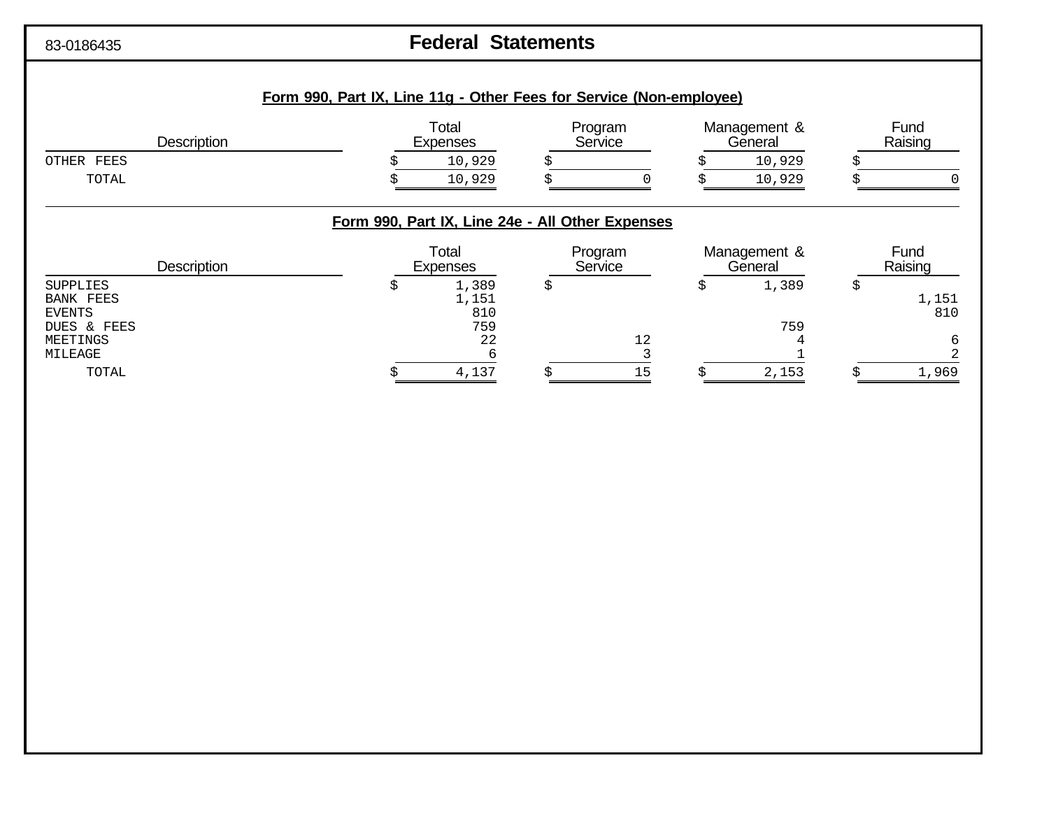# 83-0186435 **Federal Statements**

| <b>Description</b>                                                                         | Form 990, Part IX, Line 11g - Other Fees for Service (Non-employee)<br>Total<br><b>Expenses</b> | Program<br>Service | Management &<br>General |   | Fund<br>Raising   |
|--------------------------------------------------------------------------------------------|-------------------------------------------------------------------------------------------------|--------------------|-------------------------|---|-------------------|
| OTHER FEES                                                                                 | 10,929                                                                                          |                    | 10,929                  |   |                   |
| TOTAL                                                                                      | 10,929                                                                                          |                    | 10,929                  |   |                   |
|                                                                                            | Form 990, Part IX, Line 24e - All Other Expenses                                                |                    |                         |   |                   |
| <b>Description</b>                                                                         | Total<br><b>Expenses</b>                                                                        | Program<br>Service | Management &<br>General |   | Fund<br>Raising   |
| <b>SUPPLIES</b><br><b>BANK FEES</b><br><b>EVENTS</b><br>DUES & FEES<br>MEETINGS<br>MILEAGE | 1,389<br>\$<br>1,151<br>810<br>759<br>22<br>6                                                   | \$<br>12           | \$<br>1,389<br>759      | Ş | 1,151<br>810<br>6 |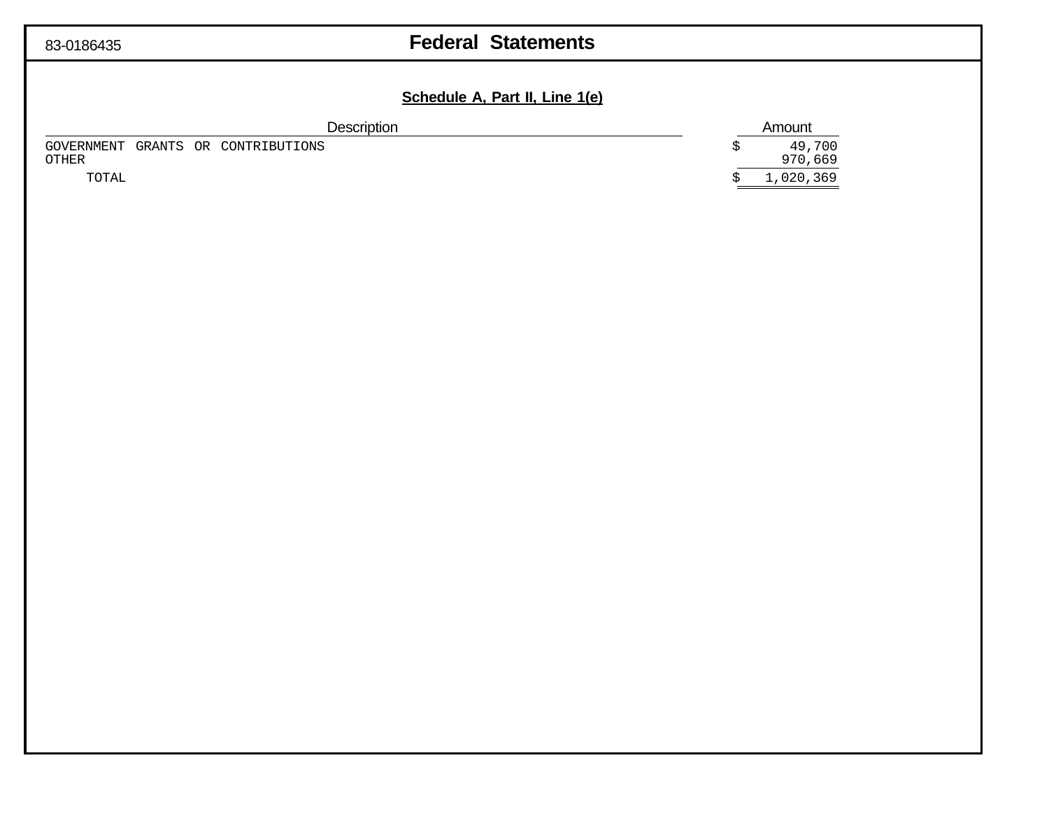# **Federal Statements**

# **Schedule A, Part II, Line 1(e)**

| <b>Description</b>                                 | Amount            |  |  |
|----------------------------------------------------|-------------------|--|--|
| GOVERNMENT GRANTS OR CONTRIBUTIONS<br><b>OTHER</b> | 49,700<br>970,669 |  |  |
| TOTAL                                              | 1,020,369         |  |  |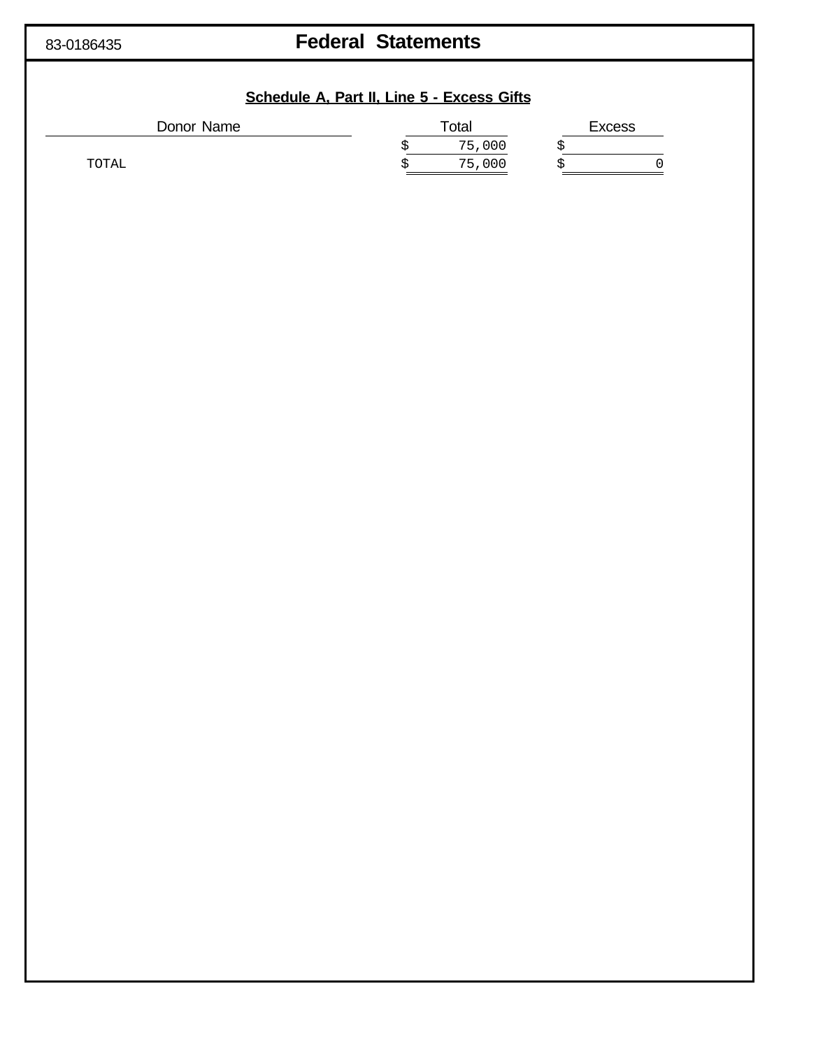# **Federal Statements**

| Donor Name |   | Total  | <b>Excess</b> |  |
|------------|---|--------|---------------|--|
|            | Ŝ | 75,000 |               |  |
| TOTAL      | S | 75,000 |               |  |
|            |   |        |               |  |
|            |   |        |               |  |
|            |   |        |               |  |
|            |   |        |               |  |
|            |   |        |               |  |
|            |   |        |               |  |
|            |   |        |               |  |
|            |   |        |               |  |
|            |   |        |               |  |